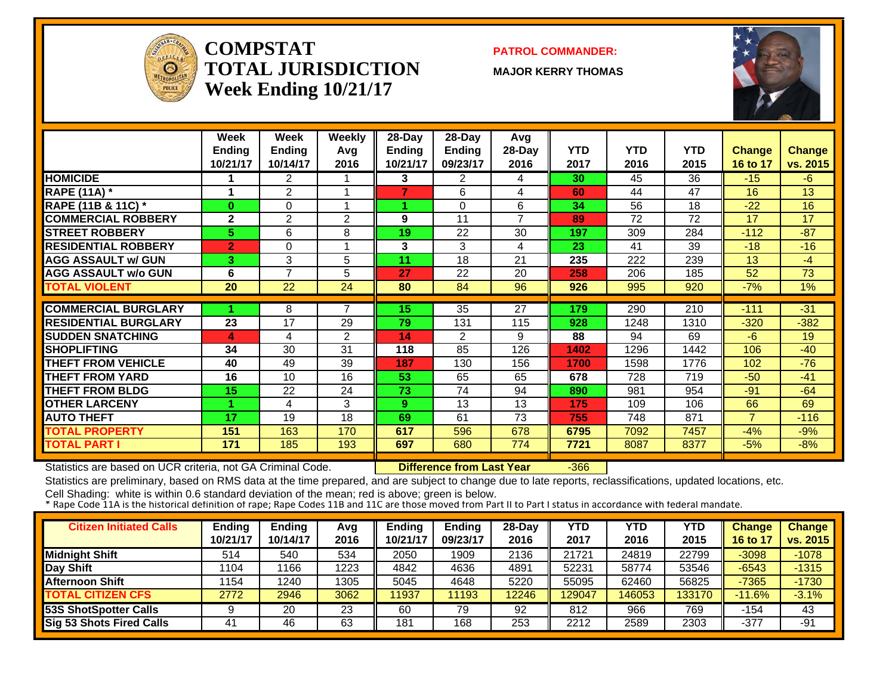

#### **COMPSTATTOTAL JURISDICTIONWeek Ending 10/21/17**

#### **PATROL COMMANDER:**

**MAJOR KERRY THOMAS**



|                             | Week           | Week           | Weekly         | 28-Day   | 28-Day         | Avg            |            |            |            |                |          |
|-----------------------------|----------------|----------------|----------------|----------|----------------|----------------|------------|------------|------------|----------------|----------|
|                             | <b>Ending</b>  | <b>Ending</b>  | Avg            | Ending   | <b>Ending</b>  | 28-Day         | <b>YTD</b> | <b>YTD</b> | <b>YTD</b> | <b>Change</b>  | Change   |
|                             | 10/21/17       | 10/14/17       | 2016           | 10/21/17 | 09/23/17       | 2016           | 2017       | 2016       | 2015       | 16 to 17       | vs. 2015 |
| <b>HOMICIDE</b>             |                | $\overline{2}$ |                | 3        | 2              | 4              | 30         | 45         | 36         | $-15$          | $-6$     |
| <b>RAPE (11A)</b> *         |                | $\overline{2}$ |                | 7        | 6              | 4              | 60         | 44         | 47         | 16             | 13       |
| RAPE (11B & 11C) *          | $\mathbf{0}$   | $\Omega$       |                |          | $\Omega$       | 6              | 34         | 56         | 18         | $-22$          | 16       |
| <b>COMMERCIAL ROBBERY</b>   | $\mathbf{2}$   | $\overline{2}$ | 2              | 9        | 11             | $\overline{7}$ | 89         | 72         | 72         | 17             | 17       |
| <b>STREET ROBBERY</b>       | 5.             | 6              | 8              | 19       | 22             | 30             | 197        | 309        | 284        | $-112$         | $-87$    |
| <b>RESIDENTIAL ROBBERY</b>  | $\overline{2}$ | 0              |                | 3        | 3              | 4              | 23         | 41         | 39         | $-18$          | $-16$    |
| <b>AGG ASSAULT w/ GUN</b>   | 3.             | 3              | 5              | 11       | 18             | 21             | 235        | 222        | 239        | 13             | $-4$     |
| <b>AGG ASSAULT w/o GUN</b>  | 6              | $\overline{7}$ | 5              | 27       | 22             | 20             | 258        | 206        | 185        | 52             | 73       |
| <b>TOTAL VIOLENT</b>        | 20             | 22             | 24             | 80       | 84             | 96             | 926        | 995        | 920        | $-7%$          | 1%       |
|                             |                |                |                |          |                |                |            |            |            |                |          |
| <b>COMMERCIAL BURGLARY</b>  |                | 8              | $\mathcal{L}$  | 15       | 35             | 27             | 179        | 290        | 210        | $-111$         | $-31$    |
| <b>RESIDENTIAL BURGLARY</b> | 23             | 17             | 29             | 79       | 131            | 115            | 928        | 1248       | 1310       | $-320$         | $-382$   |
| <b>SUDDEN SNATCHING</b>     | 4              | 4              | $\overline{2}$ | 14       | $\mathfrak{p}$ | 9              | 88         | 94         | 69         | $-6$           | 19       |
| <b>SHOPLIFTING</b>          | 34             | 30             | 31             | 118      | 85             | 126            | 1402       | 1296       | 1442       | 106            | $-40$    |
| <b>THEFT FROM VEHICLE</b>   | 40             | 49             | 39             | 187      | 130            | 156            | 1700       | 1598       | 1776       | 102            | $-76$    |
| <b>THEFT FROM YARD</b>      | 16             | 10             | 16             | 53       | 65             | 65             | 678        | 728        | 719        | $-50$          | $-41$    |
| <b>THEFT FROM BLDG</b>      | 15             | 22             | 24             | 73       | 74             | 94             | 890        | 981        | 954        | $-91$          | $-64$    |
| <b>OTHER LARCENY</b>        |                | 4              | 3              | 9        | 13             | 13             | 175        | 109        | 106        | 66             | 69       |
| <b>AUTO THEFT</b>           | 17             | 19             | 18             | 69       | 61             | 73             | 755        | 748        | 871        | $\overline{7}$ | $-116$   |
| <b>TOTAL PROPERTY</b>       | 151            | 163            | 170            | 617      | 596            | 678            | 6795       | 7092       | 7457       | $-4%$          | $-9%$    |
| <b>TOTAL PART I</b>         | 171            | 185            | 193            | 697      | 680            | 774            | 7721       | 8087       | 8377       | $-5%$          | $-8%$    |

Statistics are based on UCR criteria, not GA Criminal Code. **Difference from Last Year** -366

Statistics are preliminary, based on RMS data at the time prepared, and are subject to change due to late reports, reclassifications, updated locations, etc.

| <b>Citizen Initiated Calls</b> | <b>Ending</b><br>10/21/17 | <b>Ending</b><br>10/14/17 | Avg<br>2016 | <b>Ending</b><br>10/21/17 | <b>Ending</b><br>09/23/17 | 28-Dav<br>2016 | YTD<br>2017 | YTD<br>2016 | YTD<br>2015 | <b>Change</b><br>16 to 1 | <b>Change</b><br>vs. 2015 |
|--------------------------------|---------------------------|---------------------------|-------------|---------------------------|---------------------------|----------------|-------------|-------------|-------------|--------------------------|---------------------------|
| <b>Midnight Shift</b>          | 514                       | 540                       | 534         | 2050                      | 1909                      | 2136           | 21721       | 24819       | 22799       | $-3098$                  | $-1078$                   |
| Day Shift                      | 104                       | 166                       | 1223        | 4842                      | 4636                      | 4891           | 52231       | 58774       | 53546       | $-6543$                  | $-1315$                   |
| <b>Afternoon Shift</b>         | 154                       | 1240                      | 1305        | 5045                      | 4648                      | 5220           | 55095       | 62460       | 56825       | $-7365$                  | $-1730$                   |
| <b>TOTAL CITIZEN CFS</b>       | 2772                      | 2946                      | 3062        | 11937                     | 1193                      | 12246          | 129047      | 146053      | 133170      | $-11.6%$                 | $-3.1%$                   |
| <b>53S ShotSpotter Calls</b>   |                           | 20                        | 23          | 60                        | 79                        | 92             | 812         | 966         | 769         | -154                     | 43                        |
| Sig 53 Shots Fired Calls       | 41                        | 46                        | 63          | 181                       | 168                       | 253            | 2212        | 2589        | 2303        | $-377$                   | $-91$                     |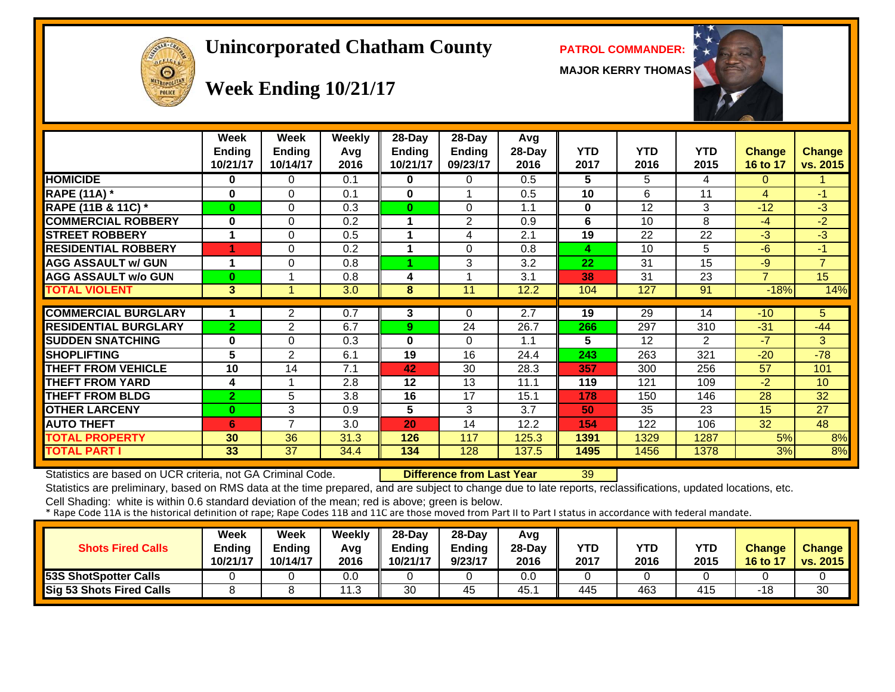# OFFICER  $\Theta$

#### **Unincorporated Chatham County PATROL COMMANDER:**

**MAJOR KERRY THOMAS**



## **Week Ending 10/21/17**

|                             | Week<br><b>Ending</b><br>10/21/17 | Week<br><b>Ending</b><br>10/14/17 | <b>Weekly</b><br>Avg<br>2016 | 28-Day<br>Ending<br>10/21/17 | 28-Day<br><b>Ending</b><br>09/23/17 | Avg<br>28-Day<br>2016 | <b>YTD</b><br>2017 | <b>YTD</b><br>2016 | YTD<br>2015 | <b>Change</b><br>16 to 17 | <b>Change</b><br>vs. 2015 |
|-----------------------------|-----------------------------------|-----------------------------------|------------------------------|------------------------------|-------------------------------------|-----------------------|--------------------|--------------------|-------------|---------------------------|---------------------------|
| <b>HOMICIDE</b>             | $\mathbf 0$                       | 0                                 | 0.1                          | 0                            | $\Omega$                            | 0.5                   | 5                  | 5                  | 4           | $\Omega$                  |                           |
| <b>RAPE (11A) *</b>         | $\mathbf 0$                       | $\Omega$                          | 0.1                          | $\mathbf{0}$                 |                                     | 0.5                   | 10                 | 6                  | 11          | $\overline{4}$            | $-1$                      |
| RAPE (11B & 11C) *          | $\bf{0}$                          | $\Omega$                          | 0.3                          | $\bf{0}$                     | $\Omega$                            | 1.1                   | $\bf{0}$           | 12                 | 3           | $-12$                     | $-3$                      |
| <b>COMMERCIAL ROBBERY</b>   | $\bf{0}$                          | $\Omega$                          | 0.2                          |                              | $\overline{2}$                      | 0.9                   | 6                  | 10                 | 8           | $-4$                      | $-2$                      |
| <b>STREET ROBBERY</b>       |                                   | $\Omega$                          | 0.5                          |                              | 4                                   | 2.1                   | 19                 | 22                 | 22          | $-3$                      | $-3$                      |
| <b>RESIDENTIAL ROBBERY</b>  |                                   | 0                                 | 0.2                          |                              | $\Omega$                            | 0.8                   | 4                  | 10                 | 5           | $-6$                      | $-1$                      |
| <b>AGG ASSAULT w/ GUN</b>   | 1                                 | $\Omega$                          | 0.8                          |                              | 3                                   | 3.2                   | 22                 | 31                 | 15          | $-9$                      | $\overline{7}$            |
| <b>AGG ASSAULT w/o GUN</b>  | $\bf{0}$                          |                                   | 0.8                          | 4                            |                                     | 3.1                   | 38                 | 31                 | 23          | $\overline{7}$            | 15                        |
| <b>TOTAL VIOLENT</b>        | 3                                 |                                   | 3.0                          | 8                            | 11                                  | 12.2                  | 104                | 127                | 91          | $-18%$                    | 14%                       |
|                             |                                   |                                   |                              |                              |                                     |                       |                    |                    |             |                           |                           |
| <b>COMMERCIAL BURGLARY</b>  |                                   | $\overline{2}$                    | 0.7                          | 3                            | 0                                   | 2.7                   | 19                 | 29                 | 14          | $-10$                     | 5.                        |
| <b>RESIDENTIAL BURGLARY</b> | $\overline{2}$                    | $\overline{2}$                    | 6.7                          | 9                            | 24                                  | 26.7                  | 266                | 297                | 310         | $-31$                     | $-44$                     |
| <b>SUDDEN SNATCHING</b>     | $\bf{0}$                          | $\Omega$                          | 0.3                          | $\bf{0}$                     | $\Omega$                            | 1.1                   | 5                  | 12                 | 2           | $-7$                      | 3                         |
| <b>SHOPLIFTING</b>          | 5                                 | 2                                 | 6.1                          | 19                           | 16                                  | 24.4                  | 243                | 263                | 321         | $-20$                     | $-78$                     |
| <b>THEFT FROM VEHICLE</b>   | 10                                | 14                                | 7.1                          | 42                           | 30                                  | 28.3                  | 357                | 300                | 256         | 57                        | 101                       |
| <b>THEFT FROM YARD</b>      | 4                                 |                                   | 2.8                          | 12                           | 13                                  | 11.1                  | 119                | 121                | 109         | $-2$                      | 10                        |
| <b>THEFT FROM BLDG</b>      | $\overline{2}$                    | 5                                 | 3.8                          | 16                           | 17                                  | 15.1                  | 178                | 150                | 146         | 28                        | 32                        |
| <b>OTHER LARCENY</b>        | $\bf{0}$                          | 3                                 | 0.9                          | 5                            | 3                                   | 3.7                   | 50                 | 35                 | 23          | 15                        | 27                        |
| <b>AUTO THEFT</b>           | 6                                 | $\overline{\phantom{a}}$          | 3.0                          | 20                           | 14                                  | 12.2                  | 154                | 122                | 106         | 32                        | 48                        |
| <b>TOTAL PROPERTY</b>       | 30                                | 36                                | 31.3                         | 126                          | 117                                 | 125.3                 | 1391               | 1329               | 1287        | 5%                        | 8%                        |
| <b>TOTAL PART I</b>         | 33                                | 37                                | 34.4                         | 134                          | 128                                 | 137.5                 | 1495               | 1456               | 1378        | 3%                        | 8%                        |

Statistics are based on UCR criteria, not GA Criminal Code. **Difference from Last Year** 39

Statistics are preliminary, based on RMS data at the time prepared, and are subject to change due to late reports, reclassifications, updated locations, etc.

| <b>Shots Fired Calls</b>      | Week<br><b>Ending</b><br>10/21/17 | <b>Week</b><br>Ending<br>10/14/17 | Weekly<br>Avg<br>2016 | $28-Dav$<br>Ending<br>10/21/17 | $28-Day$<br><b>Ending</b><br>9/23/17 | Avg<br>$28-Day$<br>2016 | <b>YTD</b><br>2017 | YTD<br>2016 | YTD<br>2015 | <b>Change</b><br>16 to 17 | <b>Change</b><br>vs. 2015 |
|-------------------------------|-----------------------------------|-----------------------------------|-----------------------|--------------------------------|--------------------------------------|-------------------------|--------------------|-------------|-------------|---------------------------|---------------------------|
| <b>153S ShotSpotter Calls</b> |                                   |                                   | 0.0                   |                                |                                      | 0.0                     |                    |             |             |                           |                           |
| Sig 53 Shots Fired Calls      |                                   |                                   | 11.3                  | 30                             | 45                                   | 45.                     | 445                | 463         | 415         | -18                       | 30                        |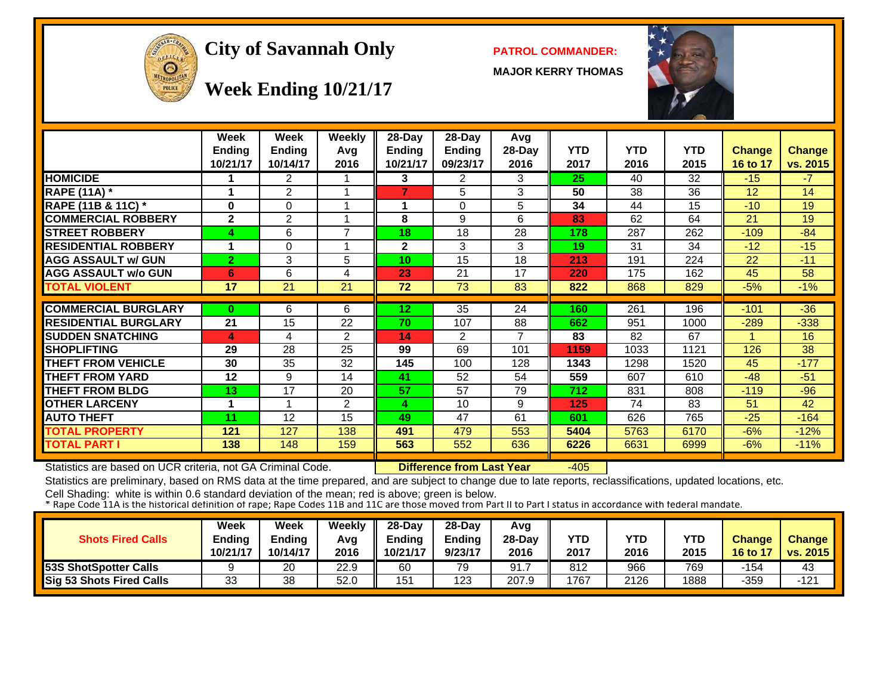

#### City of Savannah Only **PATROL COMMANDER:**

**MAJOR KERRY THOMAS**



**Week Ending 10/21/17**

|                             | Week<br><b>Ending</b><br>10/21/17 | Week<br><b>Ending</b><br>10/14/17 | <b>Weekly</b><br>Avg<br>2016 | $28-Day$<br><b>Ending</b><br>10/21/17 | 28-Day<br><b>Ending</b><br>09/23/17 | Avg<br>$28-Day$<br>2016  | <b>YTD</b><br>2017 | <b>YTD</b><br>2016 | <b>YTD</b><br>2015 | <b>Change</b><br>16 to 17 | <b>Change</b><br>vs. 2015 |
|-----------------------------|-----------------------------------|-----------------------------------|------------------------------|---------------------------------------|-------------------------------------|--------------------------|--------------------|--------------------|--------------------|---------------------------|---------------------------|
| <b>HOMICIDE</b>             |                                   | $\overline{2}$                    |                              | 3                                     | $\overline{2}$                      | 3                        | 25                 | 40                 | 32                 | $-15$                     | $-7$                      |
| <b>RAPE (11A) *</b>         | 4                                 | $\overline{2}$                    | 1                            | $\overline{7}$                        | 5                                   | 3                        | 50                 | 38                 | 36                 | 12                        | 14                        |
| RAPE (11B & 11C) *          | $\bf{0}$                          | $\Omega$                          | 1                            |                                       | $\Omega$                            | 5                        | 34                 | 44                 | 15                 | $-10$                     | 19                        |
| <b>COMMERCIAL ROBBERY</b>   | $\mathbf{2}$                      | $\overline{2}$                    | 1                            | 8                                     | 9                                   | 6                        | 83                 | 62                 | 64                 | 21                        | 19                        |
| <b>STREET ROBBERY</b>       | 4                                 | 6                                 | $\overline{7}$               | 18                                    | 18                                  | 28                       | 178                | 287                | 262                | $-109$                    | $-84$                     |
| <b>RESIDENTIAL ROBBERY</b>  | $\blacktriangleleft$              | $\Omega$                          | 1                            | $\mathbf 2$                           | 3                                   | 3                        | 19                 | 31                 | 34                 | $-12$                     | $-15$                     |
| <b>AGG ASSAULT w/ GUN</b>   | $\overline{2}$                    | 3                                 | 5                            | 10                                    | 15                                  | 18                       | 213                | 191                | 224                | 22                        | $-11$                     |
| <b>AGG ASSAULT w/o GUN</b>  | 6                                 | 6                                 | 4                            | 23                                    | 21                                  | 17                       | 220                | 175                | 162                | 45                        | 58                        |
| <b>TOTAL VIOLENT</b>        | 17                                | 21                                | 21                           | 72                                    | 73                                  | 83                       | 822                | 868                | 829                | $-5%$                     | $-1%$                     |
|                             |                                   |                                   |                              |                                       |                                     |                          |                    |                    |                    |                           |                           |
| <b>COMMERCIAL BURGLARY</b>  | $\bf{0}$                          | 6                                 | 6                            | 12 <sub>2</sub>                       | 35                                  | 24                       | 160                | 261                | 196                | $-101$                    | $-36$                     |
| <b>RESIDENTIAL BURGLARY</b> | 21                                | 15                                | 22                           | 70                                    | 107                                 | 88                       | 662                | 951                | 1000               | $-289$                    | $-338$                    |
| <b>SUDDEN SNATCHING</b>     | 4                                 | 4                                 | $\overline{2}$               | 14                                    | $\overline{2}$                      | $\overline{\phantom{a}}$ | 83                 | 82                 | 67                 | -1                        | 16                        |
| <b>SHOPLIFTING</b>          | 29                                | 28                                | 25                           | 99                                    | 69                                  | 101                      | 1159               | 1033               | 1121               | 126                       | 38                        |
| <b>THEFT FROM VEHICLE</b>   | 30                                | 35                                | 32                           | 145                                   | 100                                 | 128                      | 1343               | 1298               | 1520               | 45                        | $-177$                    |
| <b>THEFT FROM YARD</b>      | 12                                | 9                                 | 14                           | 41                                    | 52                                  | 54                       | 559                | 607                | 610                | $-48$                     | $-51$                     |
| <b>THEFT FROM BLDG</b>      | 13                                | 17                                | 20                           | 57                                    | 57                                  | 79                       | 712                | 831                | 808                | $-119$                    | $-96$                     |
| <b>OTHER LARCENY</b>        | $\blacktriangleleft$              |                                   | $\overline{2}$               | 4                                     | 10                                  | 9                        | 125                | 74                 | 83                 | 51                        | 42                        |
| <b>AUTO THEFT</b>           | 11                                | 12                                | 15                           | 49                                    | 47                                  | 61                       | 601                | 626                | 765                | $-25$                     | $-164$                    |
| <b>TOTAL PROPERTY</b>       | 121                               | 127                               | 138                          | 491                                   | 479                                 | 553                      | 5404               | 5763               | 6170               | $-6%$                     | $-12%$                    |
| TOTAL PART I                | 138                               | 148                               | 159                          | 563                                   | 552                                 | 636                      | 6226               | 6631               | 6999               | $-6%$                     | $-11%$                    |

Statistics are based on UCR criteria, not GA Criminal Code. **Difference from Last Year** -405

Statistics are preliminary, based on RMS data at the time prepared, and are subject to change due to late reports, reclassifications, updated locations, etc.

| <b>Shots Fired Calls</b>     | Week<br><b>Ending</b><br>10/21/17 | Week<br><b>Ending</b><br>10/14/17 | Weekly<br>Avg<br>2016 | $28-Dav$<br>$r$ nding<br>10/21/17 | 28-Day<br><b>Ending</b><br>9/23/17 | Avg<br>$28-Dav$<br>2016 | <b>YTD</b><br>2017 | <b>YTD</b><br>2016 | YTD<br>2015 | <b>Change</b><br>16 to 17 | <b>Change</b><br>vs. 2015 |
|------------------------------|-----------------------------------|-----------------------------------|-----------------------|-----------------------------------|------------------------------------|-------------------------|--------------------|--------------------|-------------|---------------------------|---------------------------|
| <b>53S ShotSpotter Calls</b> |                                   | 20                                | 22.9                  | 60                                | 79                                 | 91.                     | 812                | 966                | 769         | -154                      | 43                        |
| Sig 53 Shots Fired Calls     | າາ<br>ບບ                          | 38                                | 52.0                  | 151                               | 123                                | 207.9                   | 1767               | 2126               | 1888        | -359                      | $-121$                    |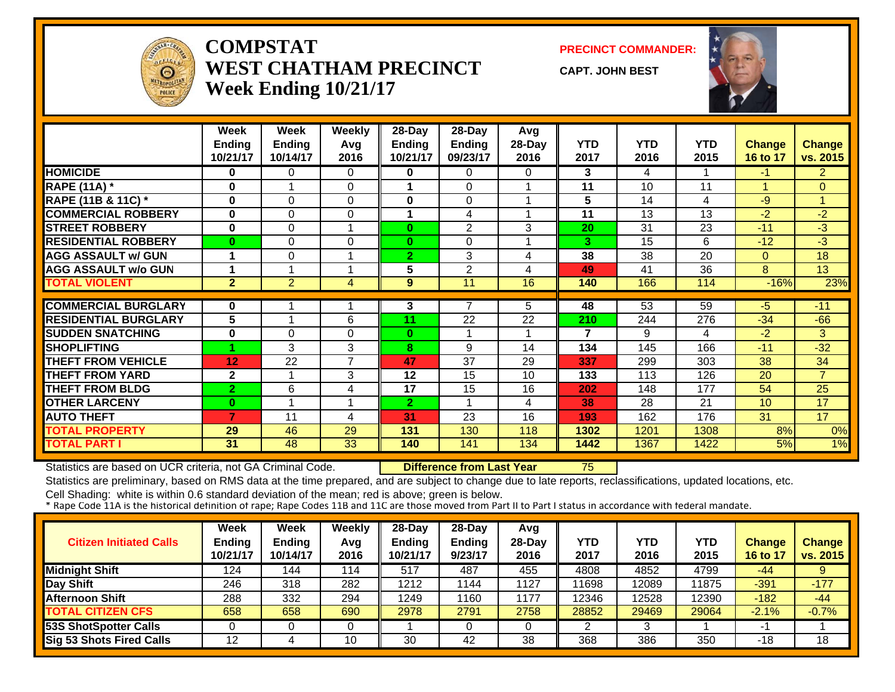

#### **COMPSTATWEST CHATHAM PRECINCTWeek Ending 10/21/17**

**PRECINCT COMMANDER:**

**CAPT. JOHN BEST**



|                             | <b>Week</b><br><b>Ending</b><br>10/21/17 | Week<br><b>Ending</b><br>10/14/17 | Weekly<br>Avg<br>2016 | 28-Day<br><b>Ending</b><br>10/21/17 | 28-Day<br><b>Ending</b><br>09/23/17 | Avg<br>28-Day<br>2016 | <b>YTD</b><br>2017 | <b>YTD</b><br>2016 | <b>YTD</b><br>2015 | Change<br>16 to 17 | <b>Change</b><br>vs. 2015 |
|-----------------------------|------------------------------------------|-----------------------------------|-----------------------|-------------------------------------|-------------------------------------|-----------------------|--------------------|--------------------|--------------------|--------------------|---------------------------|
| <b>HOMICIDE</b>             | 0                                        | 0                                 | $\Omega$              | 0                                   | 0                                   | 0                     | 3                  | 4                  |                    | -1                 | $\overline{2}$            |
| <b>RAPE (11A) *</b>         | $\bf{0}$                                 |                                   | $\Omega$              |                                     | $\Omega$                            |                       | 11                 | 10                 | 11                 |                    | $\Omega$                  |
| RAPE (11B & 11C) *          | $\bf{0}$                                 | 0                                 | $\Omega$              | 0                                   | $\Omega$                            |                       | 5                  | 14                 | 4                  | $-9$               | 1                         |
| <b>COMMERCIAL ROBBERY</b>   | $\bf{0}$                                 | 0                                 | 0                     |                                     | 4                                   |                       | 11                 | 13                 | 13                 | $-2$               | $-2$                      |
| <b>STREET ROBBERY</b>       | $\bf{0}$                                 | 0                                 | -1                    | $\bf{0}$                            | $\overline{2}$                      | 3                     | 20                 | 31                 | 23                 | $-11$              | $-3$                      |
| <b>RESIDENTIAL ROBBERY</b>  | $\bf{0}$                                 | 0                                 | 0                     | $\bf{0}$                            | $\Omega$                            |                       | 3                  | 15                 | 6                  | $-12$              | -3                        |
| <b>AGG ASSAULT w/ GUN</b>   | 1                                        | 0                                 | -1                    | $\overline{2}$                      | 3                                   | 4                     | 38                 | 38                 | 20                 | $\Omega$           | 18                        |
| <b>AGG ASSAULT w/o GUN</b>  | 1                                        |                                   | 4                     | 5                                   | 2                                   | 4                     | 49                 | 41                 | 36                 | 8                  | 13                        |
| <b>TOTAL VIOLENT</b>        | $\overline{2}$                           | $\overline{2}$                    | 4                     | 9                                   | 11                                  | 16                    | 140                | 166                | 114                | $-16%$             | 23%                       |
|                             |                                          |                                   |                       |                                     |                                     |                       |                    |                    |                    |                    |                           |
| <b>COMMERCIAL BURGLARY</b>  | $\mathbf 0$                              |                                   | 4                     | 3                                   | 7                                   | 5                     | 48                 | 53                 | 59                 | -5.                | $-11$                     |
| <b>RESIDENTIAL BURGLARY</b> | 5                                        | 4                                 | 6                     | 11                                  | 22                                  | 22                    | 210                | 244                | 276                | $-34$              | $-66$                     |
| <b>SUDDEN SNATCHING</b>     | $\bf{0}$                                 | 0                                 | $\Omega$              | $\bf{0}$                            |                                     |                       | 7                  | 9                  | 4                  | $-2$               | 3                         |
| <b>SHOPLIFTING</b>          |                                          | 3                                 | 3                     | 8                                   | 9                                   | 14                    | 134                | 145                | 166                | $-11$              | $-32$                     |
| <b>THEFT FROM VEHICLE</b>   | 12                                       | 22                                | $\overline{7}$        | 47                                  | 37                                  | 29                    | 337                | 299                | 303                | 38                 | 34                        |
| <b>THEFT FROM YARD</b>      | $\mathbf{2}$                             |                                   | 3                     | 12                                  | 15                                  | 10                    | 133                | 113                | 126                | 20                 | $\overline{7}$            |
| <b>THEFT FROM BLDG</b>      | $\overline{2}$                           | 6                                 | 4                     | 17                                  | 15                                  | 16                    | 202                | 148                | 177                | 54                 | 25                        |
| <b>OTHER LARCENY</b>        | $\bf{0}$                                 |                                   |                       | $\mathbf{2}$                        |                                     | 4                     | 38                 | 28                 | 21                 | 10                 | 17                        |
| <b>AUTO THEFT</b>           | $\overline{7}$                           | 11                                | 4                     | 31                                  | 23                                  | 16                    | 193                | 162                | 176                | 31                 | 17                        |
| <b>TOTAL PROPERTY</b>       | 29                                       | 46                                | 29                    | 131                                 | 130                                 | 118                   | 1302               | 1201               | 1308               | 8%                 | 0%                        |
| <b>TOTAL PART I</b>         | 31                                       | 48                                | 33                    | 140                                 | 141                                 | 134                   | 1442               | 1367               | 1422               | 5%                 | 1%                        |

Statistics are based on UCR criteria, not GA Criminal Code. **Difference from Last Year** 75

Statistics are preliminary, based on RMS data at the time prepared, and are subject to change due to late reports, reclassifications, updated locations, etc.

| <b>Citizen Initiated Calls</b> | <b>Week</b><br><b>Ending</b><br>10/21/17 | Week<br><b>Ending</b><br>10/14/17 | Weekly<br>Avg<br>2016 | $28$ -Day<br><b>Ending</b><br>10/21/17 | $28-Dav$<br><b>Ending</b><br>9/23/17 | Avg<br>$28-Day$<br>2016 | YTD<br>2017 | YTD<br>2016 | YTD<br>2015 | <b>Change</b><br>16 to 17 | <b>Change</b><br>vs. 2015 |
|--------------------------------|------------------------------------------|-----------------------------------|-----------------------|----------------------------------------|--------------------------------------|-------------------------|-------------|-------------|-------------|---------------------------|---------------------------|
| <b>Midnight Shift</b>          | 124                                      | 144                               | 114                   | 517                                    | 487                                  | 455                     | 4808        | 4852        | 4799        | $-44$                     | 9                         |
| Day Shift                      | 246                                      | 318                               | 282                   | 1212                                   | 1144                                 | 1127                    | 11698       | 2089        | 11875       | $-391$                    | $-177$                    |
| <b>Afternoon Shift</b>         | 288                                      | 332                               | 294                   | 1249                                   | 1160                                 | 1177                    | 12346       | 2528        | 12390       | $-182$                    | $-44$                     |
| <b>TOTAL CITIZEN CFS</b>       | 658                                      | 658                               | 690                   | 2978                                   | 2791                                 | 2758                    | 28852       | 29469       | 29064       | $-2.1%$                   | $-0.7%$                   |
| <b>53S ShotSpotter Calls</b>   |                                          |                                   |                       |                                        |                                      |                         |             |             |             | $-$                       |                           |
| Sig 53 Shots Fired Calls       | 12                                       |                                   | 10                    | 30                                     | 42                                   | 38                      | 368         | 386         | 350         | -18                       | 18                        |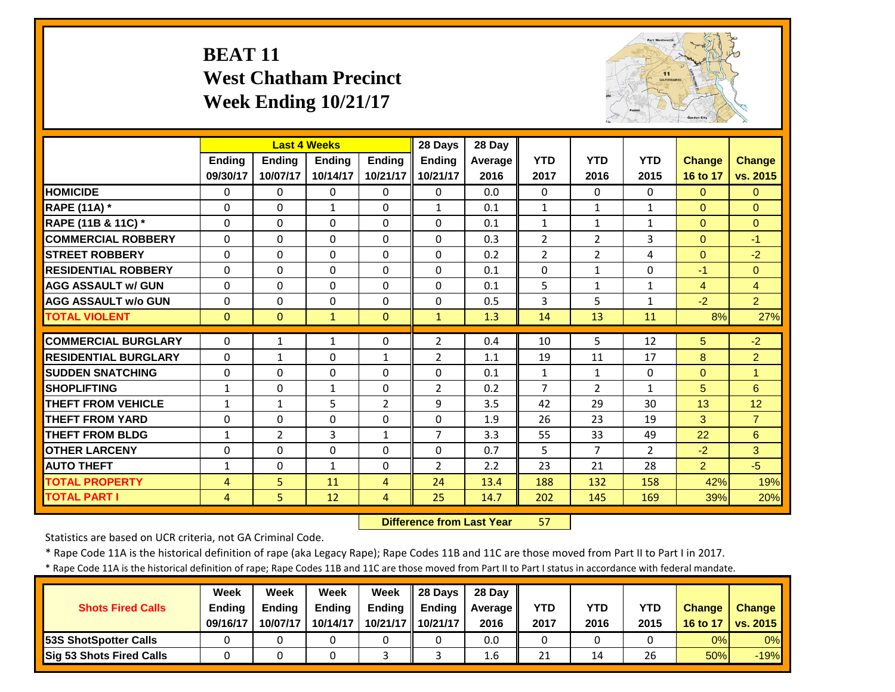#### **BEAT 11 West Chatham Precinct Week Ending 10/21/17**



|                             |                | <b>Last 4 Weeks</b> |               |                | 28 Days        | 28 Day  |                |                |                |                |                 |
|-----------------------------|----------------|---------------------|---------------|----------------|----------------|---------|----------------|----------------|----------------|----------------|-----------------|
|                             | <b>Ending</b>  | <b>Endina</b>       | <b>Endina</b> | <b>Ending</b>  | <b>Ending</b>  | Average | <b>YTD</b>     | <b>YTD</b>     | <b>YTD</b>     | <b>Change</b>  | <b>Change</b>   |
|                             | 09/30/17       | 10/07/17            | 10/14/17      | 10/21/17       | 10/21/17       | 2016    | 2017           | 2016           | 2015           | 16 to 17       | vs. 2015        |
| <b>HOMICIDE</b>             | $\Omega$       | $\Omega$            | $\Omega$      | $\mathbf{0}$   | $\Omega$       | 0.0     | $\Omega$       | $\Omega$       | 0              | $\Omega$       | $\Omega$        |
| <b>RAPE (11A) *</b>         | $\Omega$       | $\Omega$            | $\mathbf{1}$  | $\Omega$       | $\mathbf{1}$   | 0.1     | $\mathbf{1}$   | $\mathbf{1}$   | $\mathbf{1}$   | $\Omega$       | $\Omega$        |
| RAPE (11B & 11C) *          | $\mathbf 0$    | $\Omega$            | $\Omega$      | $\Omega$       | $\Omega$       | 0.1     | $\mathbf{1}$   | $\mathbf{1}$   | $\mathbf{1}$   | $\overline{0}$ | $\Omega$        |
| <b>COMMERCIAL ROBBERY</b>   | $\Omega$       | $\Omega$            | $\Omega$      | $\Omega$       | $\Omega$       | 0.3     | $\overline{2}$ | $\overline{2}$ | 3              | $\Omega$       | $-1$            |
| <b>ISTREET ROBBERY</b>      | $\Omega$       | $\Omega$            | $\Omega$      | $\Omega$       | $\Omega$       | 0.2     | $\overline{2}$ | $\overline{2}$ | 4              | $\Omega$       | $-2$            |
| <b>RESIDENTIAL ROBBERY</b>  | $\Omega$       | $\Omega$            | $\Omega$      | $\Omega$       | $\Omega$       | 0.1     | $\Omega$       | $\mathbf{1}$   | 0              | $-1$           | $\Omega$        |
| <b>AGG ASSAULT w/ GUN</b>   | $\Omega$       | $\Omega$            | $\Omega$      | $\Omega$       | $\Omega$       | 0.1     | 5              | $\mathbf{1}$   | $\mathbf{1}$   | $\overline{4}$ | $\overline{4}$  |
| <b>AGG ASSAULT w/o GUN</b>  | $\Omega$       | $\Omega$            | $\Omega$      | $\Omega$       | $\Omega$       | 0.5     | 3              | 5              | $\mathbf{1}$   | $-2$           | $\overline{2}$  |
| <b>TOTAL VIOLENT</b>        | $\mathbf{0}$   | $\Omega$            | $\mathbf{1}$  | $\Omega$       | $\mathbf{1}$   | 1.3     | 14             | 13             | 11             | 8%             | 27%             |
| <b>COMMERCIAL BURGLARY</b>  | $\Omega$       | 1                   | $\mathbf{1}$  | $\Omega$       | $\overline{2}$ | 0.4     | 10             | 5              | 12             | 5              | $-2$            |
| <b>RESIDENTIAL BURGLARY</b> | 0              | 1                   | 0             | $\mathbf{1}$   | 2              | 1.1     | 19             | 11             | 17             | 8              | $\overline{2}$  |
| <b>ISUDDEN SNATCHING</b>    | 0              | $\Omega$            | $\Omega$      | 0              | $\Omega$       | 0.1     | $\mathbf{1}$   | $\mathbf{1}$   | 0              | $\Omega$       | 1               |
| <b>SHOPLIFTING</b>          | $\mathbf{1}$   | $\Omega$            | $\mathbf{1}$  | 0              | $\overline{2}$ | 0.2     | $\overline{7}$ | 2              | $\mathbf{1}$   | 5              | 6               |
| <b>THEFT FROM VEHICLE</b>   | $\mathbf{1}$   | $\mathbf{1}$        | 5             | $\overline{2}$ | 9              | 3.5     | 42             | 29             | 30             | 13             | 12 <sup>2</sup> |
| <b>THEFT FROM YARD</b>      | $\Omega$       | $\Omega$            | $\Omega$      | $\Omega$       | $\Omega$       | 1.9     | 26             | 23             | 19             | 3              | $\overline{7}$  |
| <b>THEFT FROM BLDG</b>      | 1              | $\overline{2}$      | 3             | 1              | $\overline{7}$ | 3.3     | 55             | 33             | 49             | 22             | 6               |
| <b>OTHER LARCENY</b>        | $\Omega$       | $\Omega$            | $\Omega$      | 0              | $\Omega$       | 0.7     | 5              | $\overline{7}$ | $\overline{2}$ | $-2$           | 3               |
| <b>AUTO THEFT</b>           | $\mathbf{1}$   | $\Omega$            | $\mathbf{1}$  | 0              | $\overline{2}$ | 2.2     | 23             | 21             | 28             | $\overline{2}$ | $-5$            |
| <b>TOTAL PROPERTY</b>       | 4              | 5                   | 11            | 4              | 24             | 13.4    | 188            | 132            | 158            | 42%            | 19%             |
| <b>TOTAL PART I</b>         | $\overline{4}$ | 5                   | 12            | 4              | 25             | 14.7    | 202            | 145            | 169            | 39%            | 20%             |

 **Difference from Last Year**57

Statistics are based on UCR criteria, not GA Criminal Code.

\* Rape Code 11A is the historical definition of rape (aka Legacy Rape); Rape Codes 11B and 11C are those moved from Part II to Part I in 2017.

\* Rape Code 11A is the historical definition of rape; Rape Codes 11B and 11C are those moved from Part II to Part I status in accordance with federal mandate.

|                                 | Week          | Week          | Week          | Week          | 28 Davs       | 28 Day     |      |      |            |               |                         |
|---------------------------------|---------------|---------------|---------------|---------------|---------------|------------|------|------|------------|---------------|-------------------------|
| <b>Shots Fired Calls</b>        | <b>Ending</b> | <b>Ending</b> | <b>Ending</b> | <b>Ending</b> | <b>Endina</b> | Average II | YTD  | YTD  | <b>YTD</b> | <b>Change</b> | <b>Change</b>           |
|                                 | 09/16/17      | 10/07/17      | 10/14/17      | 10/21/17      | 10/21/17      | 2016       | 2017 | 2016 | 2015       | 16 to 17      | <b>ODE</b> I vs. 2015 I |
| <b>53S ShotSpotter Calls</b>    |               |               |               |               |               | 0.0        |      |      |            | 0%            | 0%                      |
| <b>Sig 53 Shots Fired Calls</b> |               |               |               |               |               | 1.6        | 21   | 14   | 26         | 50%           | $-19%$                  |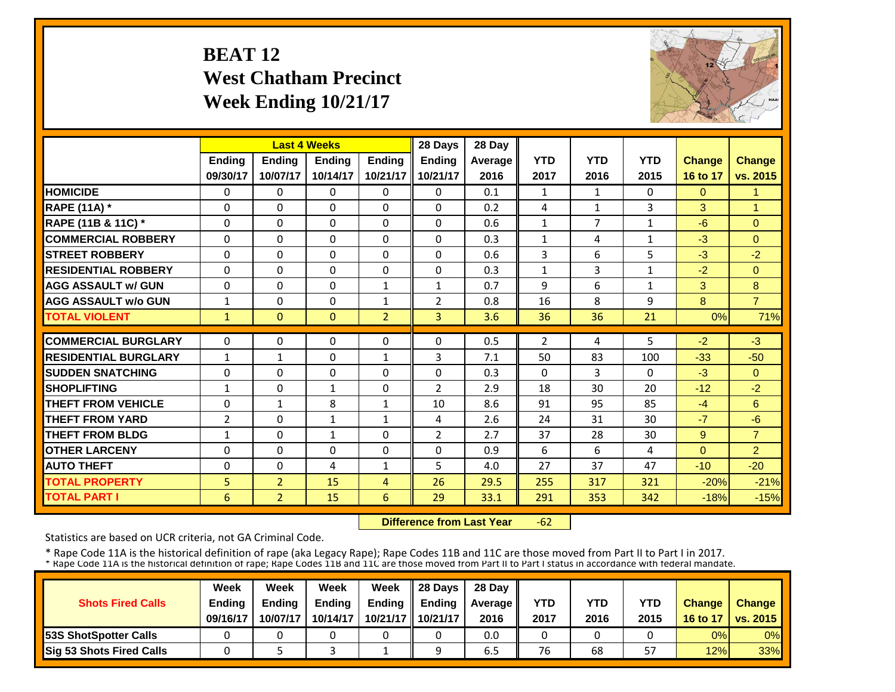#### **BEAT 12 West Chatham Precinct Week Ending 10/21/17**



|                             |                |                | <b>Last 4 Weeks</b> |                | 28 Days        | 28 Day  |                |                |              |               |                |
|-----------------------------|----------------|----------------|---------------------|----------------|----------------|---------|----------------|----------------|--------------|---------------|----------------|
|                             | Ending         | Ending         | Ending              | <b>Ending</b>  | <b>Ending</b>  | Average | <b>YTD</b>     | <b>YTD</b>     | <b>YTD</b>   | <b>Change</b> | Change         |
|                             | 09/30/17       | 10/07/17       | 10/14/17            | 10/21/17       | 10/21/17       | 2016    | 2017           | 2016           | 2015         | 16 to 17      | vs. 2015       |
| <b>HOMICIDE</b>             | $\Omega$       | $\Omega$       | $\Omega$            | 0              | $\Omega$       | 0.1     | $\mathbf{1}$   | $\mathbf{1}$   | 0            | $\mathbf{0}$  | 1              |
| <b>RAPE (11A)</b> *         | $\Omega$       | $\Omega$       | $\Omega$            | $\Omega$       | 0              | 0.2     | 4              | $\mathbf{1}$   | 3            | 3             | 1              |
| RAPE (11B & 11C) *          | 0              | $\Omega$       | $\Omega$            | $\Omega$       | 0              | 0.6     | $\mathbf{1}$   | $\overline{7}$ | 1            | $-6$          | $\Omega$       |
| <b>COMMERCIAL ROBBERY</b>   | $\Omega$       | $\Omega$       | $\Omega$            | 0              | 0              | 0.3     | $\mathbf{1}$   | 4              | $\mathbf{1}$ | $-3$          | $\Omega$       |
| <b>STREET ROBBERY</b>       | $\Omega$       | $\Omega$       | $\Omega$            | $\Omega$       | 0              | 0.6     | 3              | 6              | 5            | $-3$          | $-2$           |
| <b>RESIDENTIAL ROBBERY</b>  | $\Omega$       | $\Omega$       | $\Omega$            | $\Omega$       | 0              | 0.3     | $\mathbf{1}$   | 3              | $\mathbf{1}$ | $-2$          | $\Omega$       |
| <b>AGG ASSAULT w/ GUN</b>   | $\Omega$       | $\Omega$       | $\Omega$            | 1              | $\mathbf{1}$   | 0.7     | 9              | 6              | 1            | 3             | 8              |
| <b>AGG ASSAULT w/o GUN</b>  | 1              | $\Omega$       | $\Omega$            | $\mathbf{1}$   | $\overline{2}$ | 0.8     | 16             | 8              | 9            | 8             | $\overline{7}$ |
| <b>TOTAL VIOLENT</b>        | $\mathbf{1}$   | $\Omega$       | $\Omega$            | $\overline{2}$ | $\overline{3}$ | 3.6     | 36             | 36             | 21           | 0%            | 71%            |
| <b>COMMERCIAL BURGLARY</b>  | $\Omega$       | $\Omega$       | $\Omega$            | 0              | 0              | 0.5     | $\overline{2}$ | 4              | 5            | $-2$          | $-3$           |
| <b>RESIDENTIAL BURGLARY</b> | $\mathbf{1}$   | $\mathbf{1}$   | $\Omega$            | $\mathbf{1}$   | 3              | 7.1     | 50             | 83             | 100          | $-33$         | $-50$          |
| <b>SUDDEN SNATCHING</b>     | 0              | $\Omega$       | $\Omega$            | $\Omega$       | 0              | 0.3     | $\Omega$       | 3              | 0            | $-3$          | $\Omega$       |
| <b>SHOPLIFTING</b>          | $\mathbf{1}$   | $\Omega$       | 1                   | $\Omega$       | $\overline{2}$ | 2.9     | 18             | 30             | 20           | $-12$         | $-2$           |
| <b>THEFT FROM VEHICLE</b>   | $\Omega$       | $\mathbf{1}$   | 8                   | $\mathbf{1}$   | 10             | 8.6     | 91             | 95             | 85           | $-4$          | 6              |
| <b>THEFT FROM YARD</b>      | $\overline{2}$ | $\Omega$       | 1                   | $\mathbf{1}$   | 4              | 2.6     | 24             | 31             | 30           | $-7$          | $-6$           |
| <b>THEFT FROM BLDG</b>      | 1              | $\Omega$       | 1                   | 0              | $\overline{2}$ | 2.7     | 37             | 28             | 30           | 9             | $\overline{7}$ |
| <b>OTHER LARCENY</b>        | $\Omega$       | $\Omega$       | $\Omega$            | $\Omega$       | 0              | 0.9     | 6              | 6              | 4            | $\Omega$      | $\overline{2}$ |
| <b>AUTO THEFT</b>           | $\Omega$       | $\Omega$       | 4                   | $\mathbf{1}$   | 5              | 4.0     | 27             | 37             | 47           | $-10$         | $-20$          |
| <b>TOTAL PROPERTY</b>       | 5              | $\overline{2}$ | 15                  | 4              | 26             | 29.5    | 255            | 317            | 321          | $-20%$        | $-21%$         |
| <b>TOTAL PART I</b>         | 6              | $\overline{2}$ | 15                  | 6              | 29             | 33.1    | 291            | 353            | 342          | $-18%$        | $-15%$         |

 **Difference from Last Year** $-62$ 

Statistics are based on UCR criteria, not GA Criminal Code.

|                               | Week     | Week     | Week          | Week          | Il 28 Davs    | 28 Day         |      |      |      |               |                 |
|-------------------------------|----------|----------|---------------|---------------|---------------|----------------|------|------|------|---------------|-----------------|
| <b>Shots Fired Calls</b>      | Ending   | Ending   | <b>Ending</b> | <b>Ending</b> | <b>Ending</b> | <b>Average</b> | YTD  | YTD  | YTD  | <b>Change</b> | <b>Change</b>   |
|                               | 09/16/17 | 10/07/17 | 10/14/17      | 10/21/17      | 10/21/17      | 2016           | 2017 | 2016 | 2015 | 16 to 17      | <b>vs. 2015</b> |
| <b>153S ShotSpotter Calls</b> |          |          |               |               |               | 0.0            |      |      |      | 0%            | 0%              |
| Sig 53 Shots Fired Calls      |          |          |               |               |               | 6.5            | 76   | 68   | 57   | 12%           | $33\%$          |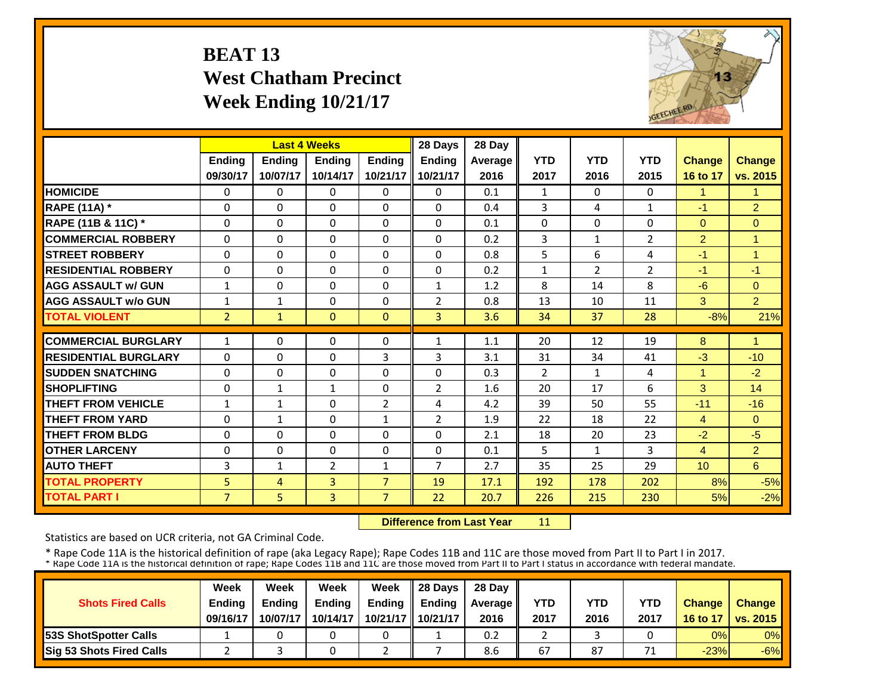#### **BEAT 13 West Chatham Precinct Week Ending 10/21/17**



|                             |                |               | <b>Last 4 Weeks</b> |                | 28 Days        | 28 Day  |                |              |                |                      |                |
|-----------------------------|----------------|---------------|---------------------|----------------|----------------|---------|----------------|--------------|----------------|----------------------|----------------|
|                             | <b>Ending</b>  | <b>Ending</b> | Ending              | <b>Ending</b>  | <b>Ending</b>  | Average | <b>YTD</b>     | <b>YTD</b>   | <b>YTD</b>     | <b>Change</b>        | <b>Change</b>  |
|                             | 09/30/17       | 10/07/17      | 10/14/17            | 10/21/17       | 10/21/17       | 2016    | 2017           | 2016         | 2015           | 16 to 17             | vs. 2015       |
| <b>HOMICIDE</b>             | 0              | $\Omega$      | 0                   | $\Omega$       | $\Omega$       | 0.1     | 1              | $\Omega$     | 0              | $\blacktriangleleft$ | -1             |
| <b>RAPE (11A)</b> *         | $\Omega$       | $\Omega$      | $\Omega$            | 0              | $\Omega$       | 0.4     | 3              | 4            | $\mathbf{1}$   | $-1$                 | $\overline{2}$ |
| RAPE (11B & 11C) *          | $\Omega$       | $\Omega$      | $\Omega$            | $\Omega$       | $\Omega$       | 0.1     | $\mathbf{0}$   | $\Omega$     | 0              | $\mathbf{0}$         | $\Omega$       |
| <b>COMMERCIAL ROBBERY</b>   | $\Omega$       | $\Omega$      | $\Omega$            | 0              | $\Omega$       | 0.2     | 3              | 1            | $\overline{2}$ | 2                    | -1             |
| <b>ISTREET ROBBERY</b>      | $\Omega$       | $\Omega$      | $\Omega$            | 0              | $\Omega$       | 0.8     | 5              | 6            | 4              | $-1$                 | 1              |
| <b>RESIDENTIAL ROBBERY</b>  | $\Omega$       | $\Omega$      | $\Omega$            | 0              | $\Omega$       | 0.2     | $\mathbf{1}$   | 2            | $\overline{2}$ | $-1$                 | $-1$           |
| <b>AGG ASSAULT w/ GUN</b>   | $\mathbf{1}$   | $\Omega$      | $\Omega$            | 0              | $\mathbf{1}$   | 1.2     | 8              | 14           | 8              | $-6$                 | $\Omega$       |
| <b>AGG ASSAULT w/o GUN</b>  | $\mathbf{1}$   | $\mathbf{1}$  | $\Omega$            | 0              | $\overline{2}$ | 0.8     | 13             | 10           | 11             | 3                    | 2 <sup>1</sup> |
| <b>TOTAL VIOLENT</b>        | $\overline{2}$ | $\mathbf{1}$  | $\Omega$            | $\Omega$       | 3              | 3.6     | 34             | 37           | 28             | $-8%$                | 21%            |
| <b>COMMERCIAL BURGLARY</b>  | $\mathbf{1}$   | $\Omega$      | $\Omega$            | 0              | $\mathbf{1}$   | 1.1     | 20             | 12           | 19             | 8                    | -1             |
| <b>RESIDENTIAL BURGLARY</b> | $\Omega$       | $\Omega$      | $\Omega$            | 3              | 3              | 3.1     | 31             | 34           | 41             | $-3$                 | $-10$          |
| <b>ISUDDEN SNATCHING</b>    | 0              | $\Omega$      | 0                   | 0              | $\Omega$       | 0.3     | $\overline{2}$ | $\mathbf{1}$ | 4              | 1                    | $-2$           |
| <b>SHOPLIFTING</b>          | $\Omega$       | $\mathbf{1}$  | $\mathbf{1}$        | 0              | $\overline{2}$ | 1.6     | 20             | 17           | 6              | 3                    | 14             |
| <b>THEFT FROM VEHICLE</b>   | $\mathbf{1}$   | $\mathbf{1}$  | $\Omega$            | $\overline{2}$ | 4              | 4.2     | 39             | 50           | 55             | $-11$                | $-16$          |
| <b>THEFT FROM YARD</b>      | 0              | $\mathbf{1}$  | $\Omega$            | 1              | $\overline{2}$ | 1.9     | 22             | 18           | 22             | $\overline{4}$       | $\Omega$       |
| <b>THEFT FROM BLDG</b>      | 0              | $\Omega$      | $\Omega$            | 0              | $\Omega$       | 2.1     | 18             | 20           | 23             | $-2$                 | $-5$           |
| <b>OTHER LARCENY</b>        | $\Omega$       | $\Omega$      | $\Omega$            | 0              | $\Omega$       | 0.1     | 5              | $\mathbf{1}$ | 3              | $\overline{4}$       | $\overline{2}$ |
| <b>AUTO THEFT</b>           | 3              | $\mathbf{1}$  | $\overline{2}$      | 1              | $\overline{7}$ | 2.7     | 35             | 25           | 29             | 10                   | 6              |
| <b>TOTAL PROPERTY</b>       | 5              | 4             | 3                   | $\overline{7}$ | 19             | 17.1    | 192            | 178          | 202            | 8%                   | $-5%$          |
| <b>TOTAL PART I</b>         | $\overline{7}$ | 5             | $\overline{3}$      | $\overline{7}$ | 22             | 20.7    | 226            | 215          | 230            | 5%                   | $-2%$          |

 **Difference from Last Year**11

Statistics are based on UCR criteria, not GA Criminal Code.

|                               | Week          | Week          | Week          | Week          | $\parallel$ 28 Davs | 28 Day    |      |      |      |               |                     |
|-------------------------------|---------------|---------------|---------------|---------------|---------------------|-----------|------|------|------|---------------|---------------------|
| <b>Shots Fired Calls</b>      | <b>Ending</b> | <b>Ending</b> | <b>Ending</b> | <b>Ending</b> | <b>Ending</b>       | Average I | YTD  | YTD  | YTD  | <b>Change</b> | <b>Change</b>       |
|                               | 09/16/17      | 10/07/17      | 10/14/17      |               | 10/21/17   10/21/17 | 2016      | 2017 | 2016 | 2017 |               | 16 to 17   vs. 2015 |
| <b>153S ShotSpotter Calls</b> |               |               |               |               |                     | 0.2       |      |      |      | 0%            | $0\%$               |
| Sig 53 Shots Fired Calls      |               |               |               |               |                     | 8.6       | 67   | 87   | 74   | $-23%$        | $-6%$               |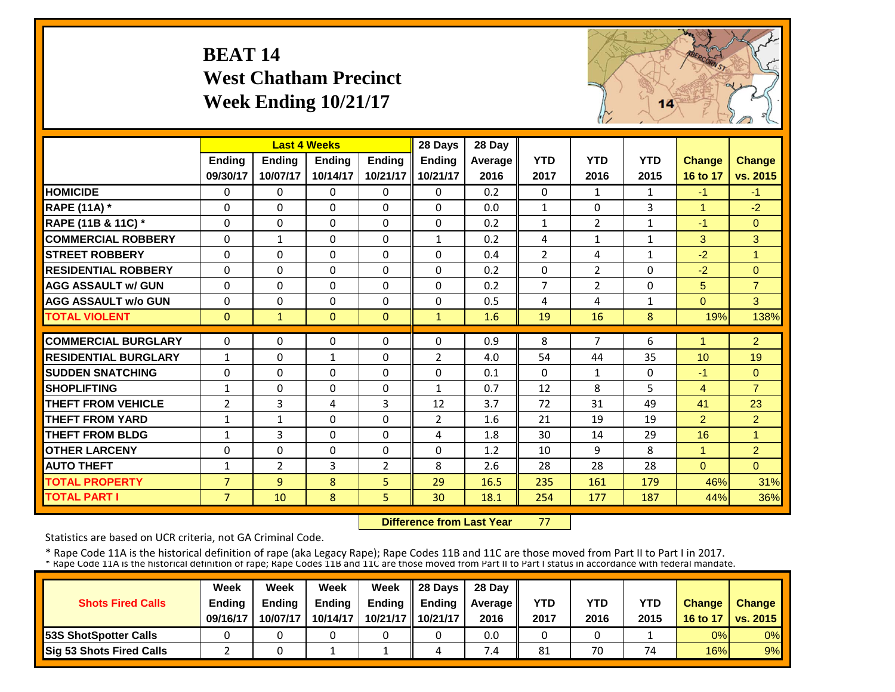#### **BEAT 14 West Chatham Precinct Week Ending 10/21/17**



|                             |                |                | <b>Last 4 Weeks</b> |                | 28 Days        | 28 Day  |                |                |              |                |                |
|-----------------------------|----------------|----------------|---------------------|----------------|----------------|---------|----------------|----------------|--------------|----------------|----------------|
|                             | <b>Ending</b>  | <b>Ending</b>  | <b>Ending</b>       | <b>Endina</b>  | Ending         | Average | <b>YTD</b>     | <b>YTD</b>     | <b>YTD</b>   | <b>Change</b>  | <b>Change</b>  |
|                             | 09/30/17       | 10/07/17       | 10/14/17            | 10/21/17       | 10/21/17       | 2016    | 2017           | 2016           | 2015         | 16 to 17       | vs. 2015       |
| <b>HOMICIDE</b>             | $\Omega$       | 0              | $\mathbf{0}$        | $\Omega$       | $\Omega$       | 0.2     | $\Omega$       | $\mathbf{1}$   | $\mathbf{1}$ | $-1$           | $-1$           |
| <b>RAPE (11A)</b> *         | $\Omega$       | $\Omega$       | $\Omega$            | $\Omega$       | $\Omega$       | 0.0     | $\mathbf{1}$   | $\Omega$       | 3            | $\mathbf{1}$   | $-2$           |
| RAPE (11B & 11C) *          | $\Omega$       | $\Omega$       | $\Omega$            | $\Omega$       | $\Omega$       | 0.2     | $\mathbf{1}$   | $\overline{2}$ | $\mathbf{1}$ | $-1$           | $\Omega$       |
| <b>COMMERCIAL ROBBERY</b>   | $\Omega$       | $\mathbf{1}$   | 0                   | $\Omega$       | $\mathbf{1}$   | 0.2     | 4              | $\mathbf{1}$   | 1            | 3              | 3              |
| <b>STREET ROBBERY</b>       | $\mathbf 0$    | 0              | 0                   | $\Omega$       | $\Omega$       | 0.4     | $\overline{2}$ | 4              | 1            | $-2$           | $\overline{1}$ |
| <b>RESIDENTIAL ROBBERY</b>  | $\Omega$       | $\Omega$       | $\Omega$            | $\Omega$       | $\Omega$       | 0.2     | $\Omega$       | 2              | 0            | $-2$           | $\Omega$       |
| <b>AGG ASSAULT w/ GUN</b>   | $\Omega$       | $\Omega$       | $\Omega$            | $\Omega$       | $\Omega$       | 0.2     | $\overline{7}$ | $\overline{2}$ | $\Omega$     | 5              | $\overline{7}$ |
| <b>AGG ASSAULT w/o GUN</b>  | $\Omega$       | $\Omega$       | $\Omega$            | $\Omega$       | $\Omega$       | 0.5     | 4              | 4              | $\mathbf{1}$ | $\Omega$       | 3              |
| <b>TOTAL VIOLENT</b>        | $\mathbf{0}$   | $\mathbf{1}$   | $\mathbf{0}$        | $\mathbf{0}$   | $\mathbf{1}$   | 1.6     | 19             | 16             | 8            | 19%            | 138%           |
| <b>COMMERCIAL BURGLARY</b>  | $\Omega$       | 0              | 0                   | $\Omega$       | 0              | 0.9     | 8              | 7              | 6            |                | $\overline{2}$ |
| <b>RESIDENTIAL BURGLARY</b> | $\mathbf{1}$   | 0              | $\mathbf{1}$        | $\Omega$       | $\overline{2}$ | 4.0     | 54             | 44             | 35           | 10             | 19             |
| <b>SUDDEN SNATCHING</b>     | $\Omega$       | 0              | $\Omega$            | $\Omega$       | $\Omega$       | 0.1     | $\Omega$       | $\mathbf{1}$   | 0            | $-1$           | $\Omega$       |
| <b>SHOPLIFTING</b>          | $\mathbf{1}$   | $\Omega$       | $\mathbf 0$         | $\Omega$       | $\mathbf{1}$   | 0.7     | 12             | 8              | 5            | $\overline{4}$ | $\overline{7}$ |
| <b>THEFT FROM VEHICLE</b>   | $\overline{2}$ | 3              | 4                   | 3              | 12             | 3.7     | 72             | 31             | 49           | 41             | 23             |
| <b>THEFT FROM YARD</b>      | $\mathbf{1}$   | $\mathbf{1}$   | $\Omega$            | $\Omega$       | $\overline{2}$ | 1.6     | 21             | 19             | 19           | $\overline{2}$ | 2 <sup>1</sup> |
| <b>THEFT FROM BLDG</b>      | $\mathbf{1}$   | 3              | $\Omega$            | $\Omega$       | 4              | 1.8     | 30             | 14             | 29           | 16             | 1              |
| <b>OTHER LARCENY</b>        | $\Omega$       | $\Omega$       | $\Omega$            | $\Omega$       | $\Omega$       | 1.2     | 10             | 9              | 8            | 1              | $\overline{2}$ |
| <b>AUTO THEFT</b>           | $\mathbf{1}$   | $\overline{2}$ | 3                   | $\overline{2}$ | 8              | 2.6     | 28             | 28             | 28           | $\Omega$       | $\Omega$       |
| <b>TOTAL PROPERTY</b>       | $\overline{7}$ | 9              | 8                   | 5              | 29             | 16.5    | 235            | 161            | 179          | 46%            | 31%            |
| <b>TOTAL PART I</b>         | $\overline{7}$ | 10             | 8                   | 5              | 30             | 18.1    | 254            | 177            | 187          | 44%            | 36%            |

 **Difference from Last Year**77

Statistics are based on UCR criteria, not GA Criminal Code.

|                               | Week     | Week     | Week          | Week          | Il 28 Davs    | 28 Day         |      |      |      |               |                 |
|-------------------------------|----------|----------|---------------|---------------|---------------|----------------|------|------|------|---------------|-----------------|
| <b>Shots Fired Calls</b>      | Ending   | Ending   | <b>Ending</b> | <b>Ending</b> | <b>Ending</b> | <b>Average</b> | YTD  | YTD  | YTD  | <b>Change</b> | <b>Change</b>   |
|                               | 09/16/17 | 10/07/17 | 10/14/17      | 10/21/17      | 10/21/17      | 2016           | 2017 | 2016 | 2015 | 16 to 17      | <b>vs. 2015</b> |
| <b>153S ShotSpotter Calls</b> |          |          |               |               |               | 0.0            |      |      |      | 0%            | 0%              |
| Sig 53 Shots Fired Calls      |          |          |               |               | 4             | $\cdot$ .4     | 81   | 70   | 74   | 16%           | 9%              |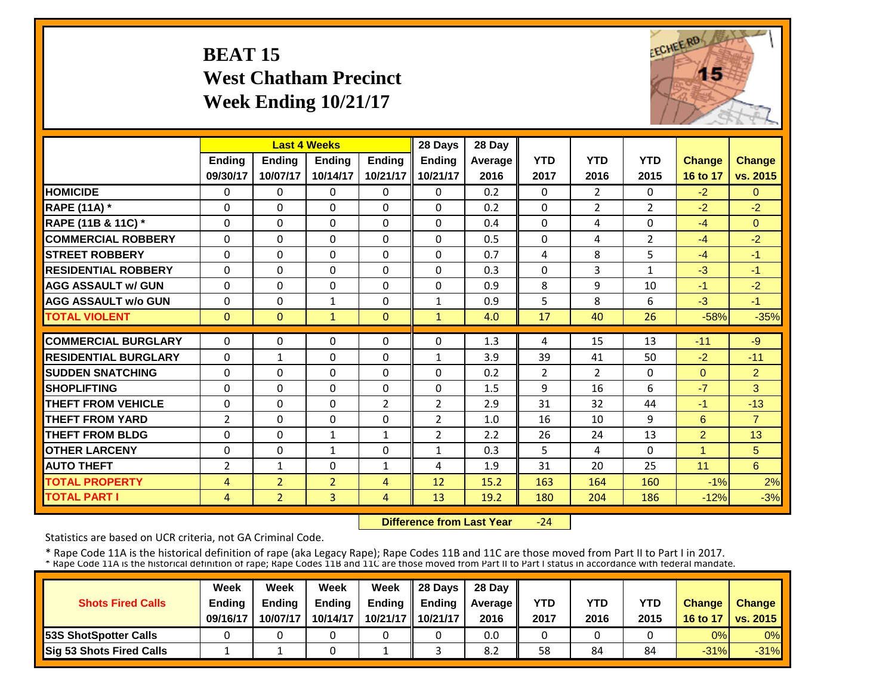#### **BEAT 15 West Chatham Precinct Week Ending 10/21/17**



|                             |                |                | <b>Last 4 Weeks</b> |               | 28 Days        | 28 Day  |                |                |                |                |                |
|-----------------------------|----------------|----------------|---------------------|---------------|----------------|---------|----------------|----------------|----------------|----------------|----------------|
|                             | <b>Ending</b>  | <b>Ending</b>  | <b>Ending</b>       | <b>Ending</b> | <b>Ending</b>  | Average | <b>YTD</b>     | <b>YTD</b>     | <b>YTD</b>     | <b>Change</b>  | Change         |
|                             | 09/30/17       | 10/07/17       | 10/14/17            | 10/21/17      | 10/21/17       | 2016    | 2017           | 2016           | 2015           | 16 to 17       | vs. 2015       |
| <b>HOMICIDE</b>             | $\Omega$       | $\Omega$       | 0                   | $\Omega$      | $\Omega$       | 0.2     | $\Omega$       | $\overline{2}$ | 0              | $-2$           | $\Omega$       |
| <b>RAPE (11A) *</b>         | $\Omega$       | $\Omega$       | $\Omega$            | $\Omega$      | $\Omega$       | 0.2     | $\Omega$       | $\overline{2}$ | $\overline{2}$ | $-2$           | $-2$           |
| RAPE (11B & 11C) *          | $\Omega$       | $\Omega$       | $\Omega$            | $\Omega$      | $\Omega$       | 0.4     | $\Omega$       | 4              | 0              | $-4$           | $\Omega$       |
| <b>COMMERCIAL ROBBERY</b>   | $\Omega$       | $\Omega$       | $\Omega$            | $\Omega$      | $\Omega$       | 0.5     | $\Omega$       | 4              | $\overline{2}$ | $-4$           | $-2$           |
| <b>ISTREET ROBBERY</b>      | $\Omega$       | $\Omega$       | $\Omega$            | $\Omega$      | $\Omega$       | 0.7     | 4              | 8              | 5              | $-4$           | $-1$           |
| <b>RESIDENTIAL ROBBERY</b>  | $\Omega$       | $\Omega$       | $\Omega$            | $\Omega$      | $\Omega$       | 0.3     | $\Omega$       | 3              | $\mathbf{1}$   | $-3$           | $-1$           |
| <b>AGG ASSAULT w/ GUN</b>   | $\Omega$       | $\Omega$       | $\Omega$            | $\Omega$      | 0              | 0.9     | 8              | 9              | 10             | $-1$           | $-2$           |
| <b>AGG ASSAULT w/o GUN</b>  | 0              | 0              | 1                   | 0             | 1              | 0.9     | 5              | 8              | 6              | $-3$           | $-1$           |
| <b>TOTAL VIOLENT</b>        | $\mathbf{0}$   | $\Omega$       | $\mathbf{1}$        | $\mathbf{0}$  | $\mathbf{1}$   | 4.0     | 17             | 40             | 26             | $-58%$         | $-35%$         |
| <b>COMMERCIAL BURGLARY</b>  | $\Omega$       | $\Omega$       | $\Omega$            | $\Omega$      | $\Omega$       | 1.3     | 4              | 15             | 13             | $-11$          | $-9$           |
| <b>RESIDENTIAL BURGLARY</b> | $\Omega$       | $\mathbf{1}$   | $\mathbf{0}$        | $\Omega$      | 1              | 3.9     | 39             | 41             | 50             | $-2$           | $-11$          |
| <b>SUDDEN SNATCHING</b>     | $\Omega$       | $\Omega$       | $\Omega$            | $\Omega$      | $\Omega$       | 0.2     | $\overline{2}$ | $\overline{2}$ | 0              | $\Omega$       | $\overline{2}$ |
| <b>SHOPLIFTING</b>          | 0              | $\Omega$       | 0                   | 0             | 0              | 1.5     | 9              | 16             | 6              | $-7$           | 3              |
| <b>THEFT FROM VEHICLE</b>   | 0              | $\Omega$       | $\Omega$            | 2             | $\overline{2}$ | 2.9     | 31             | 32             | 44             | $-1$           | $-13$          |
| <b>THEFT FROM YARD</b>      | $\overline{2}$ | $\Omega$       | $\Omega$            | $\Omega$      | $\overline{2}$ | 1.0     | 16             | 10             | 9              | 6              | $\overline{7}$ |
| <b>THEFT FROM BLDG</b>      | 0              | $\Omega$       | $\mathbf{1}$        | $\mathbf{1}$  | $\overline{2}$ | 2.2     | 26             | 24             | 13             | $\overline{2}$ | 13             |
| <b>OTHER LARCENY</b>        | 0              | $\Omega$       | $\mathbf{1}$        | 0             | $\mathbf{1}$   | 0.3     | 5              | 4              | 0              | 1              | 5              |
| <b>AUTO THEFT</b>           | 2              | $\mathbf{1}$   | $\Omega$            | 1             | 4              | 1.9     | 31             | 20             | 25             | 11             | 6              |
| <b>TOTAL PROPERTY</b>       | 4              | $\overline{2}$ | $\overline{2}$      | 4             | 12             | 15.2    | 163            | 164            | 160            | $-1\%$         | 2%             |
| <b>TOTAL PART I</b>         | 4              | $\overline{2}$ | $\overline{3}$      | 4             | 13             | 19.2    | 180            | 204            | 186            | $-12%$         | $-3%$          |
|                             |                |                |                     |               |                |         |                |                |                |                |                |

 **Difference from Last Year** $-24$ 

Statistics are based on UCR criteria, not GA Criminal Code.

|                               | Week          | Week          | Week          | Week          | $\parallel$ 28 Davs | 28 Day    |      |      |      |               |                     |
|-------------------------------|---------------|---------------|---------------|---------------|---------------------|-----------|------|------|------|---------------|---------------------|
| <b>Shots Fired Calls</b>      | <b>Ending</b> | <b>Ending</b> | <b>Ending</b> | <b>Ending</b> | <b>Ending</b>       | Average I | YTD  | YTD  | YTD  | <b>Change</b> | <b>Change</b>       |
|                               | 09/16/17      | 10/07/17      | 10/14/17      |               | 10/21/17   10/21/17 | 2016      | 2017 | 2016 | 2015 |               | 16 to 17   vs. 2015 |
| <b>153S ShotSpotter Calls</b> |               |               |               |               |                     | 0.0       |      |      |      | 0%            | $0\%$               |
| Sig 53 Shots Fired Calls      |               |               |               |               |                     | 8.2       | 58   | 84   | 84   | $-31%$        | $-31%$              |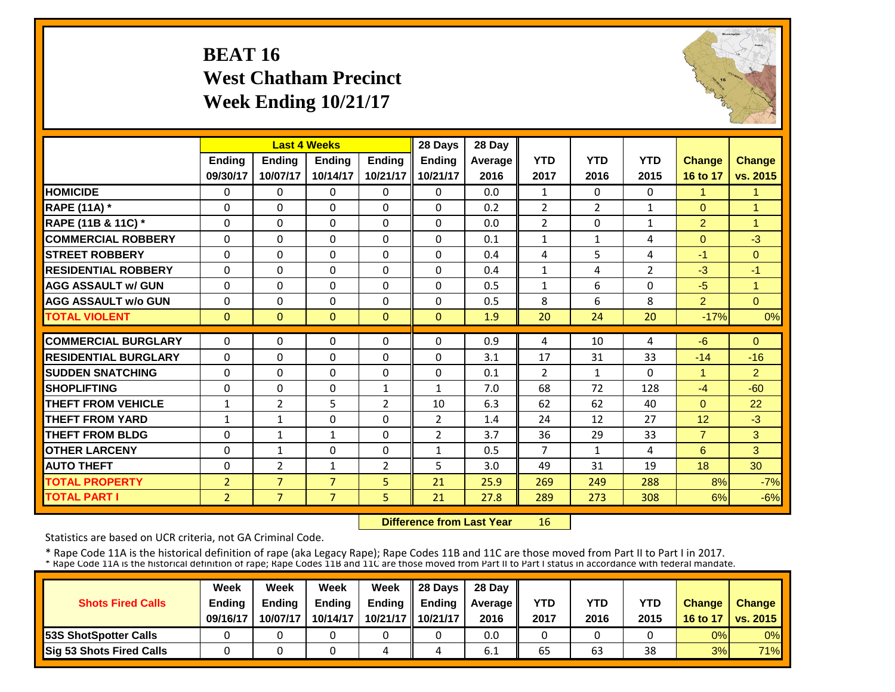#### **BEAT 16 West Chatham Precinct Week Ending 10/21/17**



|                             |                | <b>Last 4 Weeks</b> |                |                | 28 Days        | 28 Day         |                |                |                |                |                |
|-----------------------------|----------------|---------------------|----------------|----------------|----------------|----------------|----------------|----------------|----------------|----------------|----------------|
|                             | <b>Ending</b>  | <b>Endina</b>       | <b>Endina</b>  | <b>Endina</b>  | <b>Ending</b>  | <b>Average</b> | <b>YTD</b>     | <b>YTD</b>     | <b>YTD</b>     | <b>Change</b>  | <b>Change</b>  |
|                             | 09/30/17       | 10/07/17            | 10/14/17       | 10/21/17       | 10/21/17       | 2016           | 2017           | 2016           | 2015           | 16 to 17       | vs. 2015       |
| <b>HOMICIDE</b>             | 0              | $\Omega$            | $\Omega$       | $\mathbf{0}$   | 0              | 0.0            | $\mathbf{1}$   | $\Omega$       | $\Omega$       | 1              | 1              |
| <b>RAPE (11A)</b> *         | $\Omega$       | $\Omega$            | $\Omega$       | $\Omega$       | $\Omega$       | 0.2            | $\overline{2}$ | $\overline{2}$ | $\mathbf{1}$   | $\Omega$       | $\overline{1}$ |
| RAPE (11B & 11C) *          | $\mathbf 0$    | $\Omega$            | $\mathbf{0}$   | $\mathbf 0$    | $\Omega$       | 0.0            | $\overline{2}$ | $\Omega$       | $\mathbf{1}$   | $\overline{2}$ | $\overline{1}$ |
| <b>COMMERCIAL ROBBERY</b>   | $\Omega$       | $\Omega$            | $\Omega$       | $\Omega$       | 0              | 0.1            | $\mathbf{1}$   | $\mathbf{1}$   | 4              | $\Omega$       | $-3$           |
| <b>ISTREET ROBBERY</b>      | $\Omega$       | $\Omega$            | $\Omega$       | $\Omega$       | $\Omega$       | 0.4            | 4              | 5              | 4              | $-1$           | $\Omega$       |
| <b>RESIDENTIAL ROBBERY</b>  | $\Omega$       | $\Omega$            | $\Omega$       | $\Omega$       | $\Omega$       | 0.4            | $\mathbf{1}$   | 4              | $\overline{2}$ | $-3$           | $-1$           |
| <b>AGG ASSAULT w/ GUN</b>   | $\Omega$       | $\Omega$            | $\Omega$       | $\Omega$       | $\Omega$       | 0.5            | $\mathbf{1}$   | 6              | 0              | $-5$           | $\overline{1}$ |
| <b>AGG ASSAULT w/o GUN</b>  | $\Omega$       | $\Omega$            | $\Omega$       | $\Omega$       | $\Omega$       | 0.5            | 8              | 6              | 8              | $\overline{2}$ | $\Omega$       |
| <b>TOTAL VIOLENT</b>        | $\mathbf{0}$   | $\Omega$            | $\Omega$       | $\Omega$       | $\Omega$       | 1.9            | 20             | 24             | 20             | $-17%$         | 0%             |
| <b>COMMERCIAL BURGLARY</b>  | $\Omega$       | $\Omega$            | $\Omega$       | $\Omega$       | $\Omega$       | 0.9            | 4              | 10             | 4              | $-6$           | $\Omega$       |
| <b>RESIDENTIAL BURGLARY</b> | $\Omega$       | $\Omega$            | $\mathbf{0}$   | $\Omega$       | $\Omega$       | 3.1            | 17             | 31             | 33             | $-14$          | $-16$          |
| <b>ISUDDEN SNATCHING</b>    | $\Omega$       | 0                   | $\Omega$       | 0              | $\Omega$       | 0.1            | $\overline{2}$ | $\mathbf{1}$   | 0              | 4              | $\overline{2}$ |
| <b>SHOPLIFTING</b>          | $\Omega$       | $\Omega$            | $\mathbf{0}$   | $\mathbf{1}$   | $\mathbf{1}$   | 7.0            | 68             | 72             | 128            | $-4$           | $-60$          |
| <b>THEFT FROM VEHICLE</b>   | $\mathbf{1}$   | $\overline{2}$      | 5              | $\overline{2}$ | 10             | 6.3            | 62             | 62             | 40             | $\Omega$       | 22             |
| <b>THEFT FROM YARD</b>      | $\mathbf{1}$   | $\mathbf{1}$        | $\Omega$       | $\Omega$       | $\overline{2}$ | 1.4            | 24             | 12             | 27             | 12             | $-3$           |
| <b>THEFT FROM BLDG</b>      | $\Omega$       | $\mathbf{1}$        | $\mathbf{1}$   | 0              | $\overline{2}$ | 3.7            | 36             | 29             | 33             | $\overline{7}$ | 3              |
| <b>OTHER LARCENY</b>        | $\Omega$       | $\mathbf{1}$        | $\Omega$       | 0              | $\mathbf{1}$   | 0.5            | $\overline{7}$ | $\mathbf{1}$   | 4              | 6              | 3              |
| <b>AUTO THEFT</b>           | $\Omega$       | $\overline{2}$      | $\mathbf{1}$   | 2              | 5              | 3.0            | 49             | 31             | 19             | 18             | 30             |
| <b>TOTAL PROPERTY</b>       | $\overline{2}$ | $\overline{7}$      | $\overline{7}$ | 5              | 21             | 25.9           | 269            | 249            | 288            | 8%             | $-7%$          |
| <b>TOTAL PART I</b>         | $\overline{2}$ | $\overline{7}$      | $\overline{7}$ | 5              | 21             | 27.8           | 289            | 273            | 308            | 6%             | $-6%$          |

 **Difference from Last Year**16

Statistics are based on UCR criteria, not GA Criminal Code.

|                               | Week     | Week          | Week          | Week          | $\parallel$ 28 Davs | 28 Day    |      |      |      |               |                     |
|-------------------------------|----------|---------------|---------------|---------------|---------------------|-----------|------|------|------|---------------|---------------------|
| <b>Shots Fired Calls</b>      | Ending   | <b>Ending</b> | <b>Ending</b> | <b>Ending</b> | <b>Ending</b>       | Average I | YTD  | YTD  | YTD  | <b>Change</b> | <b>Change</b>       |
|                               | 09/16/17 | 10/07/17      | 10/14/17      |               | 10/21/17   10/21/17 | 2016      | 2017 | 2016 | 2015 |               | 16 to 17   vs. 2015 |
| <b>153S ShotSpotter Calls</b> |          |               |               |               |                     | 0.0       |      |      |      | 0%            | $0\%$               |
| Sig 53 Shots Fired Calls      |          |               |               | 4             |                     | 6.1       | 65   | 63   | 38   | 3%            | 71%                 |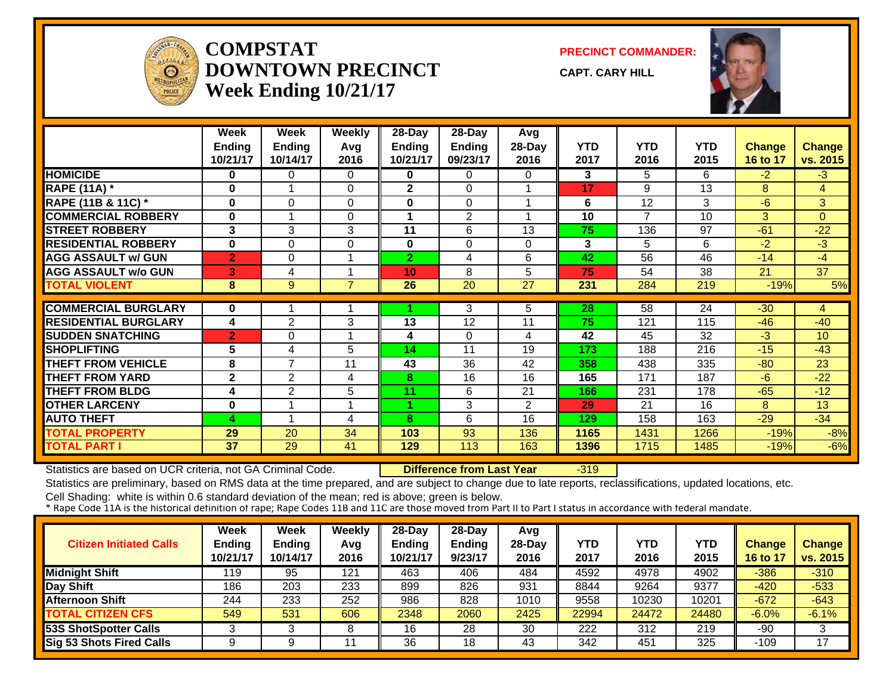

#### **COMPSTATDOWNTOWN PRECINCTWeek Ending 10/21/17**

**PRECINCT COMMANDER:**

**CAPT. CARY HILL**



|                             | Week           | Week                     | <b>Weekly</b>  | 28-Day         | 28-Day         | Avg            |            |                |            |          |                |
|-----------------------------|----------------|--------------------------|----------------|----------------|----------------|----------------|------------|----------------|------------|----------|----------------|
|                             | <b>Ending</b>  | <b>Ending</b>            | Avg            | Ending         | <b>Ending</b>  | 28-Day         | <b>YTD</b> | <b>YTD</b>     | <b>YTD</b> | Change   | <b>Change</b>  |
|                             | 10/21/17       | 10/14/17                 | 2016           | 10/21/17       | 09/23/17       | 2016           | 2017       | 2016           | 2015       | 16 to 17 | vs. 2015       |
| <b>HOMICIDE</b>             | 0              | 0                        | 0              | 0              | 0              | 0              | 3          | 5.             | 6          | $-2$     | $-3$           |
| <b>RAPE (11A) *</b>         | 0              |                          | $\Omega$       | $\mathbf{2}$   | $\Omega$       |                | 17         | 9              | 13         | 8        | $\overline{4}$ |
| RAPE (11B & 11C) *          | 0              | 0                        | 0              | $\bf{0}$       | $\Omega$       |                | 6          | 12             | 3          | $-6$     | 3 <sup>1</sup> |
| <b>COMMERCIAL ROBBERY</b>   | $\bf{0}$       | $\overline{\phantom{a}}$ | $\Omega$       |                | $\overline{2}$ |                | 10         | $\overline{7}$ | 10         | 3        | $\Omega$       |
| <b>STREET ROBBERY</b>       | 3              | 3                        | 3              | 11             | 6              | 13             | 75         | 136            | 97         | $-61$    | $-22$          |
| <b>RESIDENTIAL ROBBERY</b>  | $\bf{0}$       | 0                        | 0              | $\bf{0}$       | $\Omega$       | $\Omega$       | 3          | 5              | 6          | $-2$     | $-3$           |
| <b>AGG ASSAULT w/ GUN</b>   | $\overline{2}$ | 0                        |                | $\overline{2}$ | 4              | 6              | 42         | 56             | 46         | $-14$    | $-4$           |
| <b>AGG ASSAULT w/o GUN</b>  | 3              | 4                        |                | 10             | 8              | 5              | 75         | 54             | 38         | 21       | 37             |
| <b>TOTAL VIOLENT</b>        | 8              | 9                        | $\overline{7}$ | 26             | 20             | 27             | 231        | 284            | 219        | $-19%$   | 5%             |
|                             |                |                          |                |                |                |                |            |                |            |          |                |
| <b>COMMERCIAL BURGLARY</b>  | $\bf{0}$       |                          |                |                | 3              | 5.             | 28         | 58             | 24         | $-30$    | $\overline{4}$ |
| <b>RESIDENTIAL BURGLARY</b> | 4              | $\overline{2}$           | 3              | 13             | 12             | 11             | 75         | 121            | 115        | $-46$    | $-40$          |
| <b>SUDDEN SNATCHING</b>     | $\overline{2}$ | 0                        |                | 4              | $\Omega$       | 4              | 42         | 45             | 32         | $-3$     | 10             |
| <b>SHOPLIFTING</b>          | 5              | 4                        | 5              | 14             | 11             | 19             | 173        | 188            | 216        | $-15$    | $-43$          |
| <b>THEFT FROM VEHICLE</b>   | 8              | $\overline{ }$           | 11             | 43             | 36             | 42             | 358        | 438            | 335        | $-80$    | 23             |
| <b>THEFT FROM YARD</b>      | $\mathbf{2}$   | $\overline{2}$           | 4              | 8              | 16             | 16             | 165        | 171            | 187        | $-6$     | $-22$          |
| <b>THEFT FROM BLDG</b>      | 4              | 2                        | 5              | 11             | 6              | 21             | 166        | 231            | 178        | $-65$    | $-12$          |
| <b>OTHER LARCENY</b>        | $\bf{0}$       |                          |                |                | 3              | $\overline{2}$ | 29         | 21             | 16         | 8        | 13             |
| <b>AUTO THEFT</b>           | 4              |                          | 4              | 8              | 6              | 16             | 129        | 158            | 163        | $-29$    | $-34$          |
| <b>TOTAL PROPERTY</b>       | 29             | 20                       | 34             | 103            | 93             | 136            | 1165       | 1431           | 1266       | $-19%$   | $-8%$          |
| <b>TOTAL PART I</b>         | 37             | 29                       | 41             | 129            | 113            | 163            | 1396       | 1715           | 1485       | $-19%$   | $-6%$          |

Statistics are based on UCR criteria, not GA Criminal Code. **Difference from Last Year** -319

Statistics are preliminary, based on RMS data at the time prepared, and are subject to change due to late reports, reclassifications, updated locations, etc.

| <b>Citizen Initiated Calls</b>  | <b>Week</b><br><b>Ending</b><br>10/21/17 | Week<br><b>Ending</b><br>10/14/17 | Weekly<br>Avg<br>2016 | 28-Day<br><b>Ending</b><br>10/21/17 | $28-Dav$<br><b>Ending</b><br>9/23/17 | Avg<br>$28-Day$<br>2016 | <b>YTD</b><br>2017 | YTD<br>2016 | <b>YTD</b><br>2015 | <b>Change</b><br>16 to 17 | <b>Change</b><br>vs. 2015 |
|---------------------------------|------------------------------------------|-----------------------------------|-----------------------|-------------------------------------|--------------------------------------|-------------------------|--------------------|-------------|--------------------|---------------------------|---------------------------|
| <b>Midnight Shift</b>           | 119                                      | 95                                | 121                   | 463                                 | 406                                  | 484                     | 4592               | 4978        | 4902               | $-386$                    | $-310$                    |
| Day Shift                       | 186                                      | 203                               | 233                   | 899                                 | 826                                  | 931                     | 8844               | 9264        | 9377               | $-420$                    | $-533$                    |
| <b>Afternoon Shift</b>          | 244                                      | 233                               | 252                   | 986                                 | 828                                  | 1010                    | 9558               | 10230       | 10201              | $-672$                    | $-643$                    |
| <b>TOTAL CITIZEN CFS</b>        | 549                                      | 531                               | 606                   | 2348                                | 2060                                 | 2425                    | 22994              | 24472       | 24480              | $-6.0%$                   | $-6.1%$                   |
| <b>53S ShotSpotter Calls</b>    |                                          |                                   |                       | 16                                  | 28                                   | 30                      | 222                | 312         | 219                | $-90$                     | 3                         |
| <b>Sig 53 Shots Fired Calls</b> |                                          |                                   |                       | 36                                  | 18                                   | 43                      | 342                | 451         | 325                | $-109$                    | 17                        |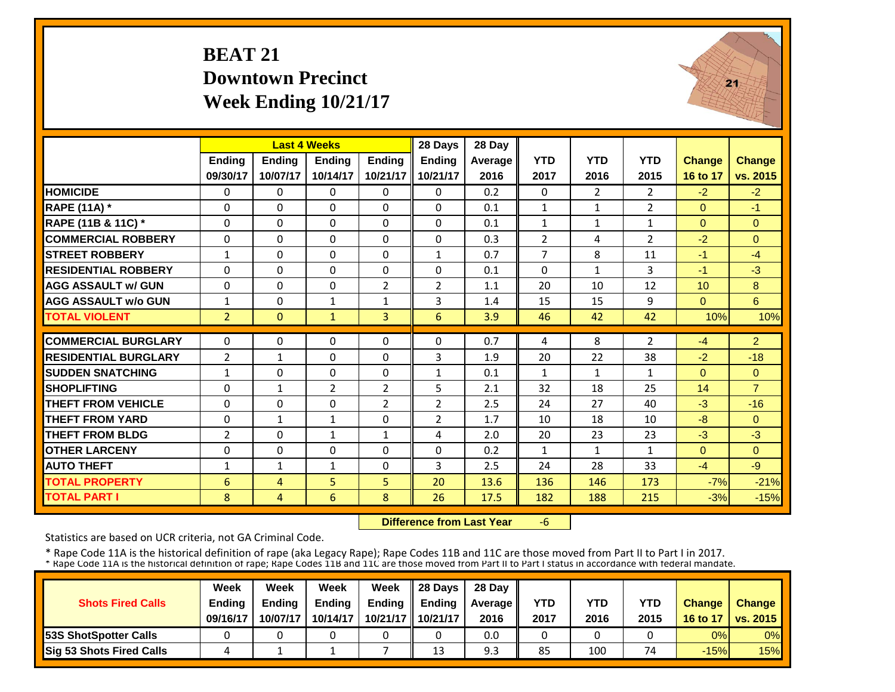#### **BEAT 21 Downtown PrecinctWeek Ending 10/21/17**



|                             |                | <b>Last 4 Weeks</b> |                |                | 28 Days        | 28 Day  |                |                |                |               |                |
|-----------------------------|----------------|---------------------|----------------|----------------|----------------|---------|----------------|----------------|----------------|---------------|----------------|
|                             | <b>Ending</b>  | Ending              | <b>Ending</b>  | <b>Endina</b>  | <b>Ending</b>  | Average | <b>YTD</b>     | <b>YTD</b>     | <b>YTD</b>     | <b>Change</b> | <b>Change</b>  |
|                             | 09/30/17       | 10/07/17            | 10/14/17       | 10/21/17       | 10/21/17       | 2016    | 2017           | 2016           | 2015           | 16 to 17      | vs. 2015       |
| <b>HOMICIDE</b>             | $\Omega$       | $\Omega$            | $\Omega$       | $\Omega$       | $\Omega$       | 0.2     | $\Omega$       | $\overline{2}$ | $\overline{2}$ | $-2$          | $-2$           |
| <b>RAPE (11A) *</b>         | $\Omega$       | $\Omega$            | $\Omega$       | $\Omega$       | $\Omega$       | 0.1     | $\mathbf{1}$   | $\mathbf{1}$   | $\overline{2}$ | $\Omega$      | $-1$           |
| RAPE (11B & 11C) *          | $\Omega$       | $\Omega$            | $\Omega$       | $\Omega$       | $\Omega$       | 0.1     | $\mathbf{1}$   | $\mathbf{1}$   | $\mathbf{1}$   | $\Omega$      | $\Omega$       |
| <b>COMMERCIAL ROBBERY</b>   | $\Omega$       | $\Omega$            | $\Omega$       | $\Omega$       | $\Omega$       | 0.3     | $\overline{2}$ | 4              | $\overline{2}$ | $-2$          | $\Omega$       |
| <b>STREET ROBBERY</b>       | $\mathbf{1}$   | 0                   | $\mathbf 0$    | 0              | $\mathbf{1}$   | 0.7     | $\overline{7}$ | 8              | 11             | $-1$          | $-4$           |
| <b>RESIDENTIAL ROBBERY</b>  | $\Omega$       | $\Omega$            | $\Omega$       | $\Omega$       | $\Omega$       | 0.1     | $\Omega$       | $\mathbf{1}$   | 3              | $-1$          | $-3$           |
| <b>AGG ASSAULT w/ GUN</b>   | $\Omega$       | $\Omega$            | $\Omega$       | $\overline{2}$ | $\overline{2}$ | 1.1     | 20             | 10             | 12             | 10            | 8              |
| <b>AGG ASSAULT w/o GUN</b>  | $\mathbf{1}$   | $\Omega$            | $\mathbf{1}$   | $\mathbf{1}$   | 3              | 1.4     | 15             | 15             | 9              | $\Omega$      | 6              |
| <b>TOTAL VIOLENT</b>        | $\overline{2}$ | $\Omega$            | $\mathbf{1}$   | 3              | 6              | 3.9     | 46             | 42             | 42             | 10%           | 10%            |
| <b>COMMERCIAL BURGLARY</b>  | $\Omega$       | $\Omega$            | $\Omega$       | $\Omega$       | $\Omega$       | 0.7     | 4              | 8              | 2              | $-4$          | $\overline{2}$ |
| <b>RESIDENTIAL BURGLARY</b> | $\overline{2}$ | $\mathbf{1}$        | $\Omega$       | $\Omega$       | 3              | 1.9     | 20             | 22             | 38             | $-2$          | $-18$          |
| <b>ISUDDEN SNATCHING</b>    | $\mathbf{1}$   | $\Omega$            | $\Omega$       | $\Omega$       | 1              | 0.1     | $\mathbf{1}$   | 1              | 1              | $\Omega$      | $\Omega$       |
| <b>SHOPLIFTING</b>          | $\Omega$       | $\mathbf{1}$        | $\overline{2}$ | $\overline{2}$ | 5              | 2.1     | 32             | 18             | 25             | 14            | $\overline{7}$ |
| <b>THEFT FROM VEHICLE</b>   | 0              | $\Omega$            | $\Omega$       | $\overline{2}$ | $\overline{2}$ | 2.5     | 24             | 27             | 40             | $-3$          | $-16$          |
| <b>THEFT FROM YARD</b>      | 0              | $\mathbf{1}$        | $\mathbf{1}$   | $\Omega$       | $\overline{2}$ | 1.7     | 10             | 18             | 10             | $-8$          | $\Omega$       |
| <b>THEFT FROM BLDG</b>      | 2              | $\Omega$            | $\mathbf{1}$   | $\mathbf{1}$   | 4              | 2.0     | 20             | 23             | 23             | $-3$          | $-3$           |
| <b>OTHER LARCENY</b>        | $\Omega$       | $\Omega$            | $\Omega$       | $\Omega$       | $\Omega$       | 0.2     | $\mathbf{1}$   | 1              | 1              | $\Omega$      | $\Omega$       |
| <b>AUTO THEFT</b>           | 1              | $\mathbf{1}$        | $\mathbf{1}$   | $\Omega$       | 3              | 2.5     | 24             | 28             | 33             | $-4$          | $-9$           |
| <b>TOTAL PROPERTY</b>       | 6              | 4                   | 5              | 5              | 20             | 13.6    | 136            | 146            | 173            | $-7%$         | $-21%$         |
| <b>TOTAL PART I</b>         | 8              | $\overline{4}$      | 6              | 8              | 26             | 17.5    | 182            | 188            | 215            | $-3%$         | $-15%$         |
|                             |                |                     |                |                |                |         |                |                |                |               |                |

 **Difference from Last Year**‐6

Statistics are based on UCR criteria, not GA Criminal Code.

|                               | Week     | Week          | Week          | Week          | $\parallel$ 28 Davs | 28 Day    |      |      |      |               |                     |
|-------------------------------|----------|---------------|---------------|---------------|---------------------|-----------|------|------|------|---------------|---------------------|
| <b>Shots Fired Calls</b>      | Ending   | <b>Endina</b> | <b>Ending</b> | <b>Ending</b> | <b>Endina</b>       | Average I | YTD  | YTD  | YTD  | <b>Change</b> | <b>Change</b>       |
|                               | 09/16/17 | 10/07/17      | 10/14/17      |               | 10/21/17 10/21/17   | 2016      | 2017 | 2016 | 2015 |               | 16 to 17   vs. 2015 |
| <b>153S ShotSpotter Calls</b> |          |               |               |               |                     | 0.0       |      |      |      | 0%            | $0\%$               |
| Sig 53 Shots Fired Calls      |          |               |               |               | 13                  | 9.3       | 85   | 100  | 74   | $-15%$        | 15%                 |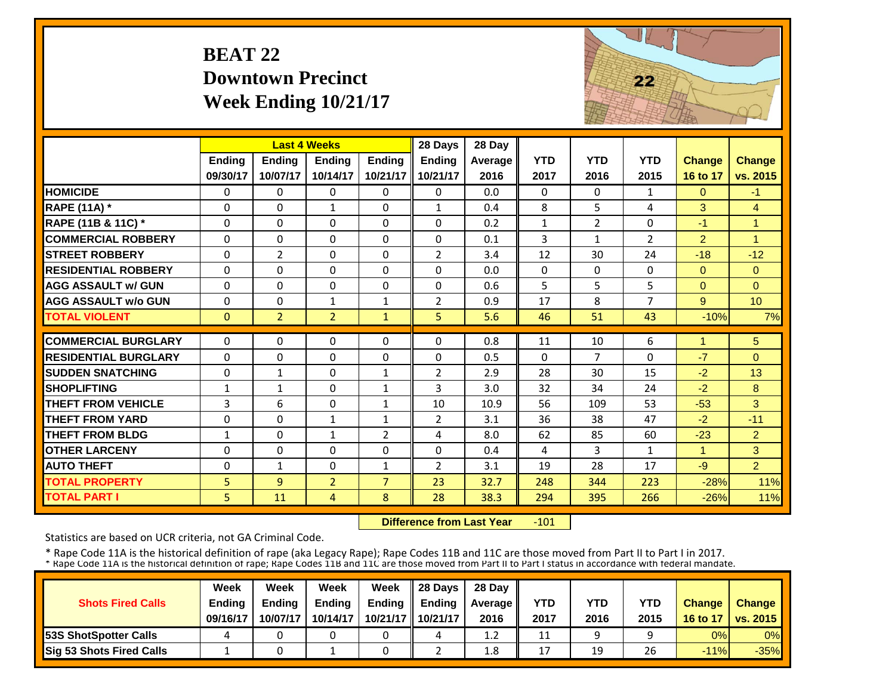#### **BEAT 22 Downtown PrecinctWeek Ending 10/21/17**



|                             |               | <b>Last 4 Weeks</b> |                |                | 28 Days        | 28 Day  |              |                |                |                |                      |
|-----------------------------|---------------|---------------------|----------------|----------------|----------------|---------|--------------|----------------|----------------|----------------|----------------------|
|                             | <b>Ending</b> | Ending              | <b>Endina</b>  | <b>Ending</b>  | <b>Ending</b>  | Average | <b>YTD</b>   | <b>YTD</b>     | <b>YTD</b>     | <b>Change</b>  | <b>Change</b>        |
|                             | 09/30/17      | 10/07/17            | 10/14/17       | 10/21/17       | 10/21/17       | 2016    | 2017         | 2016           | 2015           | 16 to 17       | vs. 2015             |
| <b>HOMICIDE</b>             | $\Omega$      | 0                   | $\mathbf{0}$   | $\Omega$       | 0              | 0.0     | $\Omega$     | $\Omega$       | $\mathbf{1}$   | $\Omega$       | $-1$                 |
| <b>RAPE (11A)</b> *         | $\Omega$      | $\Omega$            | $\mathbf{1}$   | $\Omega$       | $\mathbf{1}$   | 0.4     | 8            | 5              | 4              | 3              | $\overline{4}$       |
| RAPE (11B & 11C) *          | $\Omega$      | $\Omega$            | $\Omega$       | $\Omega$       | $\Omega$       | 0.2     | $\mathbf{1}$ | $\overline{2}$ | 0              | $-1$           | $\mathbf{1}$         |
| <b>COMMERCIAL ROBBERY</b>   | $\Omega$      | $\Omega$            | $\Omega$       | $\Omega$       | $\Omega$       | 0.1     | 3            | $\mathbf{1}$   | $\overline{2}$ | $\overline{2}$ | $\blacktriangleleft$ |
| <b>STREET ROBBERY</b>       | $\Omega$      | $\overline{2}$      | $\Omega$       | $\Omega$       | $\overline{2}$ | 3.4     | 12           | 30             | 24             | $-18$          | $-12$                |
| <b>RESIDENTIAL ROBBERY</b>  | $\Omega$      | $\Omega$            | $\Omega$       | $\Omega$       | $\Omega$       | 0.0     | $\mathbf{0}$ | $\Omega$       | $\Omega$       | $\Omega$       | $\Omega$             |
| <b>AGG ASSAULT w/ GUN</b>   | $\Omega$      | $\Omega$            | $\Omega$       | $\Omega$       | $\Omega$       | 0.6     | 5            | 5              | 5              | $\Omega$       | $\Omega$             |
| <b>AGG ASSAULT w/o GUN</b>  | $\Omega$      | 0                   | $\mathbf{1}$   | $\mathbf{1}$   | 2              | 0.9     | 17           | 8              | $\overline{7}$ | 9              | 10                   |
| <b>TOTAL VIOLENT</b>        | $\mathbf{0}$  | $\overline{2}$      | $\overline{2}$ | $\mathbf{1}$   | 5              | 5.6     | 46           | 51             | 43             | $-10%$         | 7%                   |
| <b>COMMERCIAL BURGLARY</b>  | $\Omega$      | 0                   | $\Omega$       | $\Omega$       | 0              | 0.8     | 11           | 10             | 6              | $\overline{1}$ | 5                    |
| <b>RESIDENTIAL BURGLARY</b> | $\Omega$      | $\Omega$            | $\Omega$       | $\Omega$       | $\Omega$       | 0.5     | $\Omega$     | $\overline{7}$ | $\Omega$       | $-7$           | $\Omega$             |
|                             |               |                     |                |                |                |         |              |                |                |                |                      |
| <b>SUDDEN SNATCHING</b>     | $\Omega$      | $\mathbf{1}$        | $\Omega$       | 1              | 2              | 2.9     | 28           | 30             | 15             | $-2$           | 13                   |
| <b>SHOPLIFTING</b>          | 1             | $\mathbf{1}$        | 0              | 1              | 3              | 3.0     | 32           | 34             | 24             | $-2$           | 8                    |
| <b>THEFT FROM VEHICLE</b>   | 3             | 6                   | $\Omega$       | $\mathbf{1}$   | 10             | 10.9    | 56           | 109            | 53             | $-53$          | 3                    |
| <b>THEFT FROM YARD</b>      | $\Omega$      | $\Omega$            | 1              | 1              | $\overline{2}$ | 3.1     | 36           | 38             | 47             | $-2$           | $-11$                |
| <b>THEFT FROM BLDG</b>      | $\mathbf{1}$  | 0                   | $\mathbf{1}$   | 2              | 4              | 8.0     | 62           | 85             | 60             | $-23$          | $\overline{2}$       |
| <b>OTHER LARCENY</b>        | $\Omega$      | $\Omega$            | $\Omega$       | $\Omega$       | $\Omega$       | 0.4     | 4            | 3              | $\mathbf{1}$   | $\mathbf{1}$   | 3                    |
| <b>AUTO THEFT</b>           | $\Omega$      | $\mathbf{1}$        | $\Omega$       | 1              | $\overline{2}$ | 3.1     | 19           | 28             | 17             | $-9$           | $\overline{2}$       |
| <b>TOTAL PROPERTY</b>       | 5             | 9                   | $\overline{2}$ | $\overline{7}$ | 23             | 32.7    | 248          | 344            | 223            | $-28%$         | 11%                  |
| <b>TOTAL PART I</b>         | 5             | 11                  | 4              | 8              | 28             | 38.3    | 294          | 395            | 266            | $-26%$         | 11%                  |

 **Difference from Last Year**‐101

Statistics are based on UCR criteria, not GA Criminal Code.

|                               | Week     | Week     | Week          | Week          | Il 28 Davs    | 28 Day           |      |      |      |               |                 |
|-------------------------------|----------|----------|---------------|---------------|---------------|------------------|------|------|------|---------------|-----------------|
| <b>Shots Fired Calls</b>      | Ending   | Ending   | <b>Ending</b> | <b>Ending</b> | <b>Ending</b> | <b>Average</b>   | YTD  | YTD  | YTD  | <b>Change</b> | <b>Change</b>   |
|                               | 09/16/17 | 10/07/17 | 10/14/17      | 10/21/17      | 10/21/17      | 2016             | 2017 | 2016 | 2015 | 16 to 17      | <b>vs. 2015</b> |
| <b>153S ShotSpotter Calls</b> |          |          |               |               | 4             | 1.2              | 11   |      |      | 0%            | 0%              |
| Sig 53 Shots Fired Calls      |          |          |               |               |               | $1.8\phantom{0}$ | 17   | 19   | 26   | $-11%$        | $-35%$          |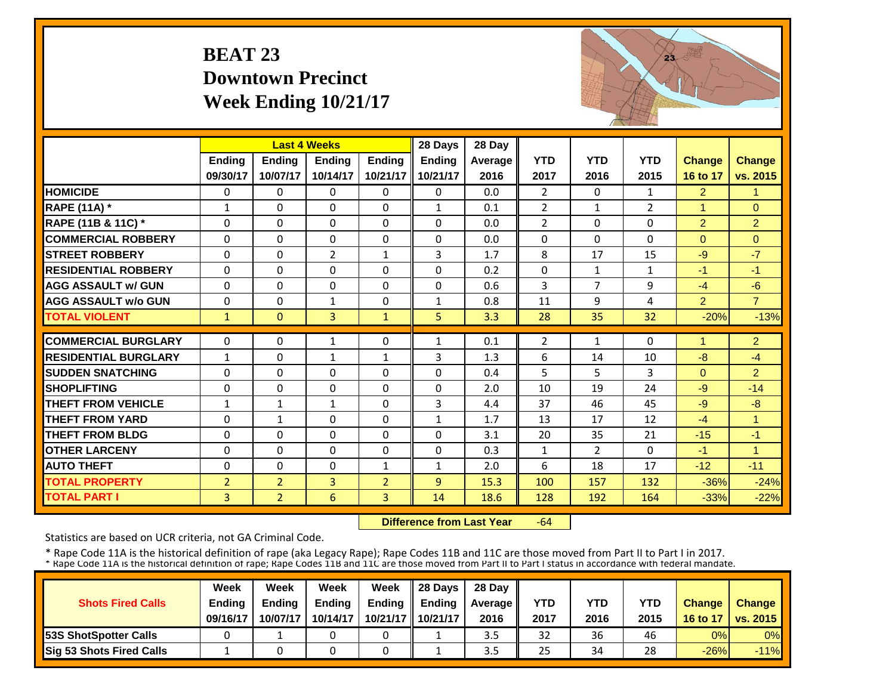#### **BEAT 23 Downtown PrecinctWeek Ending 10/21/17**



|                             |                | <b>Last 4 Weeks</b> |                |                | 28 Days       | 28 Day  |                |                |              |                |                |
|-----------------------------|----------------|---------------------|----------------|----------------|---------------|---------|----------------|----------------|--------------|----------------|----------------|
|                             | <b>Ending</b>  | <b>Endina</b>       | <b>Endina</b>  | <b>Endina</b>  | <b>Ending</b> | Average | <b>YTD</b>     | <b>YTD</b>     | <b>YTD</b>   | <b>Change</b>  | <b>Change</b>  |
|                             | 09/30/17       | 10/07/17            | 10/14/17       | 10/21/17       | 10/21/17      | 2016    | 2017           | 2016           | 2015         | 16 to 17       | vs. 2015       |
| <b>HOMICIDE</b>             | $\mathbf{0}$   | $\Omega$            | $\Omega$       | $\Omega$       | $\Omega$      | 0.0     | 2              | $\Omega$       | $\mathbf{1}$ | $\overline{2}$ | 1              |
| <b>RAPE (11A) *</b>         | $\mathbf{1}$   | $\Omega$            | $\Omega$       | $\Omega$       | 1             | 0.1     | $\overline{2}$ | $\mathbf{1}$   | 2            | 1              | $\mathbf{0}$   |
| RAPE (11B & 11C) *          | $\mathbf 0$    | $\Omega$            | $\Omega$       | $\Omega$       | $\Omega$      | 0.0     | $\overline{2}$ | $\Omega$       | $\Omega$     | $\overline{2}$ | $\overline{2}$ |
| <b>COMMERCIAL ROBBERY</b>   | $\Omega$       | $\Omega$            | $\Omega$       | $\Omega$       | 0             | 0.0     | $\Omega$       | $\Omega$       | 0            | $\Omega$       | $\Omega$       |
| <b>ISTREET ROBBERY</b>      | $\Omega$       | $\Omega$            | $\overline{2}$ | $\mathbf{1}$   | 3             | 1.7     | 8              | 17             | 15           | $-9$           | $-7$           |
| <b>RESIDENTIAL ROBBERY</b>  | $\Omega$       | $\Omega$            | $\Omega$       | 0              | $\Omega$      | 0.2     | $\Omega$       | 1              | $\mathbf{1}$ | $-1$           | $-1$           |
| <b>AGG ASSAULT w/ GUN</b>   | $\Omega$       | $\Omega$            | $\Omega$       | $\Omega$       | $\Omega$      | 0.6     | 3              | 7              | 9            | $-4$           | $-6$           |
| <b>AGG ASSAULT w/o GUN</b>  | 0              | $\Omega$            | $\mathbf 1$    | 0              | $\mathbf{1}$  | 0.8     | 11             | 9              | 4            | $\overline{2}$ | $\overline{7}$ |
| <b>TOTAL VIOLENT</b>        | 1              | $\Omega$            | 3              | $\mathbf{1}$   | 5.            | 3.3     | 28             | 35             | 32           | $-20%$         | $-13%$         |
| <b>COMMERCIAL BURGLARY</b>  | $\Omega$       | $\Omega$            |                |                |               |         |                | 1              | 0            |                |                |
|                             |                |                     | 1              | 0              | $\mathbf{1}$  | 0.1     | $\overline{2}$ |                |              |                | $\overline{2}$ |
| <b>RESIDENTIAL BURGLARY</b> | $\mathbf{1}$   | $\Omega$            | $\mathbf 1$    | $\mathbf{1}$   | 3             | 1.3     | 6              | 14             | 10           | $-8$           | $-4$           |
| <b>SUDDEN SNATCHING</b>     | 0              | $\Omega$            | 0              | $\Omega$       | $\Omega$      | 0.4     | 5              | 5.             | 3            | $\Omega$       | $\overline{2}$ |
| <b>SHOPLIFTING</b>          | $\Omega$       | $\Omega$            | $\Omega$       | $\Omega$       | $\Omega$      | 2.0     | 10             | 19             | 24           | $-9$           | $-14$          |
| <b>THEFT FROM VEHICLE</b>   | 1              | $\mathbf{1}$        | $\mathbf{1}$   | 0              | 3             | 4.4     | 37             | 46             | 45           | $-9$           | $-8$           |
| <b>THEFT FROM YARD</b>      | $\Omega$       | $\mathbf{1}$        | $\Omega$       | $\Omega$       | $\mathbf{1}$  | 1.7     | 13             | 17             | 12           | -4             | 1              |
| <b>THEFT FROM BLDG</b>      | $\Omega$       | $\Omega$            | $\Omega$       | $\Omega$       | $\Omega$      | 3.1     | 20             | 35             | 21           | $-15$          | $-1$           |
| <b>OTHER LARCENY</b>        | $\Omega$       | $\Omega$            | $\Omega$       | $\Omega$       | $\Omega$      | 0.3     | $\mathbf{1}$   | $\overline{2}$ | 0            | $-1$           | 1              |
| <b>AUTO THEFT</b>           | $\Omega$       | $\Omega$            | $\Omega$       | $\mathbf{1}$   | $\mathbf{1}$  | 2.0     | 6              | 18             | 17           | $-12$          | $-11$          |
| <b>TOTAL PROPERTY</b>       | $\overline{2}$ | $\overline{2}$      | 3              | $\overline{2}$ | 9             | 15.3    | 100            | 157            | 132          | $-36%$         | $-24%$         |
| <b>TOTAL PART I</b>         | $\overline{3}$ | $\overline{2}$      | 6              | 3              | 14            | 18.6    | 128            | 192            | 164          | $-33%$         | $-22%$         |

 **Difference from Last Year** $-64$ 

Statistics are based on UCR criteria, not GA Criminal Code.

|                               | Week     | Week     | Week          | Week               | Il 28 Davs    | 28 Day         |      |      |      |               |                 |
|-------------------------------|----------|----------|---------------|--------------------|---------------|----------------|------|------|------|---------------|-----------------|
| <b>Shots Fired Calls</b>      | Ending   | Ending   | <b>Ending</b> | <b>Ending</b>      | <b>Ending</b> | <b>Average</b> | YTD  | YTD  | YTD  | <b>Change</b> | <b>Change</b>   |
|                               | 09/16/17 | 10/07/17 | 10/14/17      | 10/21/17 <b>II</b> | 10/21/17      | 2016           | 2017 | 2016 | 2015 | 16 to 17      | <b>vs. 2015</b> |
| <b>153S ShotSpotter Calls</b> |          |          |               |                    |               | 3.5            | 32   | 36   | 46   | 0%            | 0%              |
| Sig 53 Shots Fired Calls      |          |          |               |                    |               | 3.5            | 25   | 34   | 28   | $-26%$        | $-11%$          |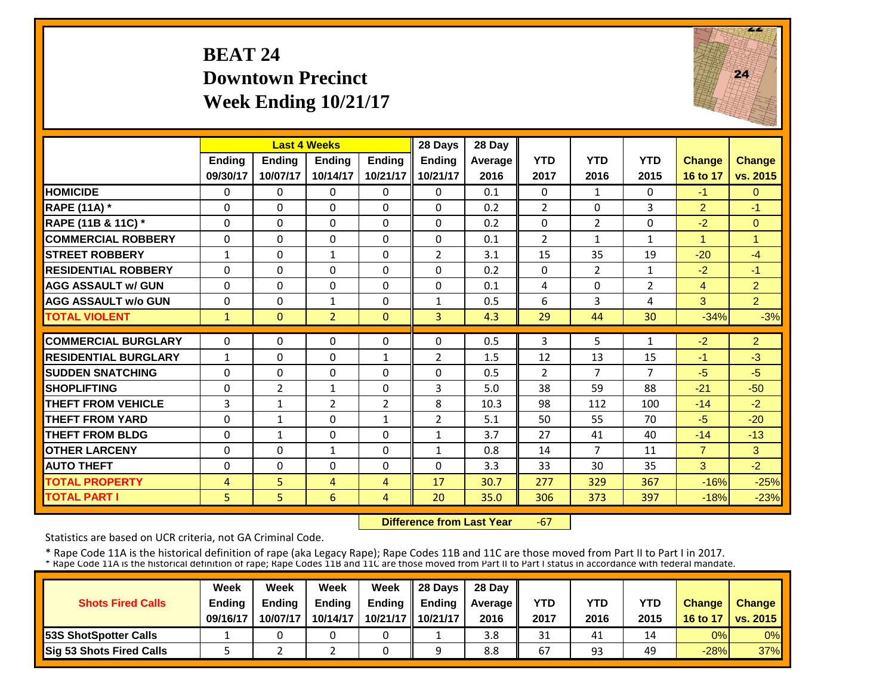#### **BEAT 24 Downtown PrecinctWeek Ending 10/21/17**



|                             |                | <b>Last 4 Weeks</b> |                |                | 28 Days        | 28 Day  |                |                |                |                |                |
|-----------------------------|----------------|---------------------|----------------|----------------|----------------|---------|----------------|----------------|----------------|----------------|----------------|
|                             | <b>Ending</b>  | <b>Ending</b>       | <b>Endina</b>  | <b>Endina</b>  | <b>Endina</b>  | Average | <b>YTD</b>     | <b>YTD</b>     | <b>YTD</b>     | <b>Change</b>  | Change         |
|                             | 09/30/17       | 10/07/17            | 10/14/17       | 10/21/17       | 10/21/17       | 2016    | 2017           | 2016           | 2015           | 16 to 17       | vs. 2015       |
| <b>HOMICIDE</b>             | 0              | $\Omega$            | $\mathbf{0}$   | 0              | $\Omega$       | 0.1     | $\Omega$       | 1              | 0              | $-1$           | $\Omega$       |
| <b>RAPE (11A) *</b>         | $\Omega$       | $\Omega$            | $\Omega$       | 0              | $\Omega$       | 0.2     | $\overline{2}$ | $\Omega$       | 3              | $\overline{2}$ | $-1$           |
| RAPE (11B & 11C) *          | $\Omega$       | $\Omega$            | $\Omega$       | $\Omega$       | $\Omega$       | 0.2     | $\Omega$       | $\overline{2}$ | 0              | $-2$           | $\Omega$       |
| <b>COMMERCIAL ROBBERY</b>   | $\Omega$       | $\Omega$            | $\Omega$       | $\Omega$       | $\Omega$       | 0.1     | $\overline{2}$ | $\mathbf{1}$   | $\mathbf{1}$   | 4              | $\overline{1}$ |
| <b>STREET ROBBERY</b>       | $\mathbf{1}$   | $\Omega$            | 1              | $\Omega$       | $\overline{2}$ | 3.1     | 15             | 35             | 19             | $-20$          | $-4$           |
| <b>RESIDENTIAL ROBBERY</b>  | $\Omega$       | $\Omega$            | $\Omega$       | $\Omega$       | 0              | 0.2     | $\Omega$       | $\overline{2}$ | 1              | $-2$           | $-1$           |
| <b>AGG ASSAULT w/ GUN</b>   | $\Omega$       | $\Omega$            | $\Omega$       | 0              | $\Omega$       | 0.1     | 4              | 0              | $\overline{2}$ | 4              | $\overline{2}$ |
| <b>AGG ASSAULT w/o GUN</b>  | $\Omega$       | $\Omega$            | 1              | $\Omega$       | $\mathbf{1}$   | 0.5     | 6              | 3              | 4              | 3              | $\overline{2}$ |
| <b>TOTAL VIOLENT</b>        | $\mathbf{1}$   | $\overline{0}$      | $\overline{2}$ | $\Omega$       | $\overline{3}$ | 4.3     | 29             | 44             | 30             | $-34%$         | $-3%$          |
| <b>COMMERCIAL BURGLARY</b>  | $\Omega$       |                     |                | 0              | 0              |         | 3              | 5.             |                |                |                |
|                             |                | 0                   | 0              |                |                | 0.5     |                |                | 1              | $-2$           | $\overline{2}$ |
| <b>RESIDENTIAL BURGLARY</b> | 1              | $\Omega$            | $\Omega$       | 1              | $\overline{2}$ | 1.5     | 12             | 13             | 15             | $-1$           | $-3$           |
| <b>SUDDEN SNATCHING</b>     | $\Omega$       | $\Omega$            | $\Omega$       | 0              | $\Omega$       | 0.5     | 2              | 7              | $\overline{7}$ | $-5$           | $-5$           |
| <b>SHOPLIFTING</b>          | $\Omega$       | 2                   | $\mathbf{1}$   | $\Omega$       | 3              | 5.0     | 38             | 59             | 88             | $-21$          | $-50$          |
| <b>THEFT FROM VEHICLE</b>   | 3              | $\mathbf{1}$        | 2              | 2              | 8              | 10.3    | 98             | 112            | 100            | $-14$          | $-2$           |
| <b>THEFT FROM YARD</b>      | $\Omega$       | $\mathbf{1}$        | $\Omega$       | $\mathbf{1}$   | $\overline{2}$ | 5.1     | 50             | 55             | 70             | $-5$           | $-20$          |
| <b>THEFT FROM BLDG</b>      | $\Omega$       | $\mathbf{1}$        | $\Omega$       | $\Omega$       | $\mathbf{1}$   | 3.7     | 27             | 41             | 40             | $-14$          | $-13$          |
| <b>OTHER LARCENY</b>        | $\Omega$       | $\Omega$            | $\mathbf{1}$   | $\Omega$       | $\mathbf{1}$   | 0.8     | 14             | $\overline{7}$ | 11             | $\overline{7}$ | 3              |
| <b>AUTO THEFT</b>           | 0              | $\Omega$            | $\Omega$       | $\Omega$       | $\Omega$       | 3.3     | 33             | 30             | 35             | 3              | $-2$           |
| <b>TOTAL PROPERTY</b>       | $\overline{4}$ | 5                   | 4              | 4              | 17             | 30.7    | 277            | 329            | 367            | $-16%$         | $-25%$         |
| <b>TOTAL PART I</b>         | 5              | 5                   | 6              | $\overline{4}$ | 20             | 35.0    | 306            | 373            | 397            | $-18%$         | $-23%$         |

 **Difference from Last Year** $-67$ 

Statistics are based on UCR criteria, not GA Criminal Code.

|                               | Week     | Week          | Week          | Week          | $\parallel$ 28 Davs | 28 Day    |      |      |      |               |                     |
|-------------------------------|----------|---------------|---------------|---------------|---------------------|-----------|------|------|------|---------------|---------------------|
| <b>Shots Fired Calls</b>      | Ending   | <b>Ending</b> | <b>Ending</b> | <b>Ending</b> | <b>Ending</b>       | Average I | YTD  | YTD  | YTD  | <b>Change</b> | <b>Change</b>       |
|                               | 09/16/17 | 10/07/17      | 10/14/17      |               | 10/21/17   10/21/17 | 2016      | 2017 | 2016 | 2015 |               | 16 to 17   vs. 2015 |
| <b>153S ShotSpotter Calls</b> |          |               |               |               |                     | 3.8       | 31   | 41   | 14   | 0%            | $0\%$               |
| Sig 53 Shots Fired Calls      |          |               |               |               |                     | 8.8       | 67   | 93   | 49   | $-28%$        | <b>37%</b>          |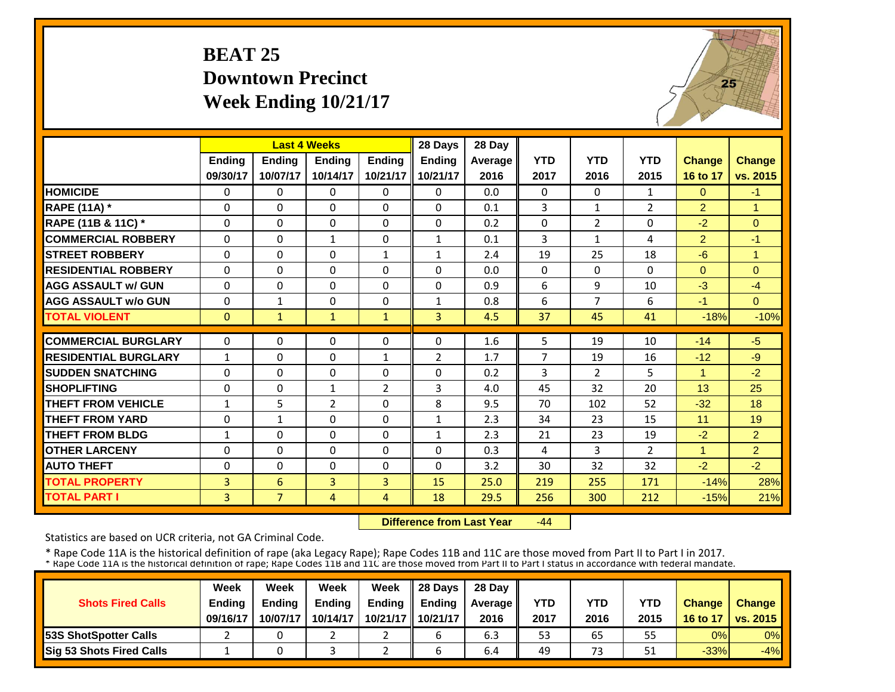#### **BEAT 25 Downtown PrecinctWeek Ending 10/21/17**



|                             |              | <b>Last 4 Weeks</b> |                |                | 28 Days        | 28 Day  |                |                |                |                      |                |
|-----------------------------|--------------|---------------------|----------------|----------------|----------------|---------|----------------|----------------|----------------|----------------------|----------------|
|                             | Ending       | <b>Ending</b>       | <b>Endina</b>  | <b>Endina</b>  | Ending         | Average | <b>YTD</b>     | <b>YTD</b>     | <b>YTD</b>     | <b>Change</b>        | <b>Change</b>  |
|                             | 09/30/17     | 10/07/17            | 10/14/17       | 10/21/17       | 10/21/17       | 2016    | 2017           | 2016           | 2015           | 16 to 17             | vs. 2015       |
| <b>HOMICIDE</b>             | $\Omega$     | $\Omega$            | $\Omega$       | $\Omega$       | $\Omega$       | 0.0     | $\mathbf{0}$   | $\Omega$       | $\mathbf{1}$   | $\Omega$             | $-1$           |
| <b>RAPE (11A) *</b>         | $\Omega$     | $\Omega$            | $\Omega$       | $\Omega$       | $\Omega$       | 0.1     | 3              | $\mathbf{1}$   | $\overline{2}$ | $\overline{2}$       | $\overline{1}$ |
| RAPE (11B & 11C) *          | $\Omega$     | $\Omega$            | $\Omega$       | $\Omega$       | $\Omega$       | 0.2     | $\mathbf{0}$   | $\overline{2}$ | $\Omega$       | $-2$                 | $\Omega$       |
| <b>COMMERCIAL ROBBERY</b>   | $\Omega$     | $\Omega$            | $\mathbf{1}$   | $\Omega$       | $\mathbf{1}$   | 0.1     | 3              | $\mathbf{1}$   | 4              | $\overline{2}$       | $-1$           |
| <b>STREET ROBBERY</b>       | 0            | $\Omega$            | $\Omega$       | $\mathbf{1}$   | $\mathbf{1}$   | 2.4     | 19             | 25             | 18             | $-6$                 | $\mathbf{1}$   |
| <b>RESIDENTIAL ROBBERY</b>  | $\Omega$     | $\Omega$            | $\Omega$       | $\Omega$       | $\Omega$       | 0.0     | $\mathbf{0}$   | $\Omega$       | $\Omega$       | $\Omega$             | $\Omega$       |
| <b>AGG ASSAULT w/ GUN</b>   | $\Omega$     | 0                   | $\Omega$       | $\Omega$       | $\Omega$       | 0.9     | 6              | 9              | 10             | $-3$                 | $-4$           |
| <b>AGG ASSAULT w/o GUN</b>  | $\Omega$     | $\mathbf{1}$        | $\Omega$       | $\Omega$       | $\mathbf{1}$   | 0.8     | 6              | 7              | 6              | $-1$                 | $\Omega$       |
| <b>TOTAL VIOLENT</b>        | $\Omega$     | $\mathbf{1}$        | $\mathbf{1}$   | $\mathbf{1}$   | $\overline{3}$ | 4.5     | 37             | 45             | 41             | $-18%$               | $-10%$         |
| <b>COMMERCIAL BURGLARY</b>  | $\Omega$     | $\Omega$            | $\Omega$       | $\Omega$       | $\Omega$       | 1.6     |                | 19             | 10             | $-14$                | $-5$           |
|                             |              |                     |                |                |                |         | 5              |                |                |                      |                |
| <b>RESIDENTIAL BURGLARY</b> | $\mathbf{1}$ | $\Omega$            | $\Omega$       | $\mathbf{1}$   | $\overline{2}$ | 1.7     | $\overline{7}$ | 19             | 16             | $-12$                | $-9$           |
| <b>SUDDEN SNATCHING</b>     | $\Omega$     | 0                   | $\Omega$       | $\Omega$       | 0              | 0.2     | 3              | $\overline{2}$ | 5              | $\blacktriangleleft$ | $-2$           |
| <b>SHOPLIFTING</b>          | 0            | 0                   | 1              | $\overline{2}$ | 3              | 4.0     | 45             | 32             | 20             | 13                   | 25             |
| <b>THEFT FROM VEHICLE</b>   | $\mathbf{1}$ | 5                   | $\overline{2}$ | $\Omega$       | 8              | 9.5     | 70             | 102            | 52             | $-32$                | 18             |
| <b>THEFT FROM YARD</b>      | $\Omega$     | 1                   | $\Omega$       | $\Omega$       | $\mathbf{1}$   | 2.3     | 34             | 23             | 15             | 11                   | 19             |
| <b>THEFT FROM BLDG</b>      | 1            | $\Omega$            | $\Omega$       | $\Omega$       | $\mathbf{1}$   | 2.3     | 21             | 23             | 19             | $-2$                 | $\overline{2}$ |
| <b>OTHER LARCENY</b>        | $\Omega$     | 0                   | $\Omega$       | 0              | $\Omega$       | 0.3     | 4              | 3              | $\overline{2}$ | $\mathbf{1}$         | $\overline{2}$ |
| <b>AUTO THEFT</b>           | $\Omega$     | $\Omega$            | $\Omega$       | $\Omega$       | 0              | 3.2     | 30             | 32             | 32             | $-2$                 | $-2$           |
| <b>TOTAL PROPERTY</b>       | 3            | 6                   | 3              | 3              | 15             | 25.0    | 219            | 255            | 171            | $-14%$               | 28%            |
| <b>TOTAL PART I</b>         | 3            | $\overline{7}$      | $\overline{4}$ | 4              | 18             | 29.5    | 256            | 300            | 212            | $-15%$               | 21%            |

 **Difference from Last Year**‐44

Statistics are based on UCR criteria, not GA Criminal Code.

|                               | Week          | Week          | <b>Week</b>   | Week              | $\parallel$ 28 Davs | 28 Day    |      |      |      |               |                     |
|-------------------------------|---------------|---------------|---------------|-------------------|---------------------|-----------|------|------|------|---------------|---------------------|
| <b>Shots Fired Calls</b>      | <b>Ending</b> | <b>Endina</b> | <b>Ending</b> | <b>Ending</b>     | <b>Endina</b>       | Average I | YTD  | YTD  | YTD  | <b>Change</b> | <b>Change</b>       |
|                               | 09/16/17      | 10/07/17      | 10/14/17      | 10/21/17 10/21/17 |                     | 2016      | 2017 | 2016 | 2015 |               | 16 to 17   vs. 2015 |
| <b>153S ShotSpotter Calls</b> |               |               |               |                   |                     | 6.3       | 53   | 65   | 55   | 0%            | $0\%$               |
| Sig 53 Shots Fired Calls      |               |               |               |                   |                     | 6.4       | 49   | 73   | 51   | $-33%$        | $-4%$               |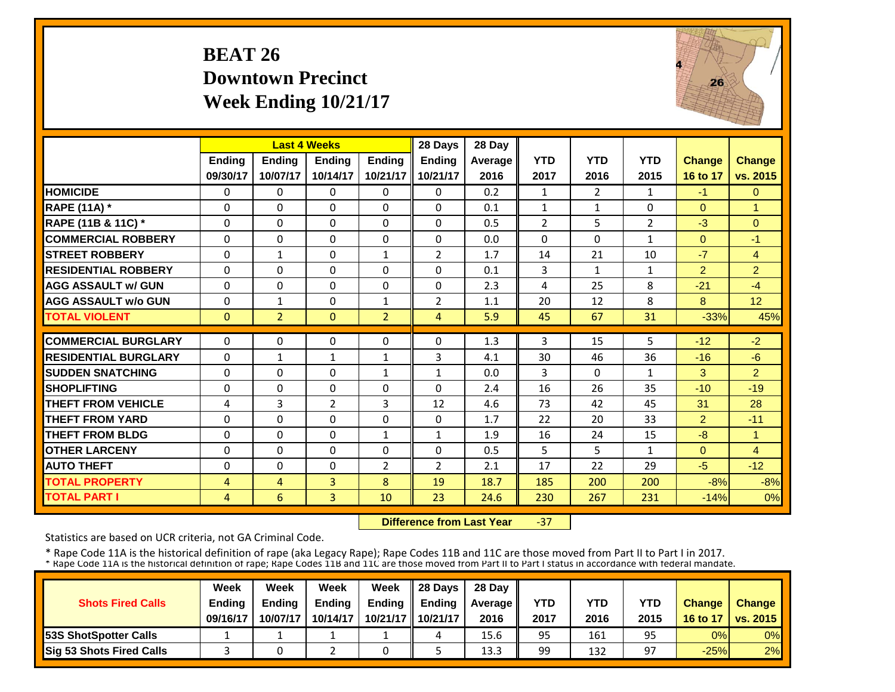#### **BEAT 26 Downtown PrecinctWeek Ending 10/21/17**



|                             |                | <b>Last 4 Weeks</b> |                |                | 28 Days        | 28 Day  |                |                |                |                |                |
|-----------------------------|----------------|---------------------|----------------|----------------|----------------|---------|----------------|----------------|----------------|----------------|----------------|
|                             | <b>Ending</b>  | <b>Endina</b>       | <b>Endina</b>  | <b>Endina</b>  | <b>Endina</b>  | Average | <b>YTD</b>     | <b>YTD</b>     | <b>YTD</b>     | <b>Change</b>  | Change         |
|                             | 09/30/17       | 10/07/17            | 10/14/17       | 10/21/17       | 10/21/17       | 2016    | 2017           | 2016           | 2015           | 16 to 17       | vs. 2015       |
| <b>HOMICIDE</b>             | $\Omega$       | $\Omega$            | $\Omega$       | $\Omega$       | 0              | 0.2     | $\mathbf{1}$   | $\overline{2}$ | $\mathbf{1}$   | $-1$           | $\overline{0}$ |
| <b>RAPE (11A) *</b>         | $\Omega$       | $\Omega$            | $\Omega$       | $\Omega$       | $\Omega$       | 0.1     | $\mathbf{1}$   | $\mathbf{1}$   | 0              | $\Omega$       | $\overline{1}$ |
| RAPE (11B & 11C) *          | $\mathbf{0}$   | $\Omega$            | $\Omega$       | $\Omega$       | 0              | 0.5     | $\overline{2}$ | 5              | $\overline{2}$ | $-3$           | $\Omega$       |
| <b>COMMERCIAL ROBBERY</b>   | $\Omega$       | $\Omega$            | $\Omega$       | $\Omega$       | $\Omega$       | 0.0     | $\Omega$       | $\Omega$       | 1              | $\Omega$       | $-1$           |
| <b>STREET ROBBERY</b>       | $\Omega$       | $\mathbf{1}$        | $\Omega$       | $\mathbf{1}$   | 2              | 1.7     | 14             | 21             | 10             | $-7$           | $\overline{4}$ |
| <b>RESIDENTIAL ROBBERY</b>  | $\Omega$       | $\Omega$            | $\Omega$       | 0              | 0              | 0.1     | 3              | 1              | $\mathbf{1}$   | $\overline{2}$ | $\overline{2}$ |
| <b>AGG ASSAULT w/ GUN</b>   | $\Omega$       | $\Omega$            | $\Omega$       | 0              | $\Omega$       | 2.3     | 4              | 25             | 8              | $-21$          | $-4$           |
| <b>AGG ASSAULT w/o GUN</b>  | 0              | $\mathbf{1}$        | $\Omega$       | $\mathbf{1}$   | $\overline{2}$ | 1.1     | 20             | 12             | 8              | 8              | 12             |
| <b>TOTAL VIOLENT</b>        | $\mathbf{0}$   | $\overline{2}$      | $\Omega$       | $\overline{2}$ | 4              | 5.9     | 45             | 67             | 31             | $-33%$         | 45%            |
| <b>COMMERCIAL BURGLARY</b>  | $\Omega$       | $\Omega$            | $\Omega$       | 0              | 0              | 1.3     | 3              | 15             | 5              | $-12$          | $-2$           |
| <b>RESIDENTIAL BURGLARY</b> | $\Omega$       | 1                   | $\mathbf{1}$   | $\mathbf{1}$   | 3              | 4.1     | 30             | 46             | 36             | $-16$          | $-6$           |
| <b>SUDDEN SNATCHING</b>     | 0              | $\Omega$            | $\Omega$       | $\mathbf{1}$   | $\mathbf{1}$   | 0.0     | 3              | $\Omega$       | $\mathbf{1}$   | 3              | $\overline{2}$ |
| <b>SHOPLIFTING</b>          | 0              | $\Omega$            | 0              | $\Omega$       | $\Omega$       | 2.4     | 16             | 26             | 35             | $-10$          | $-19$          |
| <b>THEFT FROM VEHICLE</b>   | 4              | 3                   | $\overline{2}$ | 3              | 12             | 4.6     | 73             | 42             | 45             | 31             | 28             |
| <b>THEFT FROM YARD</b>      | 0              | $\Omega$            | $\Omega$       | 0              | 0              | 1.7     | 22             | 20             | 33             | $\overline{2}$ | $-11$          |
| <b>THEFT FROM BLDG</b>      | $\Omega$       | $\Omega$            | 0              | $\mathbf{1}$   | $\mathbf{1}$   | 1.9     | 16             | 24             | 15             | $-8$           | $\overline{1}$ |
| <b>OTHER LARCENY</b>        | $\Omega$       | $\Omega$            | $\Omega$       | $\Omega$       | 0              | 0.5     | 5              | 5.             | $\mathbf{1}$   | $\Omega$       | $\overline{4}$ |
| <b>AUTO THEFT</b>           | 0              | $\Omega$            | $\Omega$       | 2              | $\overline{2}$ | 2.1     | 17             | 22             | 29             | $-5$           | $-12$          |
| <b>TOTAL PROPERTY</b>       | 4              | 4                   | 3              | 8              | 19             | 18.7    | 185            | 200            | 200            | $-8%$          | $-8%$          |
| <b>TOTAL PART I</b>         | $\overline{4}$ | 6                   | 3              | 10             | 23             | 24.6    | 230            | 267            | 231            | $-14%$         | 0%             |
|                             |                |                     |                |                |                |         |                |                |                |                |                |

 **Difference from Last Year**‐37

Statistics are based on UCR criteria, not GA Criminal Code.

|                               | Week          | Week          | Week          | Week          | $\parallel$ 28 Davs | 28 Day    |      |      |      |               |                     |
|-------------------------------|---------------|---------------|---------------|---------------|---------------------|-----------|------|------|------|---------------|---------------------|
| <b>Shots Fired Calls</b>      | <b>Ending</b> | <b>Ending</b> | <b>Ending</b> | <b>Ending</b> | <b>Ending</b>       | Average I | YTD  | YTD  | YTD  | <b>Change</b> | <b>Change</b>       |
|                               | 09/16/17      | 10/07/17      | 10/14/17      |               | 10/21/17   10/21/17 | 2016      | 2017 | 2016 | 2015 |               | 16 to 17   vs. 2015 |
| <b>153S ShotSpotter Calls</b> |               |               |               |               | 4                   | 15.6      | 95   | 161  | 95   | 0%            | $0\%$               |
| Sig 53 Shots Fired Calls      |               |               |               |               |                     | 13.3      | 99   | 132  | 97   | $-25%$        | 2%                  |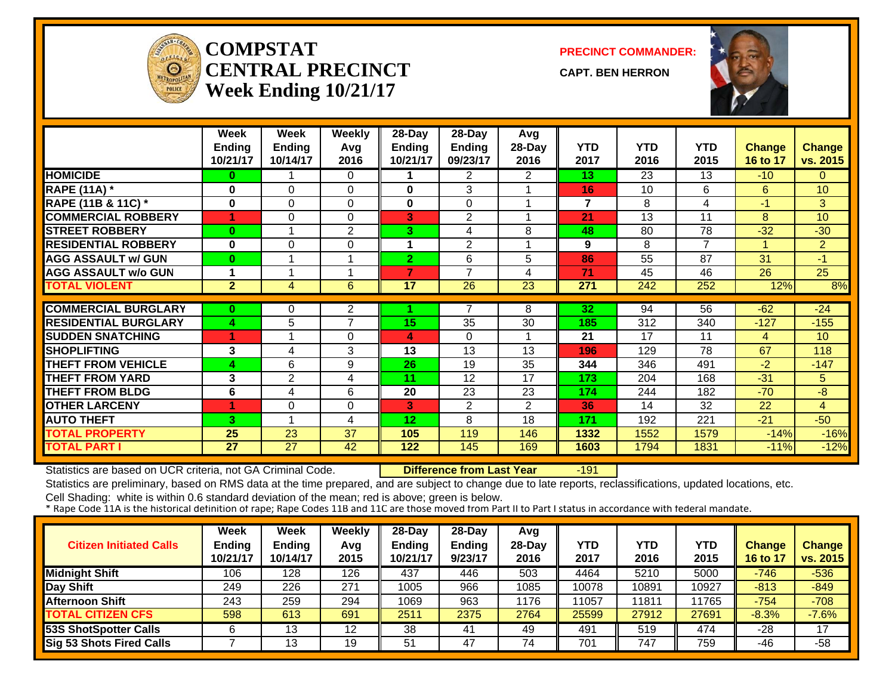

#### **COMPSTATCENTRAL PRECINCTWeek Ending 10/21/17**

**PRECINCT COMMANDER:**

**CAPT. BEN HERRON**



|                             | Week<br><b>Ending</b><br>10/21/17 | Week<br><b>Ending</b><br>10/14/17 | <b>Weekly</b><br>Avg<br>2016 | 28-Day<br>Ending<br>10/21/17 | 28-Day<br><b>Ending</b><br>09/23/17 | Avg<br>28-Day<br>2016 | <b>YTD</b><br>2017 | <b>YTD</b><br>2016 | <b>YTD</b><br>2015 | <b>Change</b><br>16 to 17 | <b>Change</b><br>vs. 2015 |
|-----------------------------|-----------------------------------|-----------------------------------|------------------------------|------------------------------|-------------------------------------|-----------------------|--------------------|--------------------|--------------------|---------------------------|---------------------------|
| <b>HOMICIDE</b>             | 0                                 |                                   | 0                            |                              | $\overline{2}$                      | 2                     | 13                 | 23                 | 13                 | $-10$                     | $\Omega$                  |
| <b>RAPE (11A)</b> *         | $\bf{0}$                          | $\Omega$                          | $\Omega$                     | $\bf{0}$                     | 3                                   |                       | 16                 | 10 <sup>1</sup>    | 6                  | 6                         | 10 <sup>°</sup>           |
| RAPE (11B & 11C) *          | 0                                 | 0                                 | 0                            | 0                            | $\Omega$                            |                       | 7                  | 8                  | 4                  | $-1$                      | 3                         |
| <b>COMMERCIAL ROBBERY</b>   | 4                                 | 0                                 | $\Omega$                     | 3                            | $\overline{2}$                      |                       | 21                 | 13                 | 11                 | 8                         | 10 <sup>°</sup>           |
| <b>STREET ROBBERY</b>       | $\bf{0}$                          |                                   | 2                            | 3.                           | 4                                   | 8                     | 48                 | 80                 | 78                 | $-32$                     | $-30$                     |
| <b>RESIDENTIAL ROBBERY</b>  | $\bf{0}$                          | 0                                 | 0                            | 1                            | $\overline{2}$                      |                       | 9                  | 8                  | $\overline{7}$     |                           | 2 <sup>1</sup>            |
| <b>AGG ASSAULT w/ GUN</b>   | $\bf{0}$                          |                                   | 1                            | $\overline{2}$               | 6                                   | 5                     | 86                 | 55                 | 87                 | 31                        | $-1$                      |
| <b>AGG ASSAULT w/o GUN</b>  | 1                                 |                                   | 1                            | 7                            | $\overline{ }$                      | 4                     | 71                 | 45                 | 46                 | 26                        | $\overline{25}$           |
| <b>TOTAL VIOLENT</b>        | $\mathbf{2}$                      | $\overline{4}$                    | 6                            | 17                           | 26                                  | 23                    | 271                | 242                | 252                | 12%                       | 8%                        |
|                             |                                   |                                   |                              |                              |                                     |                       |                    |                    |                    |                           |                           |
| <b>COMMERCIAL BURGLARY</b>  | $\bf{0}$                          | 0                                 | 2                            |                              | 7                                   | 8                     | 32                 | 94                 | 56                 | $-62$                     | $-24$                     |
| <b>RESIDENTIAL BURGLARY</b> | 4                                 | 5                                 | 7                            | 15                           | 35                                  | 30                    | 185                | 312                | 340                | $-127$                    | $-155$                    |
| <b>SUDDEN SNATCHING</b>     |                                   |                                   | 0                            | 4                            | $\Omega$                            |                       | 21                 | 17                 | 11                 | $\overline{4}$            | 10 <sup>°</sup>           |
| <b>SHOPLIFTING</b>          | 3                                 | 4                                 | 3                            | 13                           | 13                                  | 13                    | 196                | 129                | 78                 | 67                        | 118                       |
| <b>THEFT FROM VEHICLE</b>   | 4                                 | 6                                 | 9                            | 26                           | 19                                  | 35                    | 344                | 346                | 491                | $-2$                      | $-147$                    |
| <b>THEFT FROM YARD</b>      | 3                                 | $\overline{2}$                    | 4                            | 11                           | 12                                  | 17                    | 173                | 204                | 168                | $-31$                     | 5 <sup>5</sup>            |
| <b>THEFT FROM BLDG</b>      | 6                                 | 4                                 | 6                            | 20                           | 23                                  | 23                    | 174                | 244                | 182                | $-70$                     | -8                        |
| <b>OTHER LARCENY</b>        | 4                                 | 0                                 | 0                            | 3                            | $\overline{2}$                      | $\overline{2}$        | 36                 | 14                 | 32                 | 22                        | $\overline{4}$            |
| <b>AUTO THEFT</b>           | 3                                 |                                   | 4                            | 12                           | 8                                   | 18                    | 171                | 192                | 221                | $-21$                     | $-50$                     |
| <b>TOTAL PROPERTY</b>       | 25                                | 23                                | 37                           | 105                          | 119                                 | 146                   | 1332               | 1552               | 1579               | $-14%$                    | $-16%$                    |
| <b>TOTAL PART I</b>         | 27                                | 27                                | 42                           | 122                          | 145                                 | 169                   | 1603               | 1794               | 1831               | $-11%$                    | $-12%$                    |

Statistics are based on UCR criteria, not GA Criminal Code. **Difference from Last Year** -191

Statistics are preliminary, based on RMS data at the time prepared, and are subject to change due to late reports, reclassifications, updated locations, etc.

| <b>Citizen Initiated Calls</b>  | <b>Week</b><br>Ending<br>10/21/17 | Week<br><b>Ending</b><br>10/14/17 | Weekly<br>Avg<br>2015 | $28-Day$<br>Ending<br>10/21/17 | $28-Dav$<br><b>Ending</b><br>9/23/17 | Avg<br>$28-Dav$<br>2016 | YTD<br>2017 | YTD<br>2016 | <b>YTD</b><br>2015 | Change<br><b>16 to 17</b> | <b>Change</b><br>vs. 2015 |
|---------------------------------|-----------------------------------|-----------------------------------|-----------------------|--------------------------------|--------------------------------------|-------------------------|-------------|-------------|--------------------|---------------------------|---------------------------|
| <b>Midnight Shift</b>           | 106                               | 128                               | 126                   | 437                            | 446                                  | 503                     | 4464        | 5210        | 5000               | $-746$                    | $-536$                    |
| Day Shift                       | 249                               | 226                               | 271                   | 1005                           | 966                                  | 1085                    | 10078       | 0891        | 10927              | $-813$                    | $-849$                    |
| <b>Afternoon Shift</b>          | 243                               | 259                               | 294                   | 1069                           | 963                                  | 1176                    | 11057       | 1811        | 11765              | $-754$                    | $-708$                    |
| <b>TOTAL CITIZEN CFS</b>        | 598                               | 613                               | 691                   | 2511                           | 2375                                 | 2764                    | 25599       | 27912       | 27691              | $-8.3%$                   | $-7.6%$                   |
| 53S ShotSpotter Calls           |                                   | 13                                | 12                    | 38                             | 41                                   | 49                      | 491         | 519         | 474                | $-28$                     | 17                        |
| <b>Sig 53 Shots Fired Calls</b> |                                   | 13                                | 19                    | 51                             | 47                                   | 74                      | 701         | 747         | 759                | $-46$                     | $-58$                     |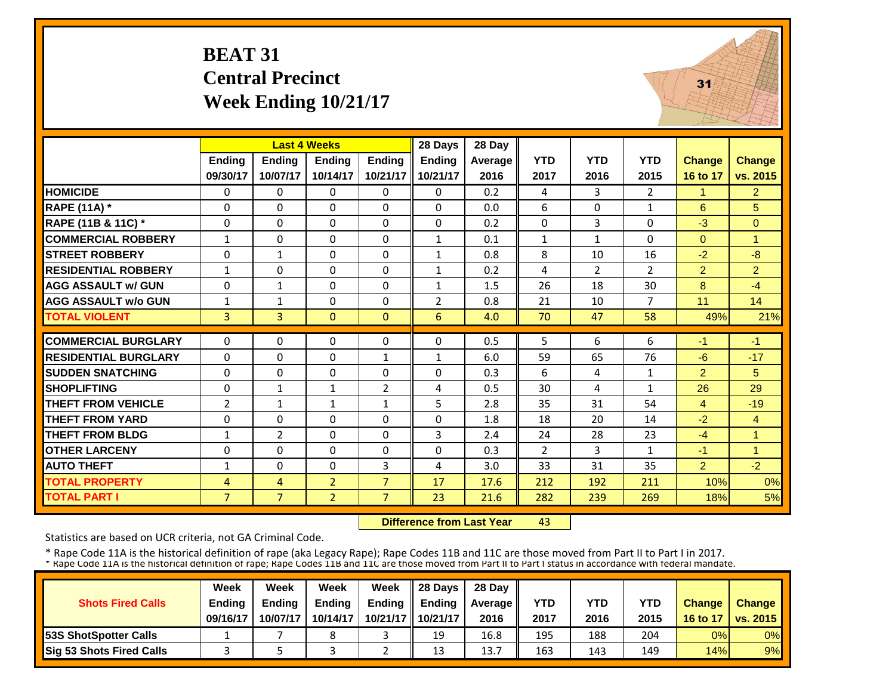### **BEAT 31 Central Precinct Week Ending 10/21/17**



|                             |                            | <b>Last 4 Weeks</b> |                |                     | 28 Days        | 28 Day     |              |                |                |                      |                     |
|-----------------------------|----------------------------|---------------------|----------------|---------------------|----------------|------------|--------------|----------------|----------------|----------------------|---------------------|
|                             | Ending                     | <b>Ending</b>       | <b>Ending</b>  | <b>Ending</b>       | <b>Ending</b>  | Average    | <b>YTD</b>   | <b>YTD</b>     | <b>YTD</b>     | <b>Change</b>        | <b>Change</b>       |
|                             | 09/30/17                   | 10/07/17            | 10/14/17       | 10/21/17            | 10/21/17       | 2016       | 2017         | 2016           | 2015           | 16 to 17             | vs. 2015            |
| <b>HOMICIDE</b>             | $\Omega$                   | $\Omega$            | $\Omega$       | $\Omega$            | 0              | 0.2        | 4            | 3              | $\overline{2}$ | 1                    | 2                   |
| <b>RAPE (11A) *</b>         | $\Omega$                   | $\Omega$            | $\Omega$       | $\Omega$            | $\Omega$       | 0.0        | 6            | $\Omega$       | $\mathbf{1}$   | 6                    | 5                   |
| RAPE (11B & 11C) *          | $\Omega$                   | $\Omega$            | $\Omega$       | $\Omega$            | $\Omega$       | 0.2        | $\Omega$     | $\overline{3}$ | 0              | $-3$                 | $\Omega$            |
| <b>COMMERCIAL ROBBERY</b>   | $\mathbf{1}$               | $\Omega$            | $\Omega$       | $\Omega$            | $\mathbf{1}$   | 0.1        | $\mathbf{1}$ | $\mathbf{1}$   | $\Omega$       | $\Omega$             | $\overline{1}$      |
| <b>STREET ROBBERY</b>       | $\Omega$                   | $\mathbf{1}$        | $\Omega$       | $\Omega$            | 1              | 0.8        | 8            | 10             | 16             | $-2$                 | $-8$                |
| <b>RESIDENTIAL ROBBERY</b>  | $\mathbf{1}$               | $\Omega$            | $\Omega$       | $\Omega$            | $\mathbf{1}$   | 0.2        | 4            | $\overline{2}$ | $\overline{2}$ | $\overline{2}$       | $\overline{2}$      |
| <b>AGG ASSAULT w/ GUN</b>   | $\Omega$                   | $\mathbf{1}$        | $\Omega$       | $\Omega$            | $\mathbf{1}$   | 1.5        | 26           | 18             | 30             | 8                    | $-4$                |
| <b>AGG ASSAULT w/o GUN</b>  | $\mathbf{1}$               | $\mathbf{1}$        | $\Omega$       | $\Omega$            | $\overline{2}$ | 0.8        | 21           | 10             | $\overline{7}$ | 11                   | 14                  |
| <b>TOTAL VIOLENT</b>        | 3                          | 3                   | $\mathbf{0}$   | $\mathbf{0}$        | 6              | 4.0        | 70           | 47             | 58             | 49%                  | 21%                 |
| <b>COMMERCIAL BURGLARY</b>  | $\Omega$                   | $\Omega$            | 0              | $\Omega$            | $\Omega$       | 0.5        | 5            | 6              | 6              | $-1$                 | $-1$                |
| <b>RESIDENTIAL BURGLARY</b> | $\Omega$                   | $\Omega$            | $\mathbf 0$    | $\mathbf{1}$        | $\mathbf{1}$   | 6.0        | 59           | 65             | 76             | $-6$                 | $-17$               |
| <b>ISUDDEN SNATCHING</b>    |                            | $\Omega$            | $\Omega$       |                     | $\Omega$       |            | 6            |                |                |                      | 5                   |
| <b>SHOPLIFTING</b>          | $\mathbf 0$<br>$\mathbf 0$ | $\mathbf{1}$        | $\mathbf{1}$   | 0<br>$\overline{2}$ | 4              | 0.3<br>0.5 | 30           | 4<br>4         | $\mathbf{1}$   | $\overline{2}$<br>26 | 29                  |
| <b>THEFT FROM VEHICLE</b>   | $\overline{2}$             | $\mathbf{1}$        | 1              | $\mathbf{1}$        | 5              | 2.8        | 35           | 31             | 1<br>54        | 4                    | $-19$               |
| <b>THEFT FROM YARD</b>      | $\Omega$                   | $\Omega$            | $\Omega$       | $\Omega$            | 0              | 1.8        | 18           | 20             | 14             | $-2$                 |                     |
| <b>THEFT FROM BLDG</b>      |                            | $\overline{2}$      | $\Omega$       | $\Omega$            | 3              | 2.4        |              |                | 23             |                      | $\overline{4}$<br>1 |
|                             | $\mathbf{1}$               |                     |                |                     |                |            | 24           | 28             |                | $-4$                 |                     |
| <b>OTHER LARCENY</b>        | $\Omega$                   | $\Omega$            | $\Omega$       | $\Omega$            | 0              | 0.3        | 2            | 3              | $\mathbf{1}$   | $-1$                 | 1                   |
| <b>AUTO THEFT</b>           | $\mathbf{1}$               | $\Omega$            | $\Omega$       | 3                   | 4              | 3.0        | 33           | 31             | 35             | $\overline{2}$       | $-2$                |
| <b>TOTAL PROPERTY</b>       | 4                          | 4                   | $\overline{2}$ | $\overline{7}$      | 17             | 17.6       | 212          | 192            | 211            | 10%                  | 0%                  |
| <b>TOTAL PART I</b>         | $\overline{7}$             | $\overline{7}$      | $\overline{2}$ | $\overline{7}$      | 23             | 21.6       | 282          | 239            | 269            | 18%                  | 5%                  |

 **Difference from Last Year**43

Statistics are based on UCR criteria, not GA Criminal Code.

|                               | Week          | Week          | Week          | Week          | 28 Davs             | 28 Day    |      |      |      |               |                     |
|-------------------------------|---------------|---------------|---------------|---------------|---------------------|-----------|------|------|------|---------------|---------------------|
| <b>Shots Fired Calls</b>      | <b>Ending</b> | <b>Ending</b> | <b>Ending</b> | <b>Ending</b> | <b>Ending</b>       | Average I | YTD  | YTD  | YTD  | <b>Change</b> | <b>Change</b>       |
|                               | 09/16/17      | 10/07/17      | 10/14/17      |               | 10/21/17   10/21/17 | 2016      | 2017 | 2016 | 2015 |               | 16 to 17   vs. 2015 |
| <b>153S ShotSpotter Calls</b> |               |               | 8             |               | 19                  | 16.8      | 195  | 188  | 204  | 0%            | $0\%$               |
| Sig 53 Shots Fired Calls      |               |               |               |               | 13                  | 13.7      | 163  | 143  | 149  | 14%           | 9%                  |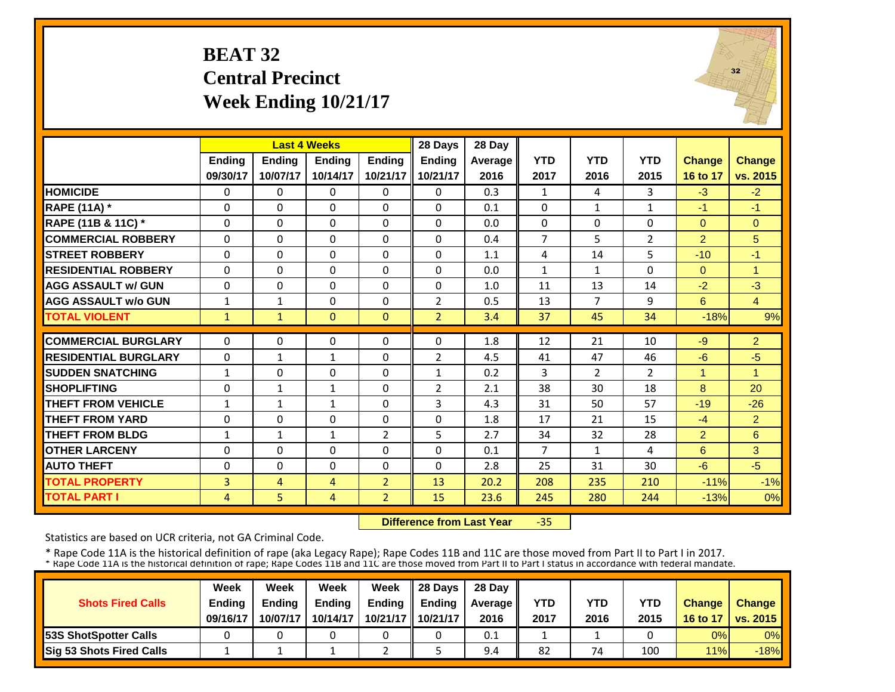### **BEAT 32 Central Precinct Week Ending 10/21/17**



|                             |                | <b>Last 4 Weeks</b> |              |                | 28 Days        | 28 Day  |                |                |                |                |                      |
|-----------------------------|----------------|---------------------|--------------|----------------|----------------|---------|----------------|----------------|----------------|----------------|----------------------|
|                             | Ending         | <b>Ending</b>       | Ending       | <b>Ending</b>  | <b>Ending</b>  | Average | <b>YTD</b>     | <b>YTD</b>     | <b>YTD</b>     | <b>Change</b>  | <b>Change</b>        |
|                             | 09/30/17       | 10/07/17            | 10/14/17     | 10/21/17       | 10/21/17       | 2016    | 2017           | 2016           | 2015           | 16 to 17       | vs. 2015             |
| <b>HOMICIDE</b>             | $\mathbf{0}$   | $\Omega$            | $\Omega$     | $\Omega$       | $\Omega$       | 0.3     | $\mathbf{1}$   | 4              | 3              | $-3$           | $-2$                 |
| <b>RAPE (11A)</b> *         | $\Omega$       | $\Omega$            | $\Omega$     | $\Omega$       | $\Omega$       | 0.1     | $\mathbf{0}$   | $\mathbf{1}$   | $\mathbf{1}$   | $-1$           | $-1$                 |
| RAPE (11B & 11C) *          | $\Omega$       | $\Omega$            | $\Omega$     | $\Omega$       | $\Omega$       | 0.0     | 0              | $\Omega$       | $\Omega$       | $\Omega$       | $\Omega$             |
| <b>COMMERCIAL ROBBERY</b>   | $\Omega$       | $\Omega$            | $\Omega$     | $\Omega$       | $\Omega$       | 0.4     | $\overline{7}$ | 5              | $\overline{2}$ | $\overline{2}$ | 5                    |
| <b>STREET ROBBERY</b>       | $\Omega$       | $\Omega$            | $\Omega$     | $\Omega$       | $\Omega$       | 1.1     | 4              | 14             | 5              | $-10$          | $-1$                 |
| <b>RESIDENTIAL ROBBERY</b>  | $\Omega$       | $\Omega$            | $\Omega$     | $\Omega$       | $\Omega$       | 0.0     | $\mathbf{1}$   | $\mathbf{1}$   | $\Omega$       | $\Omega$       | $\blacktriangleleft$ |
| <b>AGG ASSAULT w/ GUN</b>   | $\Omega$       | $\Omega$            | $\Omega$     | $\Omega$       | $\Omega$       | 1.0     | 11             | 13             | 14             | $-2$           | $-3$                 |
| <b>AGG ASSAULT w/o GUN</b>  | $\mathbf{1}$   | $\mathbf{1}$        | $\Omega$     | $\Omega$       | $\overline{2}$ | 0.5     | 13             | $\overline{7}$ | 9              | 6              | $\overline{4}$       |
| <b>TOTAL VIOLENT</b>        | $\mathbf{1}$   | $\mathbf{1}$        | $\mathbf{0}$ | $\mathbf{0}$   | $\overline{2}$ | 3.4     | 37             | 45             | 34             | $-18%$         | 9%                   |
| <b>COMMERCIAL BURGLARY</b>  | $\Omega$       | $\Omega$            | $\Omega$     | $\Omega$       | $\Omega$       | 1.8     | 12             | 21             | 10             | $-9$           | $\overline{2}$       |
| <b>RESIDENTIAL BURGLARY</b> | $\Omega$       | $\mathbf{1}$        | 1            | $\Omega$       | 2              | 4.5     | 41             | 47             | 46             | $-6$           | $-5$                 |
| <b>SUDDEN SNATCHING</b>     | $\mathbf{1}$   | 0                   | $\Omega$     | $\Omega$       | $\mathbf{1}$   | 0.2     | 3              | $\overline{2}$ | $\overline{2}$ | 1              | 1                    |
| <b>SHOPLIFTING</b>          | $\Omega$       | $\mathbf{1}$        | $\mathbf{1}$ | $\Omega$       | $\overline{2}$ | 2.1     | 38             | 30             | 18             | 8              | 20                   |
| <b>THEFT FROM VEHICLE</b>   | $\mathbf{1}$   | 1                   | $\mathbf{1}$ | $\Omega$       | 3              | 4.3     | 31             | 50             | 57             | $-19$          | $-26$                |
| <b>THEFT FROM YARD</b>      | $\Omega$       | $\Omega$            | $\Omega$     | $\Omega$       | 0              | 1.8     | 17             | 21             | 15             | $-4$           | 2                    |
| <b>THEFT FROM BLDG</b>      | $\mathbf{1}$   | $\mathbf{1}$        | $\mathbf{1}$ | $\overline{2}$ | 5.             | 2.7     | 34             | 32             | 28             | $\overline{2}$ | 6                    |
| <b>OTHER LARCENY</b>        | $\Omega$       | $\Omega$            | $\Omega$     | $\Omega$       | $\Omega$       | 0.1     | $\overline{7}$ | $\mathbf{1}$   | 4              | 6              | 3                    |
| <b>AUTO THEFT</b>           | $\Omega$       | $\Omega$            | $\Omega$     | $\Omega$       | $\Omega$       | 2.8     | 25             | 31             | 30             | $-6$           | $-5$                 |
| <b>TOTAL PROPERTY</b>       | 3              | $\overline{4}$      | 4            | $\overline{2}$ | 13             | 20.2    | 208            | 235            | 210            | $-11%$         | $-1%$                |
| <b>TOTAL PART I</b>         | $\overline{4}$ | 5                   | 4            | $\overline{2}$ | 15             | 23.6    | 245            | 280            | 244            | $-13%$         | 0%                   |

 **Difference from Last Year**‐35

Statistics are based on UCR criteria, not GA Criminal Code.

|                               | Week          | Week          | Week          | Week          | $\parallel$ 28 Davs | 28 Day    |      |      |      |               |                     |
|-------------------------------|---------------|---------------|---------------|---------------|---------------------|-----------|------|------|------|---------------|---------------------|
| <b>Shots Fired Calls</b>      | <b>Ending</b> | <b>Ending</b> | <b>Ending</b> | <b>Ending</b> | <b>Ending</b>       | Average I | YTD  | YTD  | YTD  | <b>Change</b> | <b>Change</b>       |
|                               | 09/16/17      | 10/07/17      | 10/14/17      |               | 10/21/17   10/21/17 | 2016      | 2017 | 2016 | 2015 |               | 16 to 17   vs. 2015 |
| <b>153S ShotSpotter Calls</b> |               |               |               |               |                     | 0.1       |      |      |      | 0%            | $0\%$               |
| Sig 53 Shots Fired Calls      |               |               |               |               |                     | 9.4       | 82   | 74   | 100  | 11%           | $-18%$              |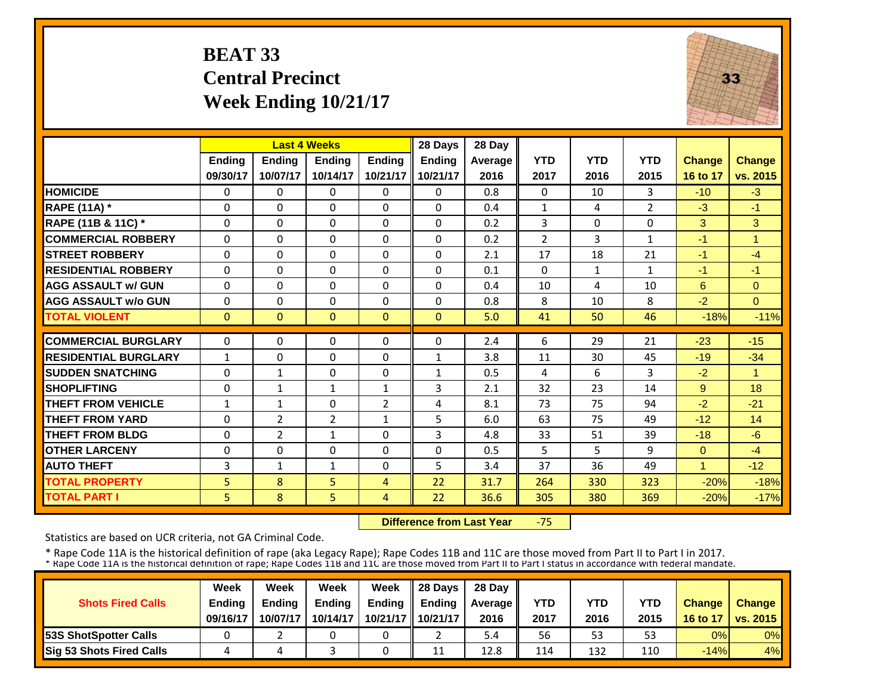### **BEAT 33 Central Precinct Week Ending 10/21/17**



|                             |                | <b>Last 4 Weeks</b> |              |                | 28 Days       | 28 Day  |                |            |                |               |                |
|-----------------------------|----------------|---------------------|--------------|----------------|---------------|---------|----------------|------------|----------------|---------------|----------------|
|                             | Ending         | Ending              | Ending       | <b>Ending</b>  | <b>Ending</b> | Average | <b>YTD</b>     | <b>YTD</b> | <b>YTD</b>     | <b>Change</b> | Change         |
|                             | 09/30/17       | 10/07/17            | 10/14/17     | 10/21/17       | 10/21/17      | 2016    | 2017           | 2016       | 2015           | 16 to 17      | vs. 2015       |
| <b>HOMICIDE</b>             | 0              | $\Omega$            | $\Omega$     | $\Omega$       | 0             | 0.8     | $\Omega$       | 10         | 3              | $-10$         | $-3$           |
| <b>RAPE (11A)</b> *         | $\Omega$       | $\Omega$            | $\Omega$     | $\Omega$       | $\Omega$      | 0.4     | $\mathbf{1}$   | 4          | $\overline{2}$ | $-3$          | $-1$           |
| RAPE (11B & 11C) *          | $\Omega$       | $\Omega$            | $\Omega$     | $\Omega$       | $\Omega$      | 0.2     | 3              | $\Omega$   | 0              | 3             | 3              |
| <b>COMMERCIAL ROBBERY</b>   | $\Omega$       | $\Omega$            | $\Omega$     | $\Omega$       | 0             | 0.2     | $\overline{2}$ | 3          | 1              | $-1$          | 1              |
| <b>STREET ROBBERY</b>       | 0              | $\Omega$            | $\Omega$     | 0              | $\Omega$      | 2.1     | 17             | 18         | 21             | $-1$          | $-4$           |
| <b>RESIDENTIAL ROBBERY</b>  | 0              | $\Omega$            | $\Omega$     | $\Omega$       | 0             | 0.1     | $\Omega$       | 1          | $\mathbf{1}$   | $-1$          | $-1$           |
| <b>AGG ASSAULT w/ GUN</b>   | $\Omega$       | $\Omega$            | $\Omega$     | 0              | 0             | 0.4     | 10             | 4          | 10             | 6             | $\overline{0}$ |
| <b>AGG ASSAULT w/o GUN</b>  | $\Omega$       | $\Omega$            | 0            | $\Omega$       | 0             | 0.8     | 8              | 10         | 8              | $-2$          | $\Omega$       |
| <b>TOTAL VIOLENT</b>        | $\Omega$       | $\Omega$            | $\Omega$     | $\Omega$       | $\Omega$      | 5.0     | 41             | 50         | 46             | $-18%$        | $-11%$         |
| <b>COMMERCIAL BURGLARY</b>  | $\Omega$       | $\Omega$            | $\Omega$     | 0              | 0             | 2.4     | 6              | 29         | 21             | $-23$         | $-15$          |
| <b>RESIDENTIAL BURGLARY</b> | $\mathbf{1}$   | $\Omega$            | $\Omega$     | $\Omega$       | 1             | 3.8     | 11             | 30         | 45             | $-19$         | $-34$          |
| <b>SUDDEN SNATCHING</b>     | 0              | $\mathbf{1}$        | 0            | $\Omega$       | $\mathbf{1}$  | 0.5     | 4              | 6          | 3              | $-2$          | 1              |
| <b>SHOPLIFTING</b>          | $\Omega$       | $\mathbf{1}$        | $\mathbf{1}$ | 1              | 3             | 2.1     | 32             | 23         | 14             | 9             | 18             |
| <b>THEFT FROM VEHICLE</b>   | 1              | $\mathbf{1}$        | 0            | 2              | 4             | 8.1     | 73             | 75         | 94             | $-2$          | $-21$          |
| <b>THEFT FROM YARD</b>      | $\Omega$       | $\overline{2}$      | 2            | $\mathbf{1}$   | 5             | 6.0     | 63             | 75         | 49             | $-12$         | 14             |
| <b>THEFT FROM BLDG</b>      | $\Omega$       | $\overline{2}$      | 1            | $\Omega$       | 3             | 4.8     | 33             | 51         | 39             | $-18$         | $-6$           |
| <b>OTHER LARCENY</b>        | $\Omega$       | $\Omega$            | $\Omega$     | $\Omega$       | $\Omega$      | 0.5     | 5              | 5.         | 9              | $\Omega$      | $-4$           |
| <b>AUTO THEFT</b>           | 3              | $\mathbf{1}$        |              | $\Omega$       | 5             | 3.4     | 37             | 36         | 49             | 1             | $-12$          |
|                             | 5 <sup>5</sup> |                     | $\mathbf{1}$ |                | 22            | 31.7    |                |            |                | $-20%$        | $-18%$         |
| <b>TOTAL PROPERTY</b>       |                | 8                   | 5            | 4              |               |         | 264            | 330        | 323            |               |                |
| <b>TOTAL PART I</b>         | 5              | 8                   | 5            | $\overline{4}$ | 22            | 36.6    | 305            | 380        | 369            | $-20%$        | $-17%$         |

 **Difference from Last Year**‐75

Statistics are based on UCR criteria, not GA Criminal Code.

|                               | Week          | Week          | <b>Week</b>   | Week          | $\parallel$ 28 Davs | 28 Day    |      |      |      |               |                     |
|-------------------------------|---------------|---------------|---------------|---------------|---------------------|-----------|------|------|------|---------------|---------------------|
| <b>Shots Fired Calls</b>      | <b>Ending</b> | <b>Endina</b> | <b>Ending</b> | <b>Ending</b> | <b>Endina</b>       | Average I | YTD  | YTD  | YTD  | <b>Change</b> | <b>Change</b>       |
|                               | 09/16/17      | 10/07/17      | 10/14/17      |               | 10/21/17 10/21/17   | 2016      | 2017 | 2016 | 2015 |               | 16 to 17   vs. 2015 |
| <b>153S ShotSpotter Calls</b> |               |               |               |               |                     | 5.4       | 56   | 53   | 53   | 0%            | $0\%$               |
| Sig 53 Shots Fired Calls      |               |               |               |               | 11                  | 12.8      | 114  | 132  | 110  | $-14%$        | 4%                  |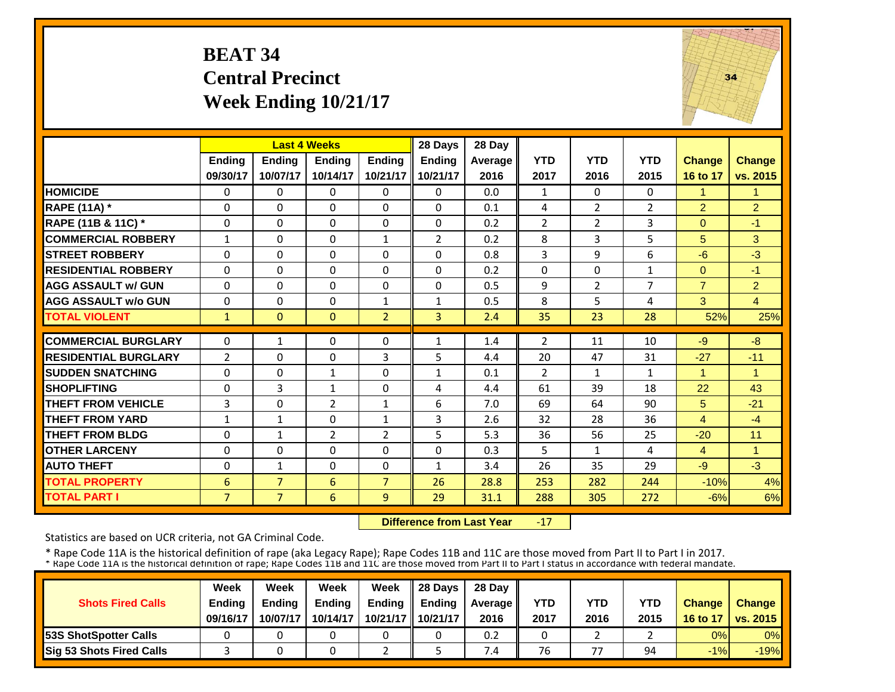### **BEAT 34 Central Precinct Week Ending 10/21/17**



|                             |                |                | <b>Last 4 Weeks</b> |                | 28 Days           | 28 Day  |                |                |                |                |                |
|-----------------------------|----------------|----------------|---------------------|----------------|-------------------|---------|----------------|----------------|----------------|----------------|----------------|
|                             | Ending         | <b>Ending</b>  | <b>Ending</b>       | <b>Ending</b>  | <b>Ending</b>     | Average | <b>YTD</b>     | <b>YTD</b>     | <b>YTD</b>     | <b>Change</b>  | <b>Change</b>  |
|                             | 09/30/17       | 10/07/17       | 10/14/17            | 10/21/17       | 10/21/17          | 2016    | 2017           | 2016           | 2015           | 16 to 17       | vs. 2015       |
| <b>HOMICIDE</b>             | $\Omega$       | $\Omega$       | $\mathbf{0}$        | $\Omega$       | $\Omega$          | 0.0     | $\mathbf{1}$   | $\Omega$       | $\Omega$       | $\mathbf{1}$   | $\mathbf{1}$   |
| <b>RAPE (11A) *</b>         | $\Omega$       | $\Omega$       | $\Omega$            | $\Omega$       | $\Omega$          | 0.1     | 4              | $\overline{2}$ | $\overline{2}$ | $\overline{2}$ | $\overline{2}$ |
| RAPE (11B & 11C) *          | 0              | $\Omega$       | $\mathbf{0}$        | 0              | $\Omega$          | 0.2     | $\overline{2}$ | $\overline{2}$ | 3              | $\overline{0}$ | $-1$           |
| <b>COMMERCIAL ROBBERY</b>   | $\mathbf{1}$   | $\Omega$       | $\Omega$            | $\mathbf{1}$   | 2                 | 0.2     | 8              | 3              | 5              | 5              | 3              |
| <b>ISTREET ROBBERY</b>      | $\Omega$       | $\Omega$       | $\Omega$            | $\Omega$       | $\Omega$          | 0.8     | 3              | 9              | 6              | $-6$           | $-3$           |
| <b>RESIDENTIAL ROBBERY</b>  | $\Omega$       | $\Omega$       | $\Omega$            | $\Omega$       | $\Omega$          | 0.2     | $\Omega$       | $\Omega$       | $\mathbf{1}$   | $\Omega$       | $-1$           |
| <b>AGG ASSAULT w/ GUN</b>   | $\Omega$       | $\Omega$       | $\Omega$            | $\Omega$       | $\Omega$          | 0.5     | 9              | $\overline{2}$ | 7              | $\overline{7}$ | $\overline{2}$ |
| <b>AGG ASSAULT w/o GUN</b>  | 0              | $\Omega$       | $\Omega$            | $\mathbf{1}$   | $\mathbf{1}$      | 0.5     | 8              | 5              | 4              | 3              | $\overline{4}$ |
| <b>TOTAL VIOLENT</b>        | $\mathbf{1}$   | $\Omega$       | $\mathbf{0}$        | $\overline{2}$ | $\overline{3}$    | 2.4     | 35             | 23             | 28             | 52%            | 25%            |
| <b>COMMERCIAL BURGLARY</b>  | $\Omega$       | 1              | $\Omega$            | $\Omega$       | $\mathbf{1}$      | 1.4     | $\overline{2}$ | 11             | 10             | $-9$           | $-8$           |
| <b>RESIDENTIAL BURGLARY</b> | $\overline{2}$ | $\Omega$       | $\Omega$            | 3              | 5                 | 4.4     | 20             | 47             | 31             | $-27$          | $-11$          |
| <b>SUDDEN SNATCHING</b>     | $\Omega$       | $\Omega$       |                     | $\Omega$       |                   | 0.1     | $\overline{2}$ | $\mathbf{1}$   |                | $\mathbf{1}$   | $\mathbf{1}$   |
| <b>SHOPLIFTING</b>          | $\Omega$       | 3              | 1<br>$\mathbf{1}$   | $\Omega$       | $\mathbf{1}$<br>4 | 4.4     | 61             | 39             | 1<br>18        | 22             | 43             |
| <b>THEFT FROM VEHICLE</b>   | 3              | $\Omega$       | $\overline{2}$      | $\mathbf{1}$   | 6                 | 7.0     | 69             | 64             | 90             | 5              | $-21$          |
| <b>THEFT FROM YARD</b>      | $\mathbf{1}$   | $\mathbf{1}$   | $\Omega$            | $\mathbf{1}$   | 3                 | 2.6     | 32             | 28             | 36             | $\overline{4}$ | $-4$           |
| <b>THEFT FROM BLDG</b>      | 0              | $\mathbf{1}$   | $\overline{2}$      | $\overline{2}$ | 5                 | 5.3     | 36             | 56             | 25             | $-20$          | 11             |
| <b>OTHER LARCENY</b>        | 0              | $\Omega$       | $\Omega$            | 0              | $\Omega$          | 0.3     | 5              | $\mathbf{1}$   |                |                | $\mathbf{1}$   |
| <b>AUTO THEFT</b>           | 0              | $\mathbf{1}$   | $\Omega$            | $\Omega$       | $\mathbf{1}$      | 3.4     | 26             | 35             | 4<br>29        | 4<br>$-9$      | $-3$           |
| <b>TOTAL PROPERTY</b>       | 6              | $\overline{7}$ | 6                   | $\overline{7}$ | 26                | 28.8    | 253            | 282            | 244            | $-10%$         | 4%             |
|                             |                |                |                     |                |                   |         |                |                |                |                |                |
| <b>TOTAL PART I</b>         | $\overline{7}$ | 7 <sup>1</sup> | 6                   | 9              | 29                | 31.1    | 288            | 305            | 272            | $-6%$          | 6%             |

 **Difference from Last Year**‐17

Statistics are based on UCR criteria, not GA Criminal Code.

|                               | Week          | Week          | Week          | Week          | $\parallel$ 28 Davs | 28 Day    |      |      |      |               |                     |
|-------------------------------|---------------|---------------|---------------|---------------|---------------------|-----------|------|------|------|---------------|---------------------|
| <b>Shots Fired Calls</b>      | <b>Ending</b> | <b>Ending</b> | <b>Ending</b> | <b>Ending</b> | <b>Ending</b>       | Average I | YTD  | YTD  | YTD  | <b>Change</b> | <b>Change</b>       |
|                               | 09/16/17      | 10/07/17      | 10/14/17      |               | 10/21/17   10/21/17 | 2016      | 2017 | 2016 | 2015 |               | 16 to 17   vs. 2015 |
| <b>153S ShotSpotter Calls</b> |               |               |               |               |                     | 0.2       |      |      |      | 0%            | $0\%$               |
| Sig 53 Shots Fired Calls      |               |               |               |               |                     | 7.4       | 76   | 77   | 94   | $-1%$         | $-19%$              |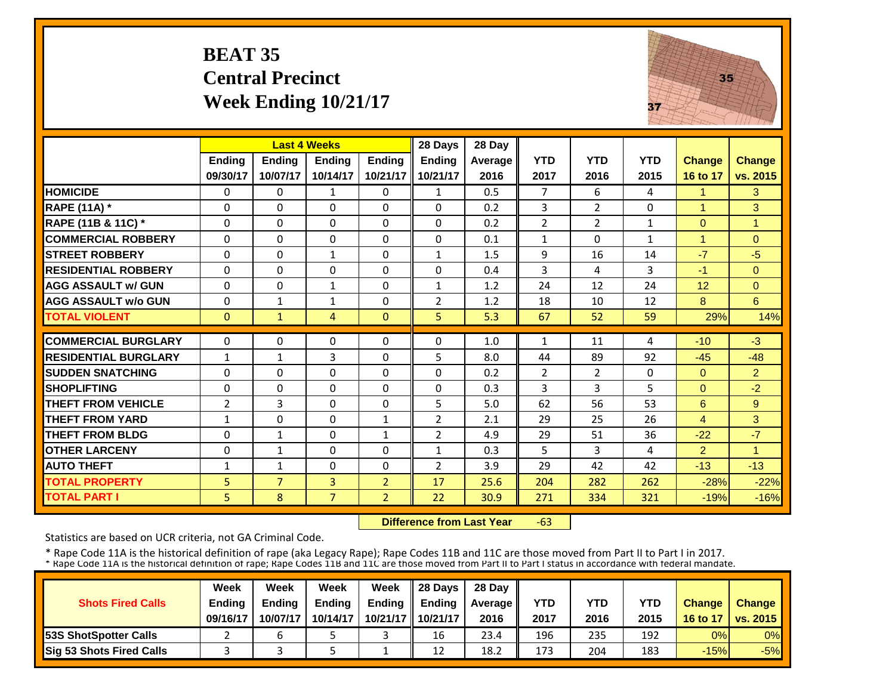### **BEAT 35 Central Precinct Week Ending 10/21/17**



|                             |                | <b>Last 4 Weeks</b> |                |                | 28 Days        | 28 Day  |                |                |              |               |                |
|-----------------------------|----------------|---------------------|----------------|----------------|----------------|---------|----------------|----------------|--------------|---------------|----------------|
|                             | <b>Ending</b>  | <b>Endina</b>       | <b>Endina</b>  | <b>Endina</b>  | <b>Ending</b>  | Average | <b>YTD</b>     | <b>YTD</b>     | <b>YTD</b>   | <b>Change</b> | <b>Change</b>  |
|                             | 09/30/17       | 10/07/17            | 10/14/17       | 10/21/17       | 10/21/17       | 2016    | 2017           | 2016           | 2015         | 16 to 17      | vs. 2015       |
| <b>HOMICIDE</b>             | $\Omega$       | $\Omega$            | 1              | $\Omega$       | 1              | 0.5     | $\overline{7}$ | 6              | 4            | 1             | 3              |
| <b>RAPE (11A) *</b>         | $\Omega$       | $\Omega$            | $\Omega$       | $\Omega$       | 0              | 0.2     | 3              | $\overline{2}$ | 0            | 1             | 3              |
| RAPE (11B & 11C) *          | $\mathbf{0}$   | $\Omega$            | $\Omega$       | $\Omega$       | 0              | 0.2     | $\overline{2}$ | $\overline{2}$ | $\mathbf{1}$ | $\Omega$      | $\mathbf{1}$   |
| <b>COMMERCIAL ROBBERY</b>   | $\Omega$       | $\Omega$            | $\Omega$       | $\Omega$       | $\Omega$       | 0.1     | $\mathbf{1}$   | $\Omega$       | 1            | 1             | $\Omega$       |
| <b>STREET ROBBERY</b>       | $\Omega$       | $\Omega$            | 1              | 0              | 1              | 1.5     | 9              | 16             | 14           | $-7$          | $-5$           |
| <b>RESIDENTIAL ROBBERY</b>  | $\Omega$       | $\Omega$            | $\Omega$       | 0              | 0              | 0.4     | 3              | 4              | 3            | $-1$          | $\Omega$       |
| <b>AGG ASSAULT w/ GUN</b>   | $\Omega$       | $\Omega$            | $\mathbf 1$    | $\Omega$       | $\mathbf{1}$   | 1.2     | 24             | 12             | 24           | 12            | $\Omega$       |
| <b>AGG ASSAULT w/o GUN</b>  | 0              | $\mathbf{1}$        | 1              | $\Omega$       | $\overline{2}$ | 1.2     | 18             | 10             | 12           | 8             | 6              |
| <b>TOTAL VIOLENT</b>        | $\mathbf{0}$   | $\mathbf{1}$        | 4              | $\Omega$       | 5              | 5.3     | 67             | 52             | 59           | 29%           | 14%            |
| <b>COMMERCIAL BURGLARY</b>  | $\Omega$       | $\Omega$            | $\Omega$       | $\Omega$       | 0              | 1.0     | $\mathbf{1}$   | 11             | 4            | $-10$         | $-3$           |
|                             |                |                     |                |                |                |         |                |                |              |               |                |
| <b>RESIDENTIAL BURGLARY</b> | $\mathbf{1}$   | $\mathbf{1}$        | 3              | $\Omega$       | 5              | 8.0     | 44             | 89             | 92           | $-45$         | $-48$          |
| <b>SUDDEN SNATCHING</b>     | 0              | $\Omega$            | 0              | 0              | 0              | 0.2     | $\overline{2}$ | $\overline{2}$ | 0            | $\mathbf{0}$  | $\overline{2}$ |
| <b>SHOPLIFTING</b>          | 0              | $\Omega$            | $\Omega$       | 0              | 0              | 0.3     | 3              | 3              | 5            | $\Omega$      | $-2$           |
| <b>THEFT FROM VEHICLE</b>   | $\overline{2}$ | 3                   | $\Omega$       | 0              | 5              | 5.0     | 62             | 56             | 53           | 6             | 9              |
| <b>THEFT FROM YARD</b>      | $\mathbf{1}$   | $\Omega$            | $\Omega$       | $\mathbf{1}$   | $\overline{2}$ | 2.1     | 29             | 25             | 26           | 4             | 3              |
| <b>THEFT FROM BLDG</b>      | $\Omega$       | $\mathbf{1}$        | $\Omega$       | $\mathbf{1}$   | $\overline{2}$ | 4.9     | 29             | 51             | 36           | $-22$         | $-7$           |
| <b>OTHER LARCENY</b>        | $\Omega$       | $\mathbf{1}$        | $\Omega$       | $\Omega$       | $\mathbf{1}$   | 0.3     | 5              | 3              | 4            | 2             | $\overline{1}$ |
| <b>AUTO THEFT</b>           | $\mathbf{1}$   | $\mathbf{1}$        | $\Omega$       | $\Omega$       | $\overline{2}$ | 3.9     | 29             | 42             | 42           | $-13$         | $-13$          |
| <b>TOTAL PROPERTY</b>       | 5              | $\overline{7}$      | 3              | $\overline{2}$ | 17             | 25.6    | 204            | 282            | 262          | $-28%$        | $-22%$         |
| <b>TOTAL PART I</b>         | 5              | 8                   | $\overline{7}$ | $\overline{2}$ | 22             | 30.9    | 271            | 334            | 321          | $-19%$        | $-16%$         |

 **Difference from Last Year** $-63$ 

Statistics are based on UCR criteria, not GA Criminal Code.

|                                 | Week          | Week          | Week     | Week                | 28 Davs       | 28 Day    |      |      |            |               |                       |
|---------------------------------|---------------|---------------|----------|---------------------|---------------|-----------|------|------|------------|---------------|-----------------------|
| <b>Shots Fired Calls</b>        | <b>Endina</b> | <b>Endina</b> | Ending   | <b>Ending</b>       | <b>Endina</b> | Average I | YTD  | YTD  | <b>YTD</b> | <b>Change</b> | <b>Change</b>         |
|                                 | 09/16/17      | 10/07/17      | 10/14/17 | 10/21/17   10/21/17 |               | 2016      | 2017 | 2016 | 2015       | 16 to 17      | <b>O</b> I vs. 2015 I |
| <b>153S ShotSpotter Calls</b>   |               |               |          |                     | 16            | 23.4      | 196  | 235  | 192        | 0%            | $0\%$                 |
| <b>Sig 53 Shots Fired Calls</b> |               |               |          |                     | 12            | 18.2      | 173  | 204  | 183        | $-15%$        | $-5%$                 |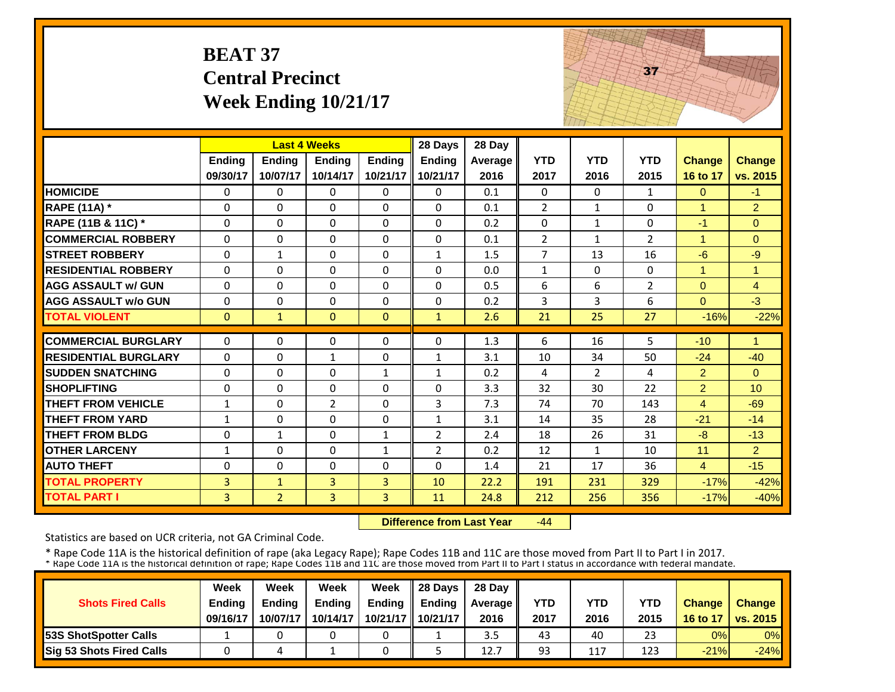|                             | <b>BEAT 37</b>     | <b>Central Precinct</b><br>Week Ending $10/21/17$ |                     |                           |                           |                 |                    |                    | 37                 |                           |                           |
|-----------------------------|--------------------|---------------------------------------------------|---------------------|---------------------------|---------------------------|-----------------|--------------------|--------------------|--------------------|---------------------------|---------------------------|
|                             |                    |                                                   | <b>Last 4 Weeks</b> |                           | 28 Days                   | 28 Day          |                    |                    |                    |                           |                           |
|                             | Ending<br>09/30/17 | <b>Ending</b><br>10/07/17                         | Ending<br>10/14/17  | <b>Ending</b><br>10/21/17 | <b>Ending</b><br>10/21/17 | Average<br>2016 | <b>YTD</b><br>2017 | <b>YTD</b><br>2016 | <b>YTD</b><br>2015 | <b>Change</b><br>16 to 17 | <b>Change</b><br>vs. 2015 |
| <b>HOMICIDE</b>             | 0                  | $\Omega$                                          | $\Omega$            | $\Omega$                  | $\Omega$                  | 0.1             | 0                  | $\Omega$           | $\mathbf{1}$       | $\Omega$                  | -1.                       |
| <b>RAPE (11A)</b> *         | $\Omega$           | $\Omega$                                          | $\Omega$            | 0                         | $\Omega$                  | 0.1             | $\overline{2}$     | $\mathbf{1}$       | $\Omega$           | $\mathbf{1}$              | $\overline{2}$            |
| RAPE (11B & 11C) *          | 0                  | $\Omega$                                          | 0                   | $\Omega$                  | $\Omega$                  | 0.2             | $\mathbf{0}$       | $\mathbf{1}$       | 0                  | $-1$                      | $\Omega$                  |
| <b>COMMERCIAL ROBBERY</b>   | $\Omega$           | $\Omega$                                          | $\Omega$            | $\Omega$                  | $\Omega$                  | 0.1             | $\overline{2}$     | $\mathbf{1}$       | $\overline{2}$     | $\mathbf{1}$              | $\Omega$                  |
| <b>STREET ROBBERY</b>       | $\Omega$           | $\mathbf{1}$                                      | 0                   | 0                         | $\mathbf{1}$              | 1.5             | $\overline{7}$     | 13                 | 16                 | $-6$                      | $-9$                      |
| <b>RESIDENTIAL ROBBERY</b>  | $\Omega$           | $\Omega$                                          | $\Omega$            | 0                         | $\Omega$                  | 0.0             | $\mathbf{1}$       | $\Omega$           | 0                  | $\overline{1}$            | $\overline{1}$            |
| <b>AGG ASSAULT w/ GUN</b>   | $\mathbf 0$        | 0                                                 | 0                   | 0                         | 0                         | 0.5             | 6                  | 6                  | $\overline{2}$     | $\mathbf{0}$              | $\overline{4}$            |
| <b>AGG ASSAULT w/o GUN</b>  | 0                  | 0                                                 | 0                   | $\Omega$                  | 0                         | 0.2             | 3                  | 3                  | 6                  | $\Omega$                  | $-3$                      |
| <b>TOTAL VIOLENT</b>        | $\mathbf{0}$       | $\mathbf{1}$                                      | $\Omega$            | $\Omega$                  | $\mathbf{1}$              | 2.6             | 21                 | 25                 | 27                 | $-16%$                    | $-22%$                    |
| <b>COMMERCIAL BURGLARY</b>  | $\Omega$           | $\Omega$                                          | $\Omega$            | $\Omega$                  | 0                         | 1.3             | 6                  | 16                 | 5                  | $-10$                     | $\blacktriangleleft$      |
| <b>RESIDENTIAL BURGLARY</b> | $\Omega$           | $\Omega$                                          | $\mathbf{1}$        | 0                         | $\mathbf{1}$              | 3.1             | 10                 | 34                 | 50                 | $-24$                     | $-40$                     |
| <b>SUDDEN SNATCHING</b>     | $\boldsymbol{0}$   | $\Omega$                                          | $\mathbf 0$         | $\mathbf{1}$              | $\mathbf{1}$              | 0.2             | 4                  | $\overline{2}$     | 4                  | $\overline{2}$            | $\overline{0}$            |
| <b>SHOPLIFTING</b>          | $\mathbf 0$        | $\Omega$                                          | $\mathbf 0$         | $\Omega$                  | $\Omega$                  | 3.3             | 32                 | 30                 | 22                 | $\overline{2}$            | 10                        |
| THEFT FROM VEHICLE          | $\mathbf{1}$       | $\mathbf 0$                                       | $\overline{2}$      | $\Omega$                  | 3                         | 7.3             | 74                 | 70                 | 143                | $\overline{4}$            | $-69$                     |
| <b>THEFT FROM YARD</b>      | $\mathbf{1}$       | $\Omega$                                          | $\Omega$            | 0                         | $\mathbf{1}$              | 3.1             | 14                 | 35                 | 28                 | $-21$                     | $-14$                     |
| <b>THEFT FROM BLDG</b>      | $\boldsymbol{0}$   | $\mathbf{1}$                                      | $\Omega$            | $\mathbf{1}$              | $\overline{2}$            | 2.4             | 18                 | 26                 | 31                 | -8                        | $-13$                     |
| <b>OTHER LARCENY</b>        | $\mathbf{1}$       | 0                                                 | 0                   | $\mathbf{1}$              | $\overline{2}$            | 0.2             | 12                 | $\mathbf{1}$       | 10                 | 11                        | $\overline{2}$            |
| <b>AUTO THEFT</b>           | $\mathbf 0$        | $\Omega$                                          | $\Omega$            | $\Omega$                  | $\Omega$                  | 1.4             | 21                 | 17                 | 36                 | $\overline{4}$            | $-15$                     |
| <b>TOTAL PROPERTY</b>       | 3                  | $\mathbf{1}$                                      | 3                   | 3                         | 10                        | 22.2            | 191                | 231                | 329                | $-17%$                    | $-42%$                    |
| <b>TOTAL PART I</b>         | 3                  | $\overline{2}$                                    | $\overline{3}$      | $\overline{3}$            | 11                        | 24.8            | 212                | 256                | 356                | $-17%$                    | $-40%$                    |

THE REAL PROPERTY.

 **Difference from Last Year**‐44

Statistics are based on UCR criteria, not GA Criminal Code.

|                                 | Week          | Week     | Week          | Week     | 28 Days       | 28 Day    |      |      |            |               |                          |
|---------------------------------|---------------|----------|---------------|----------|---------------|-----------|------|------|------------|---------------|--------------------------|
| <b>Shots Fired Calls</b>        | <b>Ending</b> | Ending   | <b>Ending</b> | Ending   | <b>Endina</b> | Average I | YTD  | YTD  | <b>YTD</b> | <b>Change</b> | <b>Change</b>            |
|                                 | 09/16/17      | 10/07/17 | 10/14/17      | 10/21/17 | 10/21/17      | 2016      | 2017 | 2016 | 2015       | 16 to 17      | $\vert$ vs. 2015 $\vert$ |
| <b>53S ShotSpotter Calls</b>    |               |          |               |          |               | 3.5       | 43   | 40   | 23         | 0%            | $0\%$                    |
| <b>Sig 53 Shots Fired Calls</b> |               |          |               |          |               | 12.7      | 93   | 117  | 123        | $-21%$        | $-24%$                   |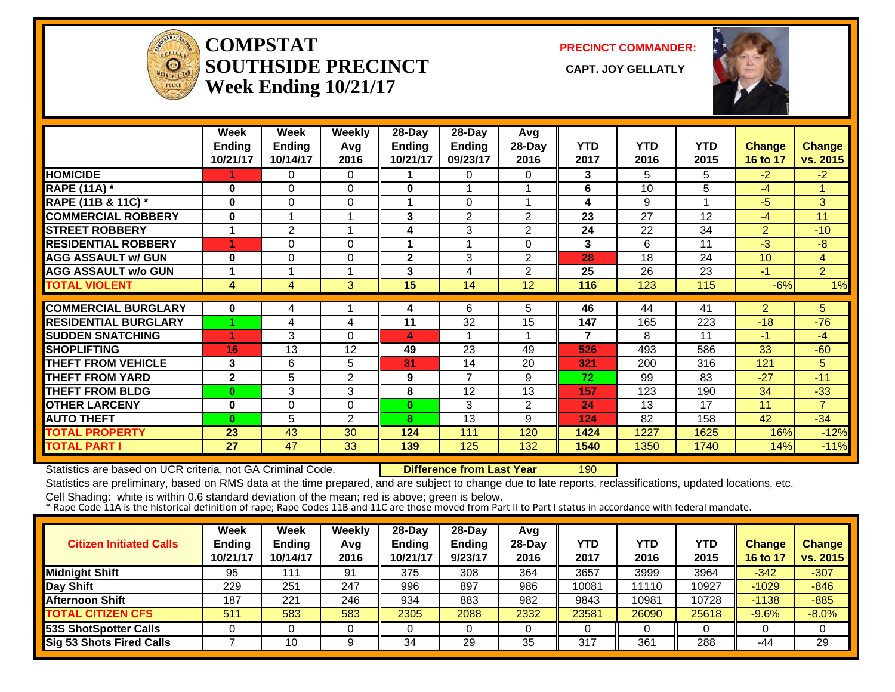

#### **COMPSTATSOUTHSIDE PRECINCT** CAPT. JOY GELLATLY **Week Ending 10/21/17**

**PRECINCT COMMANDER:**



|                             | Week          | Week           | <b>Weekly</b> | 28-Day        | 28-Day          | Avg             |                |            |            |                |                |
|-----------------------------|---------------|----------------|---------------|---------------|-----------------|-----------------|----------------|------------|------------|----------------|----------------|
|                             | <b>Ending</b> | <b>Ending</b>  | Avg           | <b>Ending</b> | Ending          | 28-Day          | <b>YTD</b>     | <b>YTD</b> | <b>YTD</b> | Change         | <b>Change</b>  |
|                             | 10/21/17      | 10/14/17       | 2016          | 10/21/17      | 09/23/17        | 2016            | 2017           | 2016       | 2015       | 16 to 17       | vs. 2015       |
| <b>HOMICIDE</b>             |               | 0              | 0             |               | 0               | 0               | 3              | 5.         | 5          | $-2$           | $-2$           |
| <b>RAPE (11A)</b> *         | $\bf{0}$      | $\Omega$       | $\Omega$      | 0             | 1               |                 | 6              | 10         | 5          | $-4$           |                |
| RAPE (11B & 11C) *          | $\bf{0}$      | $\Omega$       | $\Omega$      |               | $\Omega$        |                 | 4              | 9          |            | $-5$           | 3              |
| <b>COMMERCIAL ROBBERY</b>   | $\bf{0}$      | 1              | 1             | 3             | 2               | $\overline{2}$  | 23             | 27         | 12         | $-4$           | 11             |
| <b>STREET ROBBERY</b>       | 1             | $\overline{2}$ | 1             | 4             | 3               | 2               | 24             | 22         | 34         | $\overline{2}$ | $-10$          |
| <b>RESIDENTIAL ROBBERY</b>  | 4             | $\Omega$       | $\Omega$      | 1             | 1               | 0               | 3              | 6          | 11         | $-3$           | -8             |
| <b>AGG ASSAULT w/ GUN</b>   | $\bf{0}$      | 0              | 0             | $\mathbf{2}$  | 3               | $\overline{2}$  | 28             | 18         | 24         | 10             | 4              |
| <b>AGG ASSAULT w/o GUN</b>  | 1             | 4              | 1             | 3             | 4               | $\overline{2}$  | 25             | 26         | 23         | $-1$           | $\overline{2}$ |
| <b>TOTAL VIOLENT</b>        | 4             | $\overline{4}$ | 3             | 15            | 14              | 12 <sup>2</sup> | 116            | 123        | 115        | $-6%$          | $1\%$          |
|                             |               |                |               |               |                 |                 |                |            |            |                |                |
| <b>COMMERCIAL BURGLARY</b>  | $\bf{0}$      | 4              |               | 4             | 6               | 5.              | 46             | 44         | 41         | $\overline{2}$ | 5.             |
| <b>RESIDENTIAL BURGLARY</b> |               | 4              | 4             | 11            | $\overline{32}$ | 15              | 147            | 165        | 223        | $-18$          | $-76$          |
| <b>SUDDEN SNATCHING</b>     | 4             | 3              | $\Omega$      | 4             |                 |                 | $\overline{7}$ | 8          | 11         | $-1$           | $-4$           |
| <b>SHOPLIFTING</b>          | 16            | 13             | 12            | 49            | 23              | 49              | 526            | 493        | 586        | 33             | $-60$          |
| <b>THEFT FROM VEHICLE</b>   | 3             | 6              | 5             | 31            | 14              | 20              | 321            | 200        | 316        | 121            | 5              |
| <b>THEFT FROM YARD</b>      | $\mathbf{2}$  | 5              | 2             | 9             | 7               | 9               | 72             | 99         | 83         | $-27$          | $-11$          |
| <b>THEFT FROM BLDG</b>      | $\bf{0}$      | 3              | 3             | 8             | 12              | 13              | 157            | 123        | 190        | 34             | $-33$          |
| <b>OTHER LARCENY</b>        | $\bf{0}$      | $\Omega$       | $\Omega$      | 0             | 3               | $\overline{2}$  | 24             | 13         | 17         | 11             | $\overline{7}$ |
| <b>AUTO THEFT</b>           | $\bf{0}$      | 5              | 2             | 8             | 13              | 9               | 124            | 82         | 158        | 42             | $-34$          |
| <b>TOTAL PROPERTY</b>       | 23            | 43             | 30            | 124           | 111             | 120             | 1424           | 1227       | 1625       | 16%            | $-12%$         |
| <b>TOTAL PART I</b>         | 27            | 47             | 33            | 139           | 125             | 132             | 1540           | 1350       | 1740       | 14%            | $-11%$         |

Statistics are based on UCR criteria, not GA Criminal Code. **Difference from Last Year** 190

Statistics are preliminary, based on RMS data at the time prepared, and are subject to change due to late reports, reclassifications, updated locations, etc.

| <b>Citizen Initiated Calls</b> | Week<br><b>Ending</b><br>10/21/17 | Week<br><b>Ending</b><br>10/14/17 | <b>Weekly</b><br>Avg<br>2016 | 28-Day<br>Ending<br>10/21/17 | $28-Dav$<br><b>Ending</b><br>9/23/17 | Avg<br>$28-Day$<br>2016 | YTD<br>2017 | YTD<br>2016 | YTD<br>2015 | <b>Change</b><br>16 to 17 | <b>Change</b><br>vs. 2015 |
|--------------------------------|-----------------------------------|-----------------------------------|------------------------------|------------------------------|--------------------------------------|-------------------------|-------------|-------------|-------------|---------------------------|---------------------------|
| <b>Midnight Shift</b>          | 95                                |                                   | 91                           | 375                          | 308                                  | 364                     | 3657        | 3999        | 3964        | $-342$                    | $-307$                    |
| Day Shift                      | 229                               | 251                               | 247                          | 996                          | 897                                  | 986                     | 10081       | 11110       | 10927       | $-1029$                   | $-846$                    |
| <b>Afternoon Shift</b>         | 187                               | 221                               | 246                          | 934                          | 883                                  | 982                     | 9843        | 10981       | 10728       | $-1138$                   | $-885$                    |
| <b>TOTAL CITIZEN CFS</b>       | 511                               | 583                               | 583                          | 2305                         | 2088                                 | 2332                    | 23581       | 26090       | 25618       | $-9.6%$                   | $-8.0%$                   |
| 53S ShotSpotter Calls          |                                   |                                   |                              |                              |                                      |                         |             |             |             |                           | 0                         |
| Sig 53 Shots Fired Calls       |                                   | 10                                |                              | 34                           | 29                                   | 35                      | 317         | 361         | 288         | -44                       | 29                        |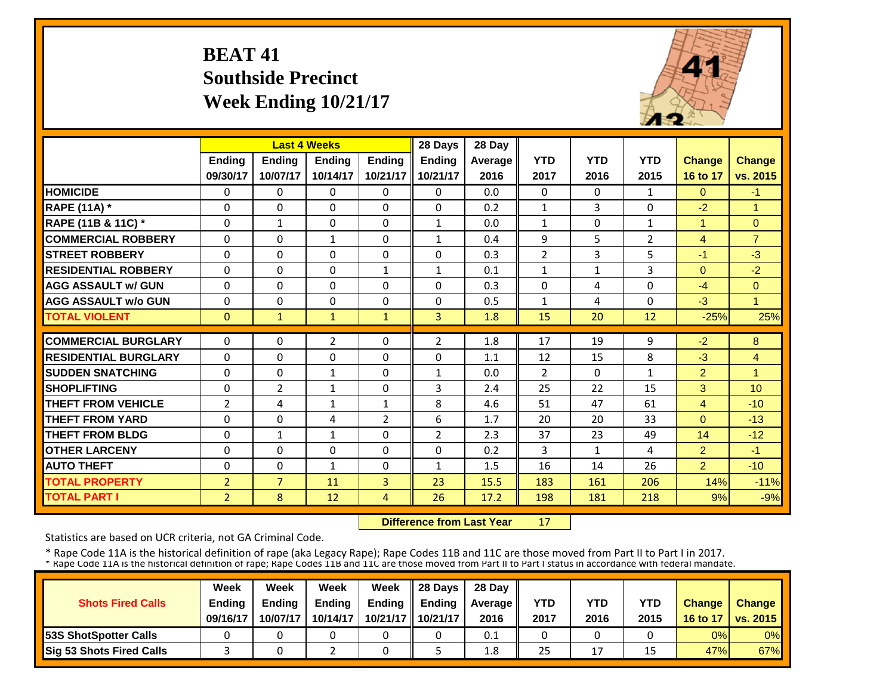### **BEAT 41 Southside Precinct Week Ending 10/21/17**

![](_page_25_Picture_1.jpeg)

|                             |                | <b>Last 4 Weeks</b> |                |                | 28 Days        | 28 Day  |                |              |                |                |                                  |
|-----------------------------|----------------|---------------------|----------------|----------------|----------------|---------|----------------|--------------|----------------|----------------|----------------------------------|
|                             | <b>Ending</b>  | <b>Endina</b>       | <b>Endina</b>  | <b>Endina</b>  | <b>Ending</b>  | Average | <b>YTD</b>     | <b>YTD</b>   | <b>YTD</b>     | <b>Change</b>  | <b>Change</b>                    |
|                             | 09/30/17       | 10/07/17            | 10/14/17       | 10/21/17       | 10/21/17       | 2016    | 2017           | 2016         | 2015           | 16 to 17       | vs. 2015                         |
| <b>HOMICIDE</b>             | $\Omega$       | $\Omega$            | $\Omega$       | $\Omega$       | 0              | 0.0     | $\Omega$       | $\Omega$     | $\mathbf{1}$   | $\Omega$       | $-1$                             |
| <b>RAPE (11A)</b> *         | $\mathbf 0$    | $\Omega$            | $\Omega$       | $\Omega$       | $\Omega$       | 0.2     | $\mathbf{1}$   | 3            | 0              | $-2$           | $\overline{1}$                   |
| RAPE (11B & 11C) *          | $\mathbf 0$    | $\mathbf{1}$        | $\mathbf{0}$   | $\Omega$       | $\mathbf{1}$   | 0.0     | $\mathbf{1}$   | $\Omega$     | $\mathbf{1}$   | $\overline{1}$ | $\mathbf{0}$                     |
| <b>COMMERCIAL ROBBERY</b>   | $\Omega$       | $\Omega$            | $\mathbf{1}$   | $\Omega$       | 1              | 0.4     | 9              | 5            | $\overline{2}$ | $\overline{4}$ | $\overline{7}$                   |
| <b>ISTREET ROBBERY</b>      | $\Omega$       | $\Omega$            | $\Omega$       | $\Omega$       | $\Omega$       | 0.3     | $\overline{2}$ | 3            | 5              | $-1$           | $-3$                             |
| <b>RESIDENTIAL ROBBERY</b>  | $\Omega$       | $\Omega$            | $\Omega$       | $\mathbf{1}$   | $\mathbf{1}$   | 0.1     | $\mathbf{1}$   | $\mathbf{1}$ | 3              | $\Omega$       | $-2$                             |
| <b>AGG ASSAULT w/ GUN</b>   | $\Omega$       | $\Omega$            | $\Omega$       | $\Omega$       | $\Omega$       | 0.3     | $\Omega$       | 4            | 0              | $-4$           | $\Omega$                         |
| <b>AGG ASSAULT w/o GUN</b>  | $\Omega$       | $\Omega$            | $\Omega$       | $\Omega$       | $\Omega$       | 0.5     | $\mathbf{1}$   | 4            | 0              | $-3$           | $\overline{1}$                   |
| <b>TOTAL VIOLENT</b>        | $\mathbf{0}$   | $\mathbf{1}$        | $\mathbf{1}$   | $\mathbf{1}$   | $\overline{3}$ | 1.8     | 15             | 20           | 12             | $-25%$         | 25%                              |
| <b>COMMERCIAL BURGLARY</b>  | $\Omega$       | $\Omega$            | $\overline{2}$ | 0              | $\overline{2}$ | 1.8     | 17             | 19           | 9              | $-2$           | 8                                |
| <b>RESIDENTIAL BURGLARY</b> |                |                     |                |                |                |         |                | 15           |                |                |                                  |
|                             | $\Omega$       | $\Omega$            | $\Omega$       | $\Omega$       | 0              | 1.1     | 12             |              | 8              | $-3$           | $\overline{4}$<br>$\overline{1}$ |
| <b>SUDDEN SNATCHING</b>     | $\Omega$       | $\Omega$            | 1              | $\Omega$       | 1              | 0.0     | $\overline{2}$ | $\Omega$     | $\mathbf{1}$   | $\overline{2}$ |                                  |
| <b>SHOPLIFTING</b>          | $\Omega$       | $\overline{2}$      | $\mathbf{1}$   | $\Omega$       | 3              | 2.4     | 25             | 22           | 15             | 3              | 10                               |
| <b>THEFT FROM VEHICLE</b>   | $\overline{2}$ | 4                   | $\mathbf{1}$   | 1              | 8              | 4.6     | 51             | 47           | 61             | 4              | $-10$                            |
| <b>THEFT FROM YARD</b>      | 0              | $\Omega$            | 4              | $\overline{2}$ | 6              | 1.7     | 20             | 20           | 33             | $\Omega$       | $-13$                            |
| <b>THEFT FROM BLDG</b>      | 0              | $\mathbf{1}$        | $\mathbf{1}$   | 0              | $\overline{2}$ | 2.3     | 37             | 23           | 49             | 14             | $-12$                            |
| <b>OTHER LARCENY</b>        | $\Omega$       | $\Omega$            | $\Omega$       | $\Omega$       | $\Omega$       | 0.2     | 3              | $\mathbf{1}$ | 4              | $\overline{2}$ | $-1$                             |
| <b>AUTO THEFT</b>           | $\Omega$       | $\Omega$            | $\mathbf{1}$   | 0              | $\mathbf{1}$   | 1.5     | 16             | 14           | 26             | $\overline{2}$ | $-10$                            |
| <b>TOTAL PROPERTY</b>       | $\overline{2}$ | $\overline{7}$      | 11             | 3              | 23             | 15.5    | 183            | 161          | 206            | 14%            | $-11%$                           |
| <b>TOTAL PART I</b>         | $\overline{2}$ | 8                   | 12             | 4              | 26             | 17.2    | 198            | 181          | 218            | 9%             | $-9%$                            |

 **Difference from Last Year**17

Statistics are based on UCR criteria, not GA Criminal Code.

|                               | Week          | Week          | Week          | Week          | $\parallel$ 28 Davs | 28 Day    |      |      |      |               |                     |
|-------------------------------|---------------|---------------|---------------|---------------|---------------------|-----------|------|------|------|---------------|---------------------|
| <b>Shots Fired Calls</b>      | <b>Ending</b> | <b>Ending</b> | <b>Ending</b> | <b>Ending</b> | <b>Ending</b>       | Average I | YTD  | YTD  | YTD  | <b>Change</b> | <b>Change</b>       |
|                               | 09/16/17      | 10/07/17      | 10/14/17      |               | 10/21/17   10/21/17 | 2016      | 2017 | 2016 | 2015 |               | 16 to 17   vs. 2015 |
| <b>153S ShotSpotter Calls</b> |               |               |               |               |                     | 0.1       |      |      |      | 0%            | $0\%$               |
| Sig 53 Shots Fired Calls      |               |               |               |               |                     | 1.8       | 25   | 17   | 15   | 47%           | 67%                 |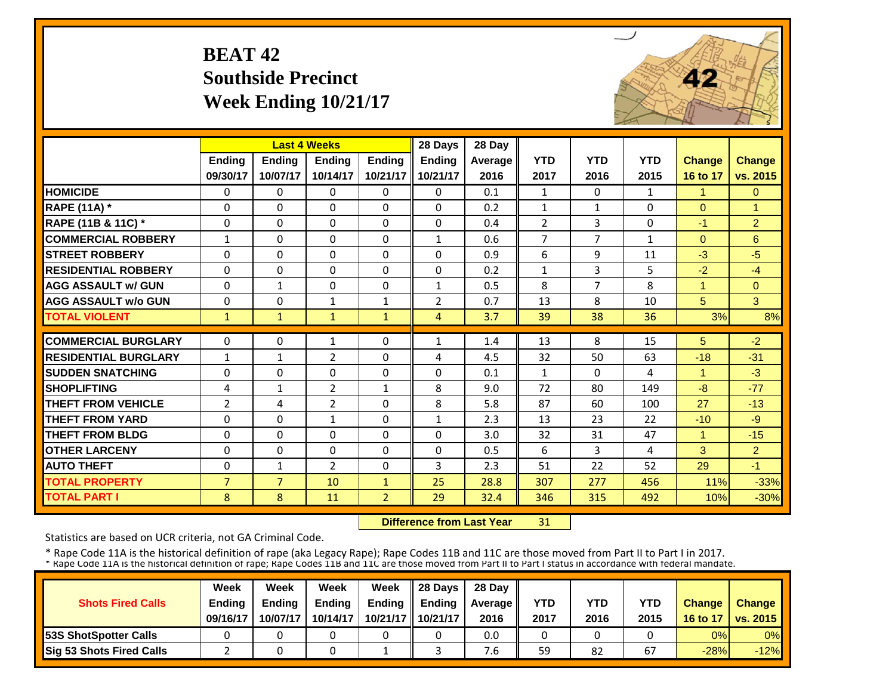### **BEAT 42 Southside Precinct Week Ending 10/21/17**

![](_page_26_Picture_1.jpeg)

|                             |                | <b>Last 4 Weeks</b> |                |                | 28 Days        | 28 Day  |                |                |              |               |                |
|-----------------------------|----------------|---------------------|----------------|----------------|----------------|---------|----------------|----------------|--------------|---------------|----------------|
|                             | <b>Ending</b>  | <b>Ending</b>       | <b>Endina</b>  | <b>Ending</b>  | <b>Ending</b>  | Average | <b>YTD</b>     | <b>YTD</b>     | <b>YTD</b>   | <b>Change</b> | <b>Change</b>  |
|                             | 09/30/17       | 10/07/17            | 10/14/17       | 10/21/17       | 10/21/17       | 2016    | 2017           | 2016           | 2015         | 16 to 17      | vs. 2015       |
| <b>HOMICIDE</b>             | $\Omega$       | $\Omega$            | $\Omega$       | $\Omega$       | $\Omega$       | 0.1     | $\mathbf{1}$   | $\Omega$       | $\mathbf{1}$ | $\mathbf{1}$  | $\Omega$       |
| <b>RAPE (11A) *</b>         | $\Omega$       | $\Omega$            | $\Omega$       | $\Omega$       | $\Omega$       | 0.2     | $\mathbf{1}$   | $\mathbf{1}$   | $\Omega$     | $\Omega$      | 1              |
| RAPE (11B & 11C) *          | 0              | $\Omega$            | $\Omega$       | $\Omega$       | $\Omega$       | 0.4     | $\overline{2}$ | 3              | $\Omega$     | $-1$          | $\overline{2}$ |
| <b>COMMERCIAL ROBBERY</b>   | $\mathbf{1}$   | $\Omega$            | $\Omega$       | $\Omega$       | $\mathbf{1}$   | 0.6     | $\overline{7}$ | $\overline{7}$ | $\mathbf{1}$ | $\Omega$      | 6              |
| <b>STREET ROBBERY</b>       | 0              | $\Omega$            | $\Omega$       | $\Omega$       | $\Omega$       | 0.9     | 6              | 9              | 11           | $-3$          | $-5$           |
| <b>RESIDENTIAL ROBBERY</b>  | $\Omega$       | $\Omega$            | $\Omega$       | $\Omega$       | $\Omega$       | 0.2     | $\mathbf{1}$   | 3              | 5            | $-2$          | $-4$           |
| <b>AGG ASSAULT w/ GUN</b>   | $\Omega$       | $\mathbf{1}$        | $\Omega$       | $\Omega$       | $\mathbf{1}$   | 0.5     | 8              | $\overline{7}$ | 8            | $\mathbf{1}$  | $\Omega$       |
| <b>AGG ASSAULT w/o GUN</b>  | $\Omega$       | $\Omega$            | $\mathbf{1}$   | $\mathbf{1}$   | $\overline{2}$ | 0.7     | 13             | 8              | 10           | 5             | 3              |
| <b>TOTAL VIOLENT</b>        | $\mathbf{1}$   | $\mathbf{1}$        | $\mathbf{1}$   | $\mathbf{1}$   | $\overline{4}$ | 3.7     | 39             | 38             | 36           | 3%            | 8%             |
| <b>COMMERCIAL BURGLARY</b>  | $\Omega$       | $\Omega$            | $\mathbf{1}$   | $\Omega$       | $\mathbf{1}$   | 1.4     | 13             | 8              | 15           | 5             | $-2$           |
| <b>RESIDENTIAL BURGLARY</b> | $\mathbf{1}$   | $\mathbf{1}$        | $\overline{2}$ | $\Omega$       | 4              | 4.5     | 32             | 50             | 63           | $-18$         | $-31$          |
| <b>SUDDEN SNATCHING</b>     | $\mathbf 0$    | $\Omega$            | $\Omega$       | $\Omega$       | $\Omega$       | 0.1     | $\mathbf{1}$   | $\Omega$       | 4            | $\mathbf{1}$  | $-3$           |
| <b>SHOPLIFTING</b>          | 4              | $\mathbf{1}$        | $\overline{2}$ | 1              | 8              | 9.0     | 72             | 80             | 149          | $-8$          | $-77$          |
| <b>THEFT FROM VEHICLE</b>   | $\overline{2}$ | 4                   | 2              | $\Omega$       | 8              | 5.8     | 87             | 60             | 100          | 27            | $-13$          |
| <b>THEFT FROM YARD</b>      | 0              | $\Omega$            | 1              | 0              | $\mathbf{1}$   | 2.3     | 13             | 23             | 22           | $-10$         | $-9$           |
| <b>THEFT FROM BLDG</b>      | $\Omega$       | $\Omega$            | $\Omega$       | 0              | 0              | 3.0     | 32             | 31             | 47           | 1             | $-15$          |
| <b>OTHER LARCENY</b>        | $\Omega$       | $\Omega$            | $\Omega$       | $\Omega$       | $\Omega$       | 0.5     | 6              | 3              | 4            | 3             | $\overline{2}$ |
| <b>AUTO THEFT</b>           | $\Omega$       | $\mathbf{1}$        | $\overline{2}$ | $\Omega$       | 3              | 2.3     | 51             | 22             | 52           | 29            | $-1$           |
| <b>TOTAL PROPERTY</b>       | $\overline{7}$ | $\overline{7}$      | 10             | 1              | 25             | 28.8    | 307            | 277            | 456          | 11%           | $-33%$         |
| <b>TOTAL PART I</b>         | 8              | 8                   | 11             | $\overline{2}$ | 29             | 32.4    | 346            | 315            | 492          | 10%           | $-30%$         |

 **Difference from Last Year**31

Statistics are based on UCR criteria, not GA Criminal Code.

|                               | Week          | Week     | Week          | Week          | Il 28 Davs    | 28 Day         |      |      |      |               |                 |
|-------------------------------|---------------|----------|---------------|---------------|---------------|----------------|------|------|------|---------------|-----------------|
| <b>Shots Fired Calls</b>      | <b>Ending</b> | Ending   | <b>Ending</b> | <b>Ending</b> | <b>Ending</b> | <b>Average</b> | YTD  | YTD  | YTD  | <b>Change</b> | <b>Change</b>   |
|                               | 09/16/17      | 10/07/17 | 10/14/17      | 10/21/17      | 10/21/17      | 2016           | 2017 | 2016 | 2015 | 16 to 17      | <b>vs. 2015</b> |
| <b>153S ShotSpotter Calls</b> |               |          |               |               |               | 0.0            |      |      |      | 0%            | $0\%$           |
| Sig 53 Shots Fired Calls      |               |          |               |               |               | 4.6            | 59   | 82   | 67   | $-28%$        | $-12%$          |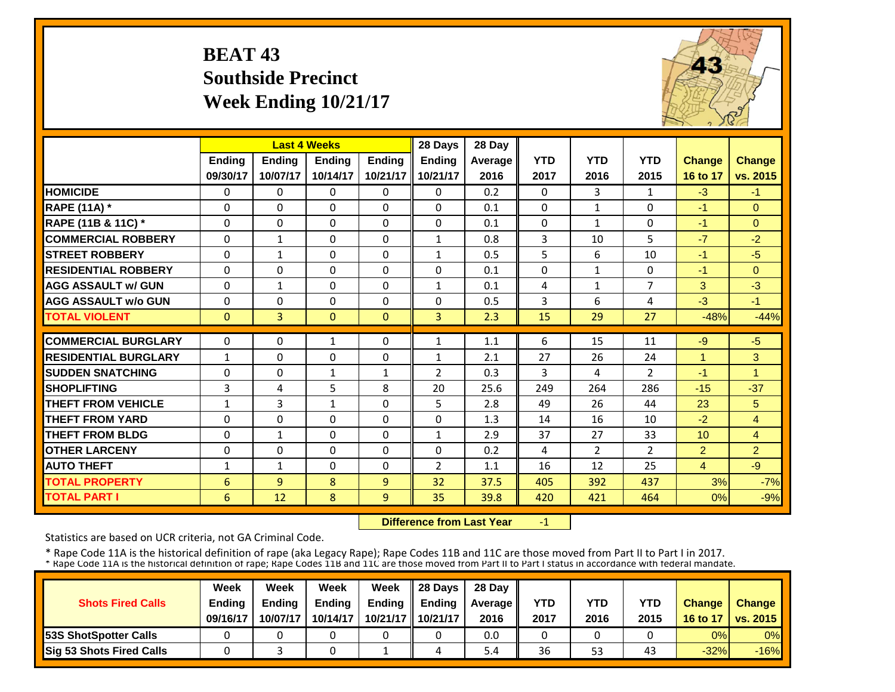#### **BEAT 43 Southside Precinct Week Ending 10/21/17**

![](_page_27_Picture_1.jpeg)

|                             |               |                | <b>Last 4 Weeks</b> |               | 28 Days        | 28 Day  |                |                |                |                 |                |
|-----------------------------|---------------|----------------|---------------------|---------------|----------------|---------|----------------|----------------|----------------|-----------------|----------------|
|                             | <b>Ending</b> | Ending         | <b>Ending</b>       | <b>Ending</b> | <b>Ending</b>  | Average | <b>YTD</b>     | <b>YTD</b>     | <b>YTD</b>     | <b>Change</b>   | <b>Change</b>  |
|                             | 09/30/17      | 10/07/17       | 10/14/17            | 10/21/17      | 10/21/17       | 2016    | 2017           | 2016           | 2015           | 16 to 17        | vs. 2015       |
| <b>HOMICIDE</b>             | $\Omega$      | $\Omega$       | 0                   | $\Omega$      | 0              | 0.2     | $\Omega$       | 3              | $\mathbf{1}$   | $-3$            | $-1$           |
| <b>RAPE (11A)</b> *         | $\Omega$      | $\Omega$       | $\Omega$            | $\Omega$      | 0              | 0.1     | $\Omega$       | $\mathbf{1}$   | 0              | $-1$            | $\Omega$       |
| RAPE (11B & 11C) *          | $\mathbf 0$   | $\Omega$       | $\Omega$            | $\Omega$      | 0              | 0.1     | $\Omega$       | $\mathbf{1}$   | 0              | $-1$            | $\Omega$       |
| <b>COMMERCIAL ROBBERY</b>   | $\Omega$      | 1              | $\Omega$            | $\Omega$      | $\mathbf{1}$   | 0.8     | $\overline{3}$ | 10             | 5              | $-7$            | $-2$           |
| <b>STREET ROBBERY</b>       | $\Omega$      | $\mathbf{1}$   | $\Omega$            | $\Omega$      | 1              | 0.5     | 5              | 6              | 10             | $-1$            | $-5$           |
| <b>RESIDENTIAL ROBBERY</b>  | $\Omega$      | $\Omega$       | $\Omega$            | 0             | 0              | 0.1     | $\Omega$       | $\mathbf{1}$   | 0              | $-1$            | $\Omega$       |
| <b>AGG ASSAULT w/ GUN</b>   | $\Omega$      | $\mathbf{1}$   | $\Omega$            | 0             | $\mathbf{1}$   | 0.1     | 4              | $\mathbf{1}$   | 7              | 3               | $-3$           |
| <b>AGG ASSAULT w/o GUN</b>  | 0             | $\Omega$       | $\Omega$            | $\Omega$      | 0              | 0.5     | 3              | 6              | 4              | $-3$            | $-1$           |
| <b>TOTAL VIOLENT</b>        | $\mathbf{0}$  | $\overline{3}$ | $\Omega$            | $\Omega$      | $\overline{3}$ | 2.3     | 15             | 29             | 27             | $-48%$          | $-44%$         |
| <b>COMMERCIAL BURGLARY</b>  | $\Omega$      | $\Omega$       | 1                   | 0             | 1              | 1.1     | 6              | 15             | 11             | $-9$            | $-5$           |
| <b>RESIDENTIAL BURGLARY</b> | $\mathbf{1}$  | $\Omega$       | 0                   | 0             | 1              | 2.1     | 27             | 26             | 24             | 1               | 3              |
| <b>SUDDEN SNATCHING</b>     | $\Omega$      | $\Omega$       | $\mathbf{1}$        | $\mathbf{1}$  | 2              | 0.3     | 3              | 4              | $\overline{2}$ | $-1$            | $\overline{1}$ |
| <b>SHOPLIFTING</b>          | 3             | 4              | 5                   | 8             | 20             | 25.6    | 249            | 264            | 286            | $-15$           | $-37$          |
| <b>THEFT FROM VEHICLE</b>   | $\mathbf{1}$  | 3              | $\mathbf{1}$        | $\Omega$      | 5              | 2.8     | 49             | 26             | 44             | 23              | 5              |
| <b>THEFT FROM YARD</b>      | $\Omega$      | $\Omega$       | $\Omega$            | $\Omega$      | 0              | 1.3     | 14             | 16             | 10             | $-2$            | $\overline{4}$ |
| <b>THEFT FROM BLDG</b>      | 0             | $\mathbf{1}$   | $\Omega$            | $\Omega$      | $\mathbf{1}$   | 2.9     | 37             | 27             | 33             | 10 <sup>1</sup> | $\overline{4}$ |
| <b>OTHER LARCENY</b>        | $\Omega$      | $\Omega$       | $\Omega$            | 0             | 0              | 0.2     | 4              | $\overline{2}$ | $\overline{2}$ | $\overline{2}$  | $\overline{2}$ |
| <b>AUTO THEFT</b>           | 1             | 1              | $\Omega$            | 0             | $\overline{2}$ | 1.1     | 16             | 12             | 25             | $\overline{4}$  | $-9$           |
| <b>TOTAL PROPERTY</b>       | 6             | 9              | 8                   | 9             | 32             | 37.5    | 405            | 392            | 437            | 3%              | $-7%$          |
| <b>TOTAL PART I</b>         | 6             | 12             | 8                   | 9             | 35             | 39.8    | 420            | 421            | 464            | 0%              | $-9%$          |

 **Difference from Last Year**‐1

Statistics are based on UCR criteria, not GA Criminal Code.

|                               | Week          | Week          | Week          | Week          | $\parallel$ 28 Davs | 28 Day    |      |      |      |               |                     |
|-------------------------------|---------------|---------------|---------------|---------------|---------------------|-----------|------|------|------|---------------|---------------------|
| <b>Shots Fired Calls</b>      | <b>Ending</b> | <b>Ending</b> | <b>Ending</b> | <b>Ending</b> | <b>Ending</b>       | Average I | YTD  | YTD  | YTD  | <b>Change</b> | <b>Change</b>       |
|                               | 09/16/17      | 10/07/17      | 10/14/17      |               | 10/21/17   10/21/17 | 2016      | 2017 | 2016 | 2015 |               | 16 to 17   vs. 2015 |
| <b>153S ShotSpotter Calls</b> |               |               |               |               |                     | 0.0       |      |      |      | 0%            | $0\%$               |
| Sig 53 Shots Fired Calls      |               |               |               |               |                     | 5.4       | 36   | 53   | 43   | $-32%$        | $-16%$              |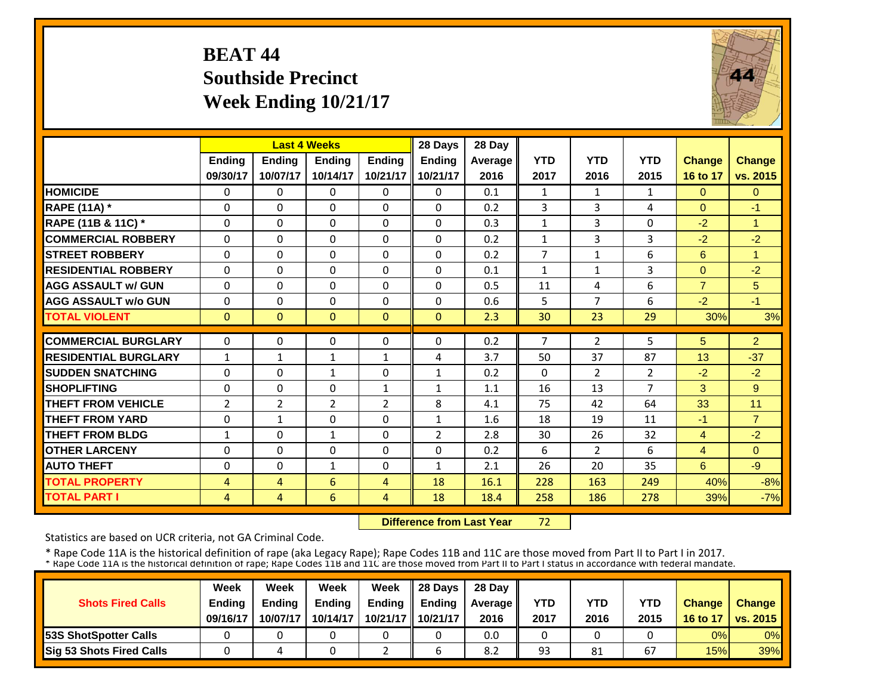#### **BEAT 44 Southside Precinct Week Ending 10/21/17**

![](_page_28_Picture_1.jpeg)

|                             |                | <b>Last 4 Weeks</b> |                |                | 28 Days        | 28 Day         |                |                |                |                     |                |
|-----------------------------|----------------|---------------------|----------------|----------------|----------------|----------------|----------------|----------------|----------------|---------------------|----------------|
|                             | <b>Ending</b>  | Ending              | <b>Endina</b>  | <b>Endina</b>  | <b>Ending</b>  | <b>Average</b> | <b>YTD</b>     | <b>YTD</b>     | <b>YTD</b>     | <b>Change</b>       | <b>Change</b>  |
|                             | 09/30/17       | 10/07/17            | 10/14/17       | 10/21/17       | 10/21/17       | 2016           | 2017           | 2016           | 2015           | 16 to 17            | vs. 2015       |
| <b>HOMICIDE</b>             | $\Omega$       | 0                   | $\mathbf 0$    | $\Omega$       | $\Omega$       | 0.1            | $\mathbf{1}$   | $\mathbf{1}$   | $\mathbf{1}$   | $\Omega$            | $\Omega$       |
| <b>RAPE (11A) *</b>         | $\Omega$       | $\Omega$            | $\Omega$       | $\Omega$       | $\Omega$       | 0.2            | 3              | 3              | 4              | $\Omega$            | $-1$           |
| RAPE (11B & 11C) *          | $\Omega$       | $\Omega$            | $\Omega$       | $\Omega$       | $\Omega$       | 0.3            | $\mathbf{1}$   | 3              | 0              | $-2$                | $\overline{1}$ |
| <b>COMMERCIAL ROBBERY</b>   | $\Omega$       | 0                   | $\Omega$       | $\Omega$       | $\Omega$       | 0.2            | $\mathbf{1}$   | 3              | 3              | $-2$                | $-2$           |
| <b>STREET ROBBERY</b>       | $\Omega$       | $\Omega$            | 0              | $\Omega$       | $\Omega$       | 0.2            | $\overline{7}$ | $\mathbf{1}$   | 6              | $6\phantom{1}$      | 1              |
| <b>RESIDENTIAL ROBBERY</b>  | $\Omega$       | 0                   | $\Omega$       | $\Omega$       | $\Omega$       | 0.1            | $\mathbf{1}$   | $\mathbf{1}$   | 3              | $\Omega$            | $-2$           |
| <b>AGG ASSAULT w/ GUN</b>   | $\Omega$       | 0                   | $\Omega$       | 0              | $\Omega$       | 0.5            | 11             | 4              | 6              | $\overline{7}$      | 5              |
| <b>AGG ASSAULT w/o GUN</b>  | $\Omega$       | 0                   | $\Omega$       | $\Omega$       | $\Omega$       | 0.6            | 5              | 7              | 6              | $-2$                | $-1$           |
| <b>TOTAL VIOLENT</b>        | $\mathbf{0}$   | $\Omega$            | $\Omega$       | $\Omega$       | $\Omega$       | 2.3            | 30             | 23             | 29             | 30%                 | 3%             |
| <b>COMMERCIAL BURGLARY</b>  | $\Omega$       | 0                   | 0              | $\Omega$       | $\Omega$       | 0.2            | 7              | $\overline{2}$ | 5              | 5                   | $\overline{2}$ |
| <b>RESIDENTIAL BURGLARY</b> | $\mathbf{1}$   | $\mathbf{1}$        | 1              | 1              | 4              | 3.7            | 50             | 37             | 87             | 13                  | $-37$          |
| <b>ISUDDEN SNATCHING</b>    | $\Omega$       | $\Omega$            | 1              | $\Omega$       | 1              | 0.2            | $\Omega$       | $\overline{2}$ | $\overline{2}$ | $-2$                | $-2$           |
| <b>SHOPLIFTING</b>          | $\Omega$       | 0                   | $\Omega$       | $\mathbf{1}$   | $\mathbf{1}$   | 1.1            | 16             | 13             | $\overline{7}$ | 3                   | 9              |
| <b>THEFT FROM VEHICLE</b>   | $\overline{2}$ | $\overline{2}$      | $\overline{2}$ | $\overline{2}$ | 8              | 4.1            | 75             | 42             | 64             | 33                  | 11             |
| <b>THEFT FROM YARD</b>      | $\Omega$       | $\mathbf{1}$        | $\Omega$       | $\Omega$       | $\mathbf{1}$   | 1.6            | 18             | 19             | 11             | $-1$                | $\overline{7}$ |
| <b>THEFT FROM BLDG</b>      | $\mathbf{1}$   | $\Omega$            | $\mathbf{1}$   | $\Omega$       | $\overline{2}$ | 2.8            | 30             | 26             | 32             | $\overline{4}$      | $-2$           |
| <b>OTHER LARCENY</b>        | $\Omega$       | $\Omega$            | $\Omega$       | $\Omega$       | $\Omega$       |                | 6              |                | 6              |                     | $\Omega$       |
| <b>AUTO THEFT</b>           | $\Omega$       | $\Omega$            |                | $\Omega$       |                | 0.2            | 26             | 2<br>20        | 35             | $\overline{4}$<br>6 | $-9$           |
|                             |                |                     | $\mathbf{1}$   |                | 1              | 2.1            |                |                |                |                     |                |
| <b>TOTAL PROPERTY</b>       | $\overline{4}$ | $\overline{4}$      | 6              | $\overline{4}$ | 18             | 16.1           | 228            | 163            | 249            | 40%                 | $-8%$          |
| <b>TOTAL PART I</b>         | $\overline{4}$ | $\overline{4}$      | 6              | $\overline{4}$ | 18             | 18.4           | 258            | 186            | 278            | 39%                 | $-7%$          |

 **Difference from Last Year**72

Statistics are based on UCR criteria, not GA Criminal Code.

|                               | Week          | Week          | Week          | Week          | $\parallel$ 28 Davs | 28 Day    |      |      |      |               |                     |
|-------------------------------|---------------|---------------|---------------|---------------|---------------------|-----------|------|------|------|---------------|---------------------|
| <b>Shots Fired Calls</b>      | <b>Ending</b> | <b>Ending</b> | <b>Ending</b> | <b>Ending</b> | <b>Ending</b>       | Average I | YTD  | YTD  | YTD  | <b>Change</b> | <b>Change</b>       |
|                               | 09/16/17      | 10/07/17      | 10/14/17      |               | 10/21/17   10/21/17 | 2016      | 2017 | 2016 | 2015 |               | 16 to 17   vs. 2015 |
| <b>153S ShotSpotter Calls</b> |               |               |               |               |                     | 0.0       |      |      |      | 0%            | $0\%$               |
| Sig 53 Shots Fired Calls      |               |               |               |               |                     | 8.2       | 93   | 81   | 67   | 15%           | <b>39%</b>          |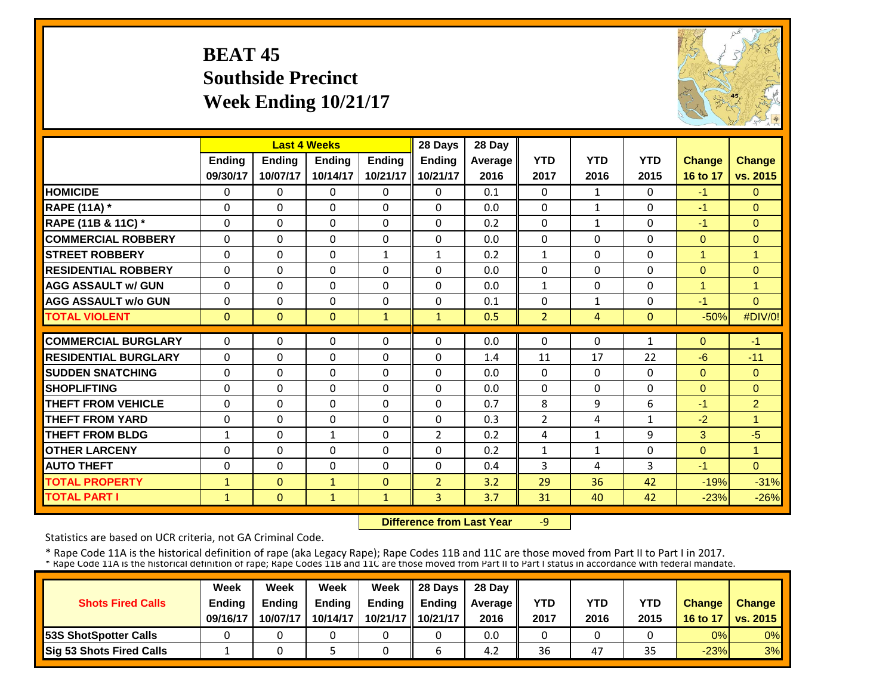#### **BEAT 45 Southside Precinct Week Ending 10/21/17**

![](_page_29_Picture_1.jpeg)

|                             |               |               | <b>Last 4 Weeks</b> |               | 28 Days        | 28 Day  |                |                |                |               |                |
|-----------------------------|---------------|---------------|---------------------|---------------|----------------|---------|----------------|----------------|----------------|---------------|----------------|
|                             | <b>Ending</b> | <b>Ending</b> | <b>Endina</b>       | <b>Endina</b> | <b>Ending</b>  | Average | <b>YTD</b>     | <b>YTD</b>     | <b>YTD</b>     | <b>Change</b> | <b>Change</b>  |
|                             | 09/30/17      | 10/07/17      | 10/14/17            | 10/21/17      | 10/21/17       | 2016    | 2017           | 2016           | 2015           | 16 to 17      | vs. 2015       |
| <b>HOMICIDE</b>             | $\Omega$      | $\Omega$      | $\Omega$            | $\Omega$      | $\Omega$       | 0.1     | $\Omega$       | $\mathbf{1}$   | 0              | $-1$          | $\Omega$       |
| <b>RAPE (11A) *</b>         | $\Omega$      | $\Omega$      | $\Omega$            | $\Omega$      | $\Omega$       | 0.0     | $\Omega$       | $\mathbf{1}$   | $\Omega$       | $-1$          | $\Omega$       |
| RAPE (11B & 11C) *          | $\Omega$      | $\Omega$      | $\Omega$            | $\Omega$      | $\Omega$       | 0.2     | $\Omega$       | $\mathbf{1}$   | $\Omega$       | $-1$          | $\Omega$       |
| <b>COMMERCIAL ROBBERY</b>   | $\mathbf{0}$  | $\Omega$      | $\Omega$            | $\Omega$      | 0              | 0.0     | $\Omega$       | $\Omega$       | 0              | $\Omega$      | $\mathbf{0}$   |
| <b>STREET ROBBERY</b>       | $\mathbf 0$   | $\Omega$      | 0                   | $\mathbf{1}$  | 1              | 0.2     | $\mathbf{1}$   | $\Omega$       | 0              | 1             | $\mathbf{1}$   |
| <b>RESIDENTIAL ROBBERY</b>  | $\Omega$      | $\Omega$      | $\Omega$            | $\Omega$      | 0              | 0.0     | $\Omega$       | $\Omega$       | 0              | $\Omega$      | $\Omega$       |
| <b>AGG ASSAULT w/ GUN</b>   | $\Omega$      | $\Omega$      | $\Omega$            | $\Omega$      | $\Omega$       | 0.0     | $\mathbf{1}$   | $\Omega$       | $\Omega$       | 1             | $\overline{1}$ |
| <b>AGG ASSAULT w/o GUN</b>  | $\Omega$      | $\Omega$      | $\Omega$            | $\Omega$      | $\Omega$       | 0.1     | $\Omega$       | $\mathbf{1}$   | 0              | $-1$          | $\Omega$       |
| <b>TOTAL VIOLENT</b>        | $\mathbf{0}$  | $\mathbf{0}$  | $\mathbf{0}$        | $\mathbf{1}$  | $\mathbf{1}$   | 0.5     | $\overline{2}$ | $\overline{4}$ | $\overline{0}$ | $-50%$        | #DIV/0!        |
| <b>COMMERCIAL BURGLARY</b>  | $\Omega$      | $\Omega$      |                     |               |                |         |                | $\Omega$       |                |               |                |
|                             |               |               | 0                   | $\Omega$      | 0              | 0.0     | $\Omega$       |                | 1              | $\Omega$      | $-1$           |
| <b>RESIDENTIAL BURGLARY</b> | $\Omega$      | $\Omega$      | $\Omega$            | $\Omega$      | $\Omega$       | 1.4     | 11             | 17             | 22             | $-6$          | $-11$          |
| <b>SUDDEN SNATCHING</b>     | $\Omega$      | $\Omega$      | $\Omega$            | $\Omega$      | $\Omega$       | 0.0     | $\Omega$       | $\Omega$       | 0              | $\Omega$      | $\Omega$       |
| <b>SHOPLIFTING</b>          | $\Omega$      | $\Omega$      | $\Omega$            | $\Omega$      | $\Omega$       | 0.0     | $\Omega$       | $\Omega$       | 0              | $\Omega$      | $\Omega$       |
| <b>THEFT FROM VEHICLE</b>   | 0             | $\Omega$      | 0                   | $\Omega$      | 0              | 0.7     | 8              | 9              | 6              | $-1$          | $\overline{2}$ |
| <b>THEFT FROM YARD</b>      | 0             | $\Omega$      | 0                   | $\Omega$      | 0              | 0.3     | $\overline{2}$ | 4              | 1              | $-2$          | 1              |
| <b>THEFT FROM BLDG</b>      | $\mathbf{1}$  | $\Omega$      | $\mathbf{1}$        | $\Omega$      | $\overline{2}$ | 0.2     | 4              | $\mathbf{1}$   | 9              | 3             | $-5$           |
| <b>OTHER LARCENY</b>        | $\Omega$      | $\Omega$      | $\Omega$            | $\Omega$      | $\Omega$       | 0.2     | $\mathbf{1}$   | 1              | 0              | $\Omega$      | 1              |
| <b>AUTO THEFT</b>           | $\Omega$      | $\Omega$      | $\Omega$            | $\Omega$      | $\Omega$       | 0.4     | 3              | 4              | 3              | $-1$          | $\Omega$       |
| <b>TOTAL PROPERTY</b>       | $\mathbf{1}$  | $\Omega$      | $\mathbf{1}$        | $\Omega$      | $\overline{2}$ | 3.2     | 29             | 36             | 42             | $-19%$        | $-31%$         |
| <b>TOTAL PART I</b>         | $\mathbf{1}$  | $\mathbf{0}$  | $\mathbf{1}$        | $\mathbf{1}$  | $\overline{3}$ | 3.7     | 31             | 40             | 42             | $-23%$        | $-26%$         |

 **Difference from Last Year** $-9$ 

Statistics are based on UCR criteria, not GA Criminal Code.

|                               | Week          | Week          | Week          | Week          | $\parallel$ 28 Davs | 28 Day    |      |      |      |               |                     |
|-------------------------------|---------------|---------------|---------------|---------------|---------------------|-----------|------|------|------|---------------|---------------------|
| <b>Shots Fired Calls</b>      | <b>Ending</b> | <b>Ending</b> | <b>Ending</b> | <b>Ending</b> | <b>Ending</b>       | Average I | YTD  | YTD  | YTD  | <b>Change</b> | <b>Change</b>       |
|                               | 09/16/17      | 10/07/17      | 10/14/17      |               | 10/21/17   10/21/17 | 2016      | 2017 | 2016 | 2015 |               | 16 to 17   vs. 2015 |
| <b>153S ShotSpotter Calls</b> |               |               |               |               |                     | 0.0       |      |      |      | 0%            | $0\%$               |
| Sig 53 Shots Fired Calls      |               |               |               |               |                     | 4.2       | 36   | 47   | 35   | $-23%$        | 3%                  |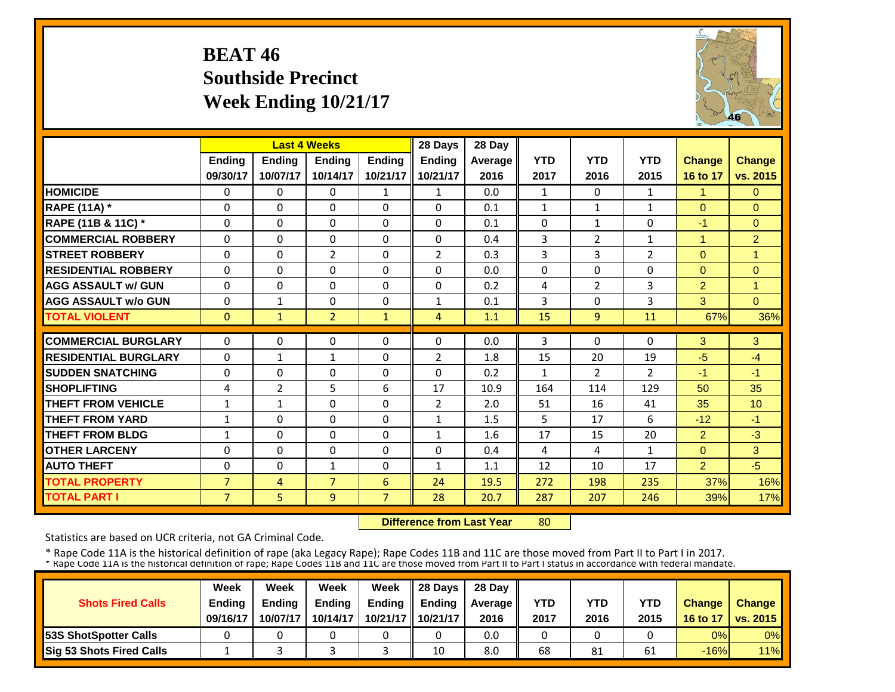#### **BEAT 46 Southside Precinct Week Ending 10/21/17**

![](_page_30_Picture_1.jpeg)

|                             |                |                | <b>Last 4 Weeks</b> |                | 28 Days        | 28 Day  |                |                |                |                |                |
|-----------------------------|----------------|----------------|---------------------|----------------|----------------|---------|----------------|----------------|----------------|----------------|----------------|
|                             | <b>Ending</b>  | Ending         | Ending              | <b>Ending</b>  | <b>Ending</b>  | Average | <b>YTD</b>     | <b>YTD</b>     | <b>YTD</b>     | <b>Change</b>  | Change         |
|                             | 09/30/17       | 10/07/17       | 10/14/17            | 10/21/17       | 10/21/17       | 2016    | 2017           | 2016           | 2015           | 16 to 17       | vs. 2015       |
| <b>HOMICIDE</b>             | $\Omega$       | $\Omega$       | $\Omega$            | $\mathbf{1}$   | $\mathbf{1}$   | 0.0     | $\mathbf{1}$   | $\Omega$       | $\mathbf{1}$   | 1              | $\Omega$       |
| <b>RAPE (11A) *</b>         | $\Omega$       | $\Omega$       | $\Omega$            | $\Omega$       | 0              | 0.1     | $\mathbf{1}$   | $\mathbf{1}$   | 1              | $\Omega$       | $\Omega$       |
| RAPE (11B & 11C) *          | $\Omega$       | $\Omega$       | $\Omega$            | 0              | $\Omega$       | 0.1     | $\Omega$       | $\mathbf{1}$   | 0              | $-1$           | $\Omega$       |
| <b>COMMERCIAL ROBBERY</b>   | $\Omega$       | $\Omega$       | $\Omega$            | $\Omega$       | $\Omega$       | 0.4     | $\overline{3}$ | $\overline{2}$ | $\mathbf{1}$   | 1              | $\overline{2}$ |
| <b>STREET ROBBERY</b>       | $\Omega$       | $\Omega$       | $\overline{2}$      | $\Omega$       | $\overline{2}$ | 0.3     | 3              | 3              | 2              | $\Omega$       | $\overline{1}$ |
| <b>RESIDENTIAL ROBBERY</b>  | $\Omega$       | $\Omega$       | $\Omega$            | $\Omega$       | 0              | 0.0     | $\Omega$       | $\Omega$       | 0              | $\Omega$       | $\overline{0}$ |
| <b>AGG ASSAULT w/ GUN</b>   | $\Omega$       | $\Omega$       | 0                   | 0              | 0              | 0.2     | 4              | $\overline{2}$ | 3              | $\overline{2}$ | $\overline{1}$ |
| <b>AGG ASSAULT w/o GUN</b>  | $\Omega$       | $\mathbf{1}$   | 0                   | $\Omega$       | 1              | 0.1     | 3              | $\Omega$       | 3              | 3              | $\Omega$       |
| <b>TOTAL VIOLENT</b>        | $\Omega$       | $\mathbf{1}$   | $\overline{2}$      | $\mathbf{1}$   | $\overline{4}$ | 1.1     | 15             | 9              | 11             | 67%            | 36%            |
| <b>COMMERCIAL BURGLARY</b>  | $\Omega$       | $\Omega$       | $\Omega$            | 0              | 0              | 0.0     | 3              | 0              | 0              | 3              | 3              |
| <b>RESIDENTIAL BURGLARY</b> | $\Omega$       | $\mathbf{1}$   | $\mathbf{1}$        | $\Omega$       | $\overline{2}$ | 1.8     | 15             | 20             | 19             | $-5$           | $-4$           |
| <b>SUDDEN SNATCHING</b>     | $\Omega$       | $\Omega$       | $\Omega$            | $\Omega$       | $\Omega$       | 0.2     | $\mathbf{1}$   | $\overline{2}$ | $\overline{2}$ | $-1$           | $-1$           |
| <b>SHOPLIFTING</b>          | 4              | $\overline{2}$ | 5                   | 6              | 17             | 10.9    | 164            | 114            | 129            | 50             | 35             |
| <b>THEFT FROM VEHICLE</b>   | $\mathbf{1}$   | $\mathbf{1}$   | $\Omega$            | $\Omega$       | $\overline{2}$ | 2.0     | 51             | 16             | 41             | 35             | 10             |
| <b>THEFT FROM YARD</b>      | $\mathbf{1}$   | $\Omega$       | $\Omega$            | 0              | $\mathbf{1}$   | 1.5     | 5              | 17             | 6              | $-12$          | $-1$           |
| <b>THEFT FROM BLDG</b>      | $\mathbf{1}$   | $\Omega$       | $\Omega$            | $\Omega$       | $\mathbf{1}$   | 1.6     | 17             | 15             | 20             | 2              | $-3$           |
| <b>OTHER LARCENY</b>        | $\Omega$       | $\Omega$       | $\Omega$            | $\Omega$       | $\Omega$       | 0.4     | 4              | 4              | $\mathbf{1}$   | $\Omega$       | 3              |
| <b>AUTO THEFT</b>           | $\Omega$       | $\Omega$       | $\mathbf{1}$        | $\Omega$       | $\mathbf{1}$   | 1.1     | 12             | 10             | 17             | $\overline{2}$ | $-5$           |
| <b>TOTAL PROPERTY</b>       | $\overline{7}$ | 4              | $\overline{7}$      | 6              | 24             | 19.5    | 272            | 198            | 235            | 37%            | 16%            |
| <b>TOTAL PART I</b>         | $\overline{7}$ | 5              | 9                   | $\overline{7}$ | 28             | 20.7    | 287            | 207            | 246            | 39%            | 17%            |
|                             |                |                |                     |                |                |         |                |                |                |                |                |

 **Difference from Last Year**80

Statistics are based on UCR criteria, not GA Criminal Code.

|                               | Week          | Week          | Week          | Week          | $\parallel$ 28 Davs | 28 Day    |      |      |            |               |                     |
|-------------------------------|---------------|---------------|---------------|---------------|---------------------|-----------|------|------|------------|---------------|---------------------|
| <b>Shots Fired Calls</b>      | <b>Ending</b> | <b>Ending</b> | <b>Ending</b> | <b>Ending</b> | <b>Ending</b>       | Average I | YTD  | YTD  | <b>YTD</b> | <b>Change</b> | <b>Change</b>       |
|                               | 09/16/17      | 10/07/17      | 10/14/17      |               | 10/21/17   10/21/17 | 2016      | 2017 | 2016 | 2015       |               | 16 to 17   vs. 2015 |
| <b>153S ShotSpotter Calls</b> |               |               |               |               |                     | 0.0       |      |      |            | 0%            | $0\%$               |
| Sig 53 Shots Fired Calls      |               |               |               |               | 10                  | 8.0       | 68   | 81   | 61         | $-16%$        | 11%                 |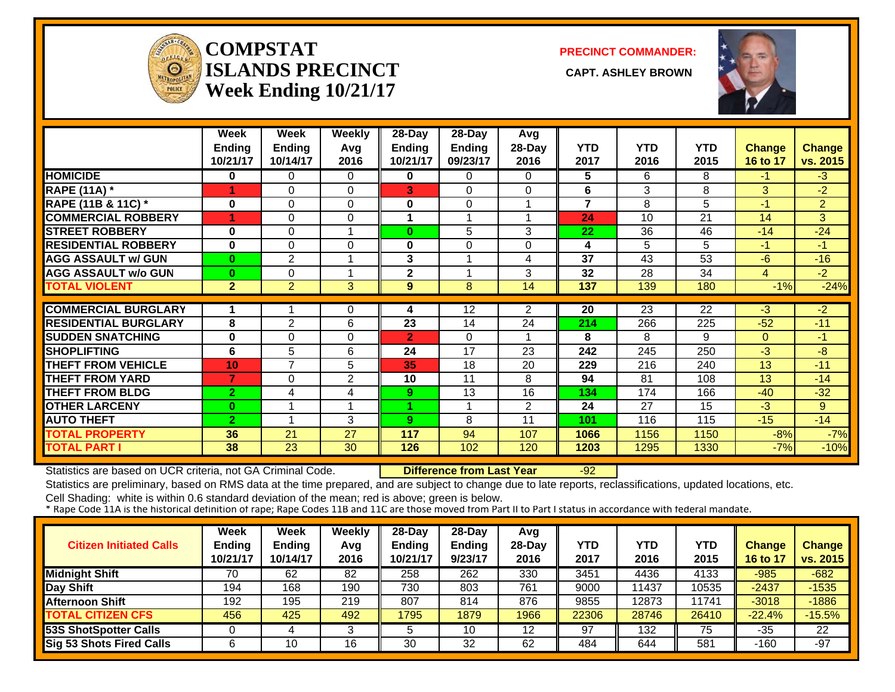![](_page_31_Picture_0.jpeg)

#### **COMPSTATISLANDS PRECINCT** CAPT. ASHLEY BROWN **Week Ending 10/21/17**

**PRECINCT COMMANDER:**

![](_page_31_Picture_4.jpeg)

|                             | Week           | Week           | <b>Weekly</b>  | 28-Day                  | 28-Day        | Avg            |                         |            |                 |                 |                |
|-----------------------------|----------------|----------------|----------------|-------------------------|---------------|----------------|-------------------------|------------|-----------------|-----------------|----------------|
|                             | <b>Ending</b>  | <b>Ending</b>  | Avg            | Ending                  | <b>Ending</b> | 28-Day         | <b>YTD</b>              | <b>YTD</b> | YTD             | <b>Change</b>   | <b>Change</b>  |
|                             | 10/21/17       | 10/14/17       | 2016           | 10/21/17                | 09/23/17      | 2016           | 2017                    | 2016       | 2015            | <b>16 to 17</b> | vs. 2015       |
| <b>HOMICIDE</b>             | 0              | 0              | 0              | 0                       | 0             | 0              | 5                       | 6          | 8               | $-1$            | $-3$           |
| <b>RAPE (11A)</b> *         | 1              | $\Omega$       | $\Omega$       | 3                       | 0             | $\Omega$       | 6                       | 3          | 8               | 3               | $-2$           |
| RAPE (11B & 11C) *          | 0              | $\Omega$       | $\Omega$       | 0                       | 0             |                | $\overline{\mathbf{z}}$ | 8          | 5               | $-1$            | $\overline{2}$ |
| <b>COMMERCIAL ROBBERY</b>   | 4              | $\Omega$       | 0              | 1                       | 1             |                | 24                      | 10         | 21              | 14              | 3              |
| <b>STREET ROBBERY</b>       | $\bf{0}$       | 0              | 1              | $\bf{0}$                | 5             | 3              | 22                      | 36         | 46              | $-14$           | $-24$          |
| <b>RESIDENTIAL ROBBERY</b>  | $\bf{0}$       | $\Omega$       | 0              | 0                       | 0             | $\Omega$       | 4                       | 5          | 5               | $-1$            | $-1$           |
| <b>AGG ASSAULT w/ GUN</b>   | $\bf{0}$       | $\overline{2}$ |                | 3                       |               | 4              | 37                      | 43         | 53              | $-6$            | $-16$          |
| <b>AGG ASSAULT w/o GUN</b>  | $\bf{0}$       | $\Omega$       | 1              | $\overline{\mathbf{2}}$ | 1             | 3              | 32                      | 28         | 34              | $\overline{4}$  | $-2$           |
| <b>TOTAL VIOLENT</b>        | $\overline{2}$ | $\overline{2}$ | 3              | 9                       | 8             | 14             | $\overline{137}$        | 139        | 180             | $-1%$           | $-24%$         |
|                             |                |                |                |                         |               |                |                         |            |                 |                 |                |
| <b>COMMERCIAL BURGLARY</b>  |                |                | 0              | 4                       | 12            | $\overline{2}$ | 20                      | 23         | $\overline{22}$ | $-3$            | $-2$           |
| <b>RESIDENTIAL BURGLARY</b> | 8              | 2              | 6              | 23                      | 14            | 24             | 214                     | 266        | 225             | $-52$           | $-11$          |
| <b>SUDDEN SNATCHING</b>     | $\bf{0}$       | $\Omega$       | 0              | $\mathbf{2}$            | $\Omega$      |                | 8                       | 8          | 9               | $\Omega$        | $-1$           |
| <b>SHOPLIFTING</b>          | 6              | 5              | 6              | 24                      | 17            | 23             | 242                     | 245        | 250             | $-3$            | -8             |
| <b>THEFT FROM VEHICLE</b>   | 10             | 7              | 5              | 35                      | 18            | 20             | 229                     | 216        | 240             | 13              | $-11$          |
| <b>THEFT FROM YARD</b>      | 7              | $\Omega$       | $\overline{2}$ | 10                      | 11            | 8              | 94                      | 81         | 108             | 13              | $-14$          |
| <b>THEFT FROM BLDG</b>      | $\overline{2}$ | 4              | 4              | 9                       | 13            | 16             | 134                     | 174        | 166             | $-40$           | $-32$          |
| <b>OTHER LARCENY</b>        | $\bf{0}$       | 1              | 4              |                         |               | $\overline{2}$ | 24                      | 27         | 15              | $-3$            | $9^{\circ}$    |
| <b>AUTO THEFT</b>           | $\overline{2}$ | 1              | 3              | 9                       | 8             | 11             | 101                     | 116        | 115             | $-15$           | $-14$          |
| <b>TOTAL PROPERTY</b>       | 36             | 21             | 27             | 117                     | 94            | 107            | 1066                    | 1156       | 1150            | $-8%$           | $-7%$          |
| <b>TOTAL PART I</b>         | 38             | 23             | 30             | 126                     | 102           | 120            | 1203                    | 1295       | 1330            | $-7%$           | $-10%$         |

Statistics are based on UCR criteria, not GA Criminal Code. **Difference from Last Year** -92

Statistics are preliminary, based on RMS data at the time prepared, and are subject to change due to late reports, reclassifications, updated locations, etc.

| <b>Citizen Initiated Calls</b>  | Week<br>Ending<br>10/21/17 | Week<br><b>Ending</b><br>10/14/17 | Weekly<br>Avg<br>2016 | $28-Dav$<br><b>Ending</b><br>10/21/17 | $28-Dav$<br><b>Endina</b><br>9/23/17 | Avg<br>$28-Dav$<br>2016 | YTD<br>2017 | YTD<br>2016 | YTD<br>2015 | <b>Change</b><br>16 to 17 | <b>Change</b><br>vs. 2015 |
|---------------------------------|----------------------------|-----------------------------------|-----------------------|---------------------------------------|--------------------------------------|-------------------------|-------------|-------------|-------------|---------------------------|---------------------------|
| <b>Midnight Shift</b>           | 70                         | 62                                | 82                    | 258                                   | 262                                  | 330                     | 3451        | 4436        | 4133        | $-985$                    | $-682$                    |
| Day Shift                       | 194                        | 168                               | 190                   | 730                                   | 803                                  | 761                     | 9000        | 11437       | 10535       | $-2437$                   | $-1535$                   |
| <b>Afternoon Shift</b>          | 192                        | 195                               | 219                   | 807                                   | 814                                  | 876                     | 9855        | 12873       | 11741       | $-3018$                   | $-1886$                   |
| <b>TOTAL CITIZEN CFS</b>        | 456                        | 425                               | 492                   | 1795                                  | 1879                                 | 1966                    | 22306       | 28746       | 26410       | $-22.4%$                  | $-15.5%$                  |
| 53S ShotSpotter Calls           |                            |                                   |                       | 5                                     | 10                                   | 12                      | 97          | 132         | 75          | $-35$                     | 22                        |
| <b>Sig 53 Shots Fired Calls</b> |                            | 10                                | 16                    | 30                                    | 32                                   | 62                      | 484         | 644         | 581         | $-160$                    | $-97$                     |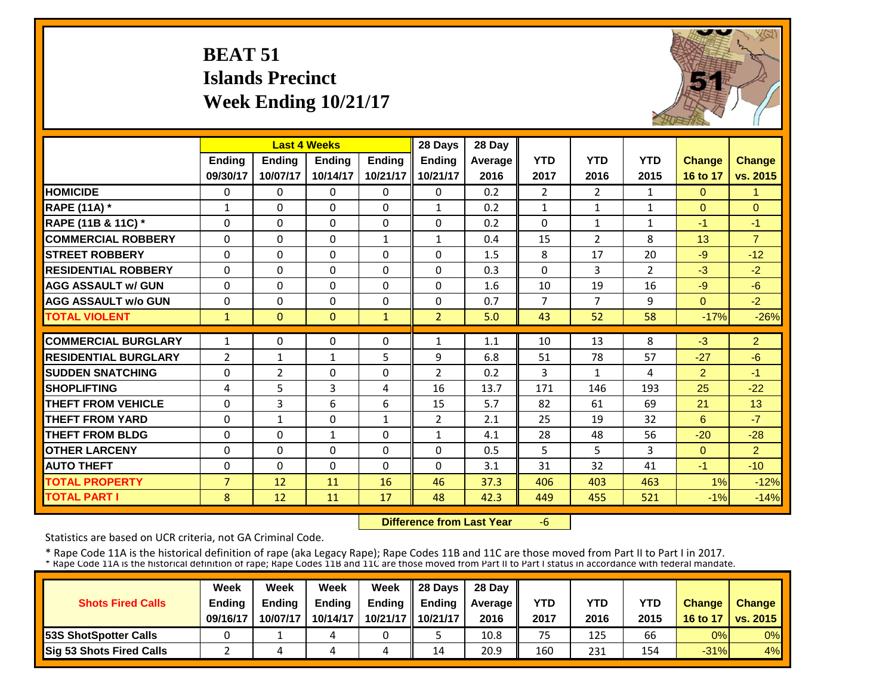### **BEAT 51 Islands PrecinctWeek Ending 10/21/17**

![](_page_32_Picture_1.jpeg)

|                             |                | <b>Last 4 Weeks</b> |               |              | 28 Days        | 28 Day  |                |                |                |                |                      |
|-----------------------------|----------------|---------------------|---------------|--------------|----------------|---------|----------------|----------------|----------------|----------------|----------------------|
|                             | <b>Ending</b>  | Ending              | <b>Endina</b> | Ending       | Ending         | Average | <b>YTD</b>     | <b>YTD</b>     | <b>YTD</b>     | <b>Change</b>  | <b>Change</b>        |
|                             | 09/30/17       | 10/07/17            | 10/14/17      | 10/21/17     | 10/21/17       | 2016    | 2017           | 2016           | 2015           | 16 to 17       | vs. 2015             |
| <b>HOMICIDE</b>             | $\Omega$       | $\Omega$            | $\Omega$      | $\Omega$     | $\Omega$       | 0.2     | $\overline{2}$ | $\overline{2}$ | $\mathbf{1}$   | $\Omega$       | $\blacktriangleleft$ |
| <b>RAPE (11A)</b> *         | $\mathbf{1}$   | $\Omega$            | $\Omega$      | $\Omega$     | $\mathbf{1}$   | 0.2     | $\mathbf{1}$   | $\mathbf{1}$   | $\mathbf{1}$   | $\Omega$       | $\Omega$             |
| RAPE (11B & 11C) *          | $\Omega$       | $\Omega$            | $\Omega$      | $\Omega$     | $\Omega$       | 0.2     | $\Omega$       | $\mathbf{1}$   | $\mathbf{1}$   | $-1$           | $-1$                 |
| <b>COMMERCIAL ROBBERY</b>   | $\Omega$       | $\Omega$            | $\Omega$      | $\mathbf{1}$ | $\mathbf{1}$   | 0.4     | 15             | $\overline{2}$ | 8              | 13             | $\overline{7}$       |
| <b>STREET ROBBERY</b>       | $\Omega$       | $\Omega$            | $\Omega$      | $\Omega$     | $\Omega$       | 1.5     | 8              | 17             | 20             | $-9$           | $-12$                |
| <b>RESIDENTIAL ROBBERY</b>  | $\Omega$       | 0                   | $\Omega$      | $\Omega$     | $\Omega$       | 0.3     | $\Omega$       | 3              | $\overline{2}$ | $-3$           | $-2$                 |
| <b>AGG ASSAULT w/ GUN</b>   | $\Omega$       | 0                   | $\Omega$      | $\Omega$     | $\Omega$       | 1.6     | 10             | 19             | 16             | $-9$           | $-6$                 |
| <b>AGG ASSAULT w/o GUN</b>  | $\Omega$       | 0                   | $\Omega$      | $\Omega$     | $\Omega$       | 0.7     | $\overline{7}$ | 7              | 9              | $\Omega$       | $-2$                 |
| <b>TOTAL VIOLENT</b>        | $\mathbf{1}$   | $\overline{0}$      | $\Omega$      | $\mathbf{1}$ | $\overline{2}$ | 5.0     | 43             | 52             | 58             | $-17%$         | $-26%$               |
|                             |                |                     |               |              |                |         |                |                |                |                |                      |
| <b>COMMERCIAL BURGLARY</b>  | $\mathbf{1}$   | $\Omega$            | $\Omega$      | $\Omega$     | 1              | 1.1     | 10             | 13             | 8              | $-3$           | $\overline{2}$       |
| <b>RESIDENTIAL BURGLARY</b> | $\overline{2}$ | 1                   | 1             | 5            | 9              | 6.8     | 51             | 78             | 57             | $-27$          | $-6$                 |
| <b>SUDDEN SNATCHING</b>     | $\Omega$       | 2                   | $\Omega$      | $\Omega$     | $\overline{2}$ | 0.2     | 3              | $\mathbf{1}$   | 4              | $\overline{2}$ | $-1$                 |
| <b>SHOPLIFTING</b>          | 4              | 5                   | 3             | 4            | 16             | 13.7    | 171            | 146            | 193            | 25             | $-22$                |
| <b>THEFT FROM VEHICLE</b>   | $\Omega$       | 3                   | 6             | 6            | 15             | 5.7     | 82             | 61             | 69             | 21             | 13                   |
| <b>THEFT FROM YARD</b>      | $\Omega$       | $\mathbf{1}$        | $\Omega$      | $\mathbf{1}$ | $\overline{2}$ | 2.1     | 25             | 19             | 32             | 6              | $-7$                 |
| <b>THEFT FROM BLDG</b>      | $\Omega$       | 0                   | 1             | 0            | $\mathbf{1}$   | 4.1     | 28             | 48             | 56             | $-20$          | $-28$                |
| <b>OTHER LARCENY</b>        | $\Omega$       | 0                   | $\Omega$      | $\Omega$     | $\Omega$       | 0.5     | 5              | 5.             | 3              | $\Omega$       | $\overline{2}$       |
| <b>AUTO THEFT</b>           | $\Omega$       | 0                   | $\Omega$      | $\Omega$     | 0              | 3.1     | 31             | 32             | 41             | $-1$           | $-10$                |
| <b>TOTAL PROPERTY</b>       | $\overline{7}$ | 12                  | 11            | 16           | 46             | 37.3    | 406            | 403            | 463            | 1%             | $-12%$               |
| <b>TOTAL PART I</b>         | 8              | $12 \overline{ }$   | 11            | 17           | 48             | 42.3    | 449            | 455            | 521            | $-1%$          | $-14%$               |

 **Difference from Last Year**‐6

Statistics are based on UCR criteria, not GA Criminal Code.

|                               | Week          | Week          | Week          | Week          | $\parallel$ 28 Davs | 28 Day    |      |      |            |               |                     |
|-------------------------------|---------------|---------------|---------------|---------------|---------------------|-----------|------|------|------------|---------------|---------------------|
| <b>Shots Fired Calls</b>      | <b>Ending</b> | <b>Ending</b> | <b>Ending</b> | <b>Ending</b> | <b>Ending</b>       | Average I | YTD  | YTD  | <b>YTD</b> | <b>Change</b> | <b>Change</b>       |
|                               | 09/16/17      | 10/07/17      | 10/14/17      |               | 10/21/17   10/21/17 | 2016      | 2017 | 2016 | 2015       |               | 16 to 17   vs. 2015 |
| <b>153S ShotSpotter Calls</b> |               |               |               |               |                     | 10.8      | 75   | 125  | 66         | 0%            | $0\%$               |
| Sig 53 Shots Fired Calls      |               |               |               | 4             | 14                  | 20.9      | 160  | 231  | 154        | $-31%$        | 4%                  |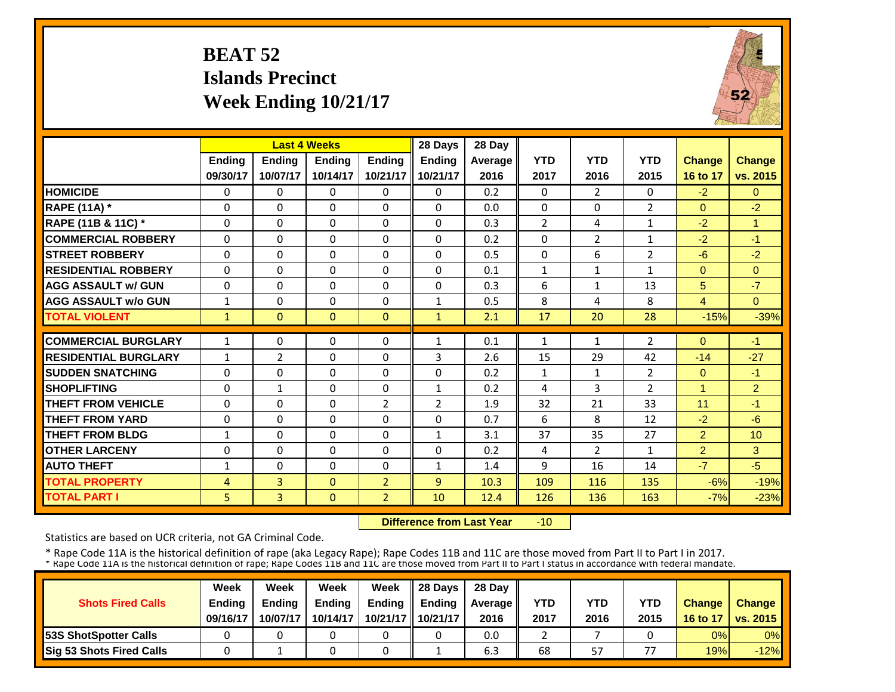### **BEAT 52 Islands PrecinctWeek Ending 10/21/17**

![](_page_33_Picture_1.jpeg)

|                             |               | <b>Last 4 Weeks</b> |               |                | 28 Days        | 28 Day  |                |                |                |               |                |
|-----------------------------|---------------|---------------------|---------------|----------------|----------------|---------|----------------|----------------|----------------|---------------|----------------|
|                             | <b>Ending</b> | Ending              | <b>Ending</b> | <b>Endina</b>  | <b>Ending</b>  | Average | <b>YTD</b>     | <b>YTD</b>     | <b>YTD</b>     | <b>Change</b> | <b>Change</b>  |
|                             | 09/30/17      | 10/07/17            | 10/14/17      | 10/21/17       | 10/21/17       | 2016    | 2017           | 2016           | 2015           | 16 to 17      | vs. 2015       |
| <b>HOMICIDE</b>             | $\Omega$      | $\Omega$            | $\Omega$      | $\Omega$       | 0              | 0.2     | $\Omega$       | $\overline{2}$ | 0              | $-2$          | $\Omega$       |
| <b>RAPE (11A)</b> *         | $\Omega$      | $\Omega$            | $\Omega$      | $\Omega$       | $\Omega$       | 0.0     | $\Omega$       | $\Omega$       | $\overline{2}$ | $\Omega$      | $-2$           |
| RAPE (11B & 11C) *          | $\Omega$      | $\Omega$            | $\Omega$      | $\Omega$       | 0              | 0.3     | $\overline{2}$ | 4              | $\mathbf{1}$   | $-2$          | $\mathbf{1}$   |
| <b>COMMERCIAL ROBBERY</b>   | $\Omega$      | $\Omega$            | $\Omega$      | $\Omega$       | 0              | 0.2     | $\Omega$       | $\overline{2}$ | 1              | $-2$          | $-1$           |
| <b>ISTREET ROBBERY</b>      | 0             | $\Omega$            | $\Omega$      | 0              | $\Omega$       | 0.5     | $\Omega$       | 6              | 2              | $-6$          | $-2$           |
| <b>RESIDENTIAL ROBBERY</b>  | $\Omega$      | $\Omega$            | $\Omega$      | $\Omega$       | 0              | 0.1     | $\mathbf{1}$   | $\mathbf{1}$   | $\mathbf{1}$   | $\Omega$      | $\Omega$       |
| <b>AGG ASSAULT w/ GUN</b>   | $\Omega$      | $\Omega$            | $\Omega$      | $\Omega$       | $\Omega$       | 0.3     | 6              | $\mathbf{1}$   | 13             | 5             | $-7$           |
| <b>AGG ASSAULT w/o GUN</b>  | 1             | $\Omega$            | $\Omega$      | $\Omega$       | $\mathbf{1}$   | 0.5     | 8              | 4              | 8              | 4             | $\Omega$       |
| <b>TOTAL VIOLENT</b>        | 1             | $\Omega$            | $\Omega$      | $\Omega$       | $\mathbf{1}$   | 2.1     | 17             | 20             | 28             | $-15%$        | $-39%$         |
| <b>COMMERCIAL BURGLARY</b>  | 1             | 0                   | $\Omega$      | 0              | $\mathbf{1}$   | 0.1     | 1              | 1              | $\overline{2}$ | $\Omega$      | $-1$           |
| <b>RESIDENTIAL BURGLARY</b> | $\mathbf{1}$  | $\overline{2}$      | $\Omega$      | 0              | 3              | 2.6     | 15             | 29             | 42             | $-14$         | $-27$          |
| <b>SUDDEN SNATCHING</b>     | $\Omega$      | $\Omega$            | $\Omega$      | $\Omega$       | $\Omega$       | 0.2     | $\mathbf{1}$   | $\mathbf{1}$   | $\overline{2}$ | $\Omega$      | $-1$           |
| <b>SHOPLIFTING</b>          | $\Omega$      | $\mathbf{1}$        | $\Omega$      | $\Omega$       | $\mathbf{1}$   | 0.2     | 4              | 3              | $\overline{2}$ | 1             | $\overline{2}$ |
| <b>THEFT FROM VEHICLE</b>   | $\Omega$      | $\Omega$            | $\Omega$      | $\overline{2}$ | $\overline{2}$ | 1.9     | 32             | 21             | 33             | 11            | $-1$           |
| <b>THEFT FROM YARD</b>      | $\Omega$      | $\Omega$            | $\Omega$      | $\Omega$       | 0              | 0.7     | 6              | 8              | 12             | $-2$          | $-6$           |
| <b>THEFT FROM BLDG</b>      | $\mathbf{1}$  | $\Omega$            | $\Omega$      | $\Omega$       | $\mathbf{1}$   | 3.1     | 37             | 35             | 27             | 2             | 10             |
| <b>OTHER LARCENY</b>        | $\Omega$      | $\Omega$            | $\Omega$      | 0              | $\Omega$       | 0.2     | 4              | $\overline{2}$ | 1              | 2             | 3              |
| <b>AUTO THEFT</b>           | $\mathbf{1}$  | $\Omega$            | $\Omega$      | $\Omega$       | $\mathbf{1}$   | 1.4     | 9              | 16             | 14             | $-7$          | $-5$           |
| <b>TOTAL PROPERTY</b>       | 4             | $\overline{3}$      | $\Omega$      | $\overline{2}$ | 9              | 10.3    | 109            | 116            | 135            | $-6%$         | $-19%$         |
| <b>TOTAL PART I</b>         | 5             | $\overline{3}$      | $\mathbf{0}$  | $\overline{2}$ | 10             | 12.4    | 126            | 136            | 163            | $-7%$         | $-23%$         |

 **Difference from Last Year** $-10$ 

Statistics are based on UCR criteria, not GA Criminal Code.

|                               | Week          | Week          | Week          | Week          | $\parallel$ 28 Davs | 28 Day    |      |      |                          |               |                     |
|-------------------------------|---------------|---------------|---------------|---------------|---------------------|-----------|------|------|--------------------------|---------------|---------------------|
| <b>Shots Fired Calls</b>      | <b>Ending</b> | <b>Ending</b> | <b>Ending</b> | <b>Ending</b> | <b>Ending</b>       | Average I | YTD  | YTD  | YTD                      | <b>Change</b> | <b>Change</b>       |
|                               | 09/16/17      | 10/07/17      | 10/14/17      |               | 10/21/17   10/21/17 | 2016      | 2017 | 2016 | 2015                     |               | 16 to 17   vs. 2015 |
| <b>153S ShotSpotter Calls</b> |               |               |               |               |                     | 0.0       |      |      |                          | 0%            | $0\%$               |
| Sig 53 Shots Fired Calls      |               |               |               |               |                     | 6.3       | 68   | 57   | $\overline{\phantom{a}}$ | 19%           | $-12%$              |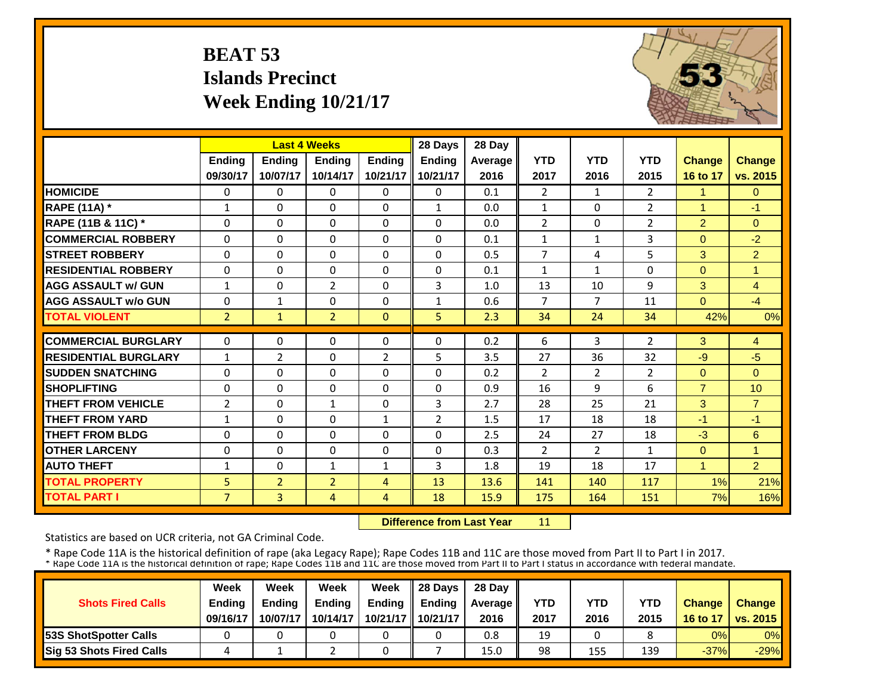### **BEAT 53 Islands PrecinctWeek Ending 10/21/17**

![](_page_34_Picture_1.jpeg)

|                             |                | <b>Last 4 Weeks</b> |                |               | 28 Days        | 28 Day  |                |                |                |                |                |
|-----------------------------|----------------|---------------------|----------------|---------------|----------------|---------|----------------|----------------|----------------|----------------|----------------|
|                             | <b>Ending</b>  | <b>Endina</b>       | <b>Endina</b>  | <b>Endina</b> | <b>Ending</b>  | Average | <b>YTD</b>     | <b>YTD</b>     | <b>YTD</b>     | <b>Change</b>  | Change         |
|                             | 09/30/17       | 10/07/17            | 10/14/17       | 10/21/17      | 10/21/17       | 2016    | 2017           | 2016           | 2015           | 16 to 17       | vs. 2015       |
| <b>HOMICIDE</b>             | $\Omega$       | 0                   | $\mathbf{0}$   | $\Omega$      | $\Omega$       | 0.1     | $\overline{2}$ | $\mathbf{1}$   | $\overline{2}$ | 1              | $\overline{0}$ |
| <b>RAPE (11A)</b> *         | $\mathbf{1}$   | $\Omega$            | $\Omega$       | $\Omega$      | $\mathbf{1}$   | 0.0     | $\mathbf{1}$   | $\Omega$       | $\overline{2}$ | 1              | $-1$           |
| RAPE (11B & 11C) *          | $\Omega$       | $\Omega$            | $\Omega$       | $\Omega$      | $\Omega$       | 0.0     | $\overline{2}$ | $\Omega$       | $\overline{2}$ | $\overline{2}$ | $\mathbf{0}$   |
| <b>COMMERCIAL ROBBERY</b>   | $\Omega$       | $\Omega$            | $\Omega$       | $\Omega$      | 0              | 0.1     | $\mathbf{1}$   | $\mathbf{1}$   | 3              | $\Omega$       | $-2$           |
| <b>STREET ROBBERY</b>       | $\Omega$       | $\Omega$            | $\Omega$       | $\Omega$      | $\Omega$       | 0.5     | $\overline{7}$ | 4              | 5              | 3              | $\overline{2}$ |
| <b>RESIDENTIAL ROBBERY</b>  | $\Omega$       | $\Omega$            | $\Omega$       | $\Omega$      | $\Omega$       | 0.1     | $\mathbf{1}$   | 1              | 0              | $\Omega$       | 1              |
| <b>AGG ASSAULT w/ GUN</b>   | $\mathbf{1}$   | 0                   | $\overline{2}$ | $\Omega$      | 3              | 1.0     | 13             | 10             | 9              | 3              | $\overline{4}$ |
| <b>AGG ASSAULT w/o GUN</b>  | $\Omega$       | $\mathbf{1}$        | $\Omega$       | $\Omega$      | $\mathbf{1}$   | 0.6     | $\overline{7}$ | 7              | 11             | $\Omega$       | $-4$           |
| <b>TOTAL VIOLENT</b>        | 2 <sup>1</sup> | $\mathbf{1}$        | $\overline{2}$ | $\Omega$      | 5              | 2.3     | 34             | 24             | 34             | 42%            | 0%             |
| <b>COMMERCIAL BURGLARY</b>  | $\Omega$       | 0                   | $\Omega$       | $\Omega$      | $\Omega$       | 0.2     | 6              | 3              | $\overline{2}$ | 3              | 4              |
| <b>RESIDENTIAL BURGLARY</b> | $\mathbf{1}$   | 2                   | 0              | 2             | 5              | 3.5     | 27             | 36             | 32             | $-9$           | $-5$           |
| <b>SUDDEN SNATCHING</b>     | $\Omega$       | 0                   | $\Omega$       | $\Omega$      | $\Omega$       | 0.2     | $\overline{2}$ | $\overline{2}$ | $\overline{2}$ | $\Omega$       | $\Omega$       |
| <b>SHOPLIFTING</b>          | $\Omega$       | 0                   | $\Omega$       | $\Omega$      | 0              | 0.9     | 16             | 9              | 6              | $\overline{7}$ | 10             |
| <b>THEFT FROM VEHICLE</b>   | $\overline{2}$ | 0                   | $\mathbf{1}$   | $\Omega$      | 3              | 2.7     | 28             | 25             | 21             | 3              | $\overline{7}$ |
| <b>THEFT FROM YARD</b>      | $\mathbf{1}$   | 0                   | $\Omega$       | 1             | $\overline{2}$ | 1.5     | 17             | 18             | 18             | $-1$           | $-1$           |
| <b>THEFT FROM BLDG</b>      | $\Omega$       | 0                   | $\Omega$       | $\Omega$      | 0              | 2.5     | 24             | 27             | 18             | $-3$           | 6              |
| <b>OTHER LARCENY</b>        | $\Omega$       | 0                   | $\Omega$       | $\Omega$      | 0              | 0.3     | $\overline{2}$ | $\overline{2}$ | $\mathbf{1}$   | $\Omega$       | $\overline{1}$ |
| <b>AUTO THEFT</b>           | $\mathbf{1}$   | 0                   | $\mathbf{1}$   | $\mathbf{1}$  | 3              | 1.8     | 19             | 18             | 17             | $\mathbf{1}$   | $\overline{2}$ |
| <b>TOTAL PROPERTY</b>       | 5              | $\overline{2}$      | $\overline{2}$ | 4             | 13             | 13.6    | 141            | 140            | 117            | 1%             | 21%            |
| <b>TOTAL PART I</b>         | $\overline{7}$ | $\overline{3}$      | 4              | 4             | 18             | 15.9    | 175            | 164            | 151            | 7%             | 16%            |

 **Difference from Last Year**11

Statistics are based on UCR criteria, not GA Criminal Code.

|                                 | Week          | Week          | Week     | Week                | 28 Davs       | 28 Day    |      |      |            |               |                     |
|---------------------------------|---------------|---------------|----------|---------------------|---------------|-----------|------|------|------------|---------------|---------------------|
| <b>Shots Fired Calls</b>        | <b>Endina</b> | <b>Endina</b> | Ending   | <b>Ending</b>       | <b>Endina</b> | Average I | YTD  | YTD  | <b>YTD</b> | <b>Change</b> | <b>Change</b>       |
|                                 | 09/16/17      | 10/07/17      | 10/14/17 | 10/21/17   10/21/17 |               | 2016      | 2017 | 2016 | 2015       |               | 16 to 17   vs. 2015 |
| <b>153S ShotSpotter Calls</b>   |               |               |          |                     |               | 0.8       | 19   |      |            | 0%            | $0\%$               |
| <b>Sig 53 Shots Fired Calls</b> |               |               |          |                     |               | 15.0      | 98   | 155  | 139        | $-37%$        | $-29%$              |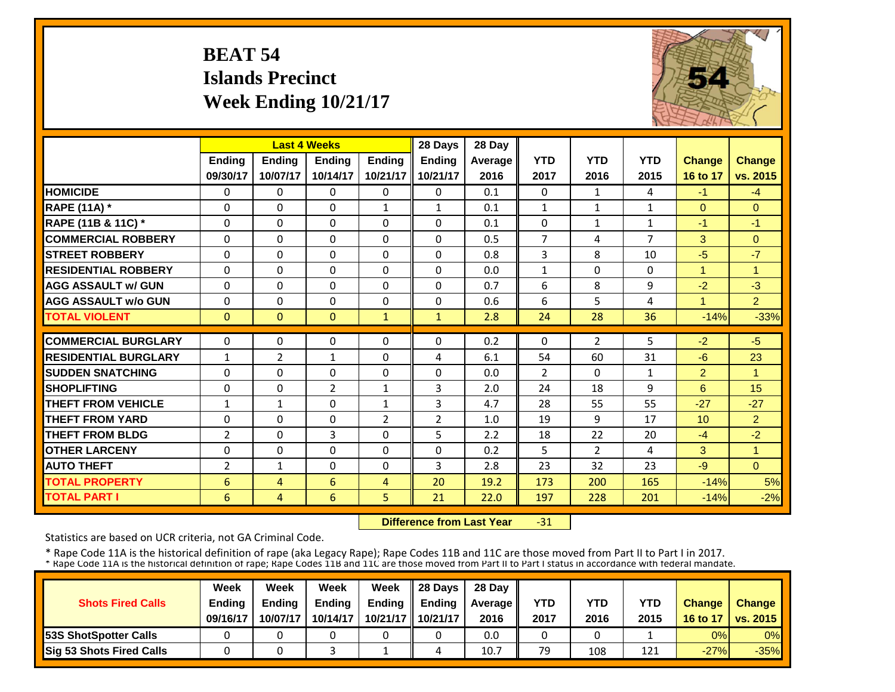### **BEAT 54 Islands PrecinctWeek Ending 10/21/17**

![](_page_35_Picture_1.jpeg)

|                             |                 | <b>Last 4 Weeks</b> |               |                | 28 Days        | 28 Day  |                |                |                |                |                      |
|-----------------------------|-----------------|---------------------|---------------|----------------|----------------|---------|----------------|----------------|----------------|----------------|----------------------|
|                             | <b>Ending</b>   | Ending              | <b>Ending</b> | <b>Ending</b>  | <b>Ending</b>  | Average | <b>YTD</b>     | <b>YTD</b>     | <b>YTD</b>     | <b>Change</b>  | <b>Change</b>        |
|                             | 09/30/17        | 10/07/17            | 10/14/17      | 10/21/17       | 10/21/17       | 2016    | 2017           | 2016           | 2015           | 16 to 17       | vs. 2015             |
| <b>HOMICIDE</b>             | 0               | $\Omega$            | 0             | $\Omega$       | $\Omega$       | 0.1     | $\Omega$       | 1              | 4              | $-1$           | $-4$                 |
| <b>RAPE (11A)</b> *         | $\Omega$        | $\Omega$            | $\Omega$      | $\mathbf{1}$   | $\mathbf{1}$   | 0.1     | $\mathbf{1}$   | $\mathbf{1}$   | $\mathbf{1}$   | $\Omega$       | $\Omega$             |
| RAPE (11B & 11C) *          | $\mathbf 0$     | $\Omega$            | $\Omega$      | $\Omega$       | $\Omega$       | 0.1     | $\mathbf 0$    | $\mathbf{1}$   | $\mathbf{1}$   | $-1$           | $-1$                 |
| <b>ICOMMERCIAL ROBBERY</b>  | $\Omega$        | $\Omega$            | $\Omega$      | $\Omega$       | $\mathbf{0}$   | 0.5     | $\overline{7}$ | 4              | $\overline{7}$ | 3              | $\Omega$             |
| <b>ISTREET ROBBERY</b>      | $\Omega$        | $\Omega$            | $\Omega$      | $\Omega$       | $\Omega$       | 0.8     | 3              | 8              | 10             | $-5$           | $-7$                 |
| <b>RESIDENTIAL ROBBERY</b>  | $\Omega$        | $\Omega$            | $\Omega$      | 0              | $\Omega$       | 0.0     | $\mathbf{1}$   | $\Omega$       | 0              | $\overline{1}$ | -1                   |
| <b>AGG ASSAULT w/ GUN</b>   | 0               | $\Omega$            | 0             | $\Omega$       | $\Omega$       | 0.7     | 6              | 8              | 9              | $-2$           | $-3$                 |
| <b>AGG ASSAULT w/o GUN</b>  | 0               | 0                   | $\Omega$      | $\Omega$       | $\Omega$       | 0.6     | 6              | 5              | 4              |                | 2 <sup>1</sup>       |
| <b>TOTAL VIOLENT</b>        | $\mathbf{0}$    | $\Omega$            | $\Omega$      | $\mathbf{1}$   | $\mathbf{1}$   | 2.8     | 24             | 28             | 36             | $-14%$         | $-33%$               |
| <b>COMMERCIAL BURGLARY</b>  | $\Omega$        | $\Omega$            | $\Omega$      | $\Omega$       | $\Omega$       | 0.2     | $\Omega$       | $\overline{2}$ | 5              | $-2$           | $-5$                 |
| <b>RESIDENTIAL BURGLARY</b> | $\mathbf{1}$    | 2                   | 1             | 0              | 4              | 6.1     | 54             | 60             | 31             | $-6$           | 23                   |
| <b>SUDDEN SNATCHING</b>     | $\Omega$        | $\Omega$            | $\Omega$      | $\Omega$       | 0              | 0.0     | $\overline{2}$ | 0              | $\mathbf{1}$   | $\overline{2}$ | 4                    |
| <b>SHOPLIFTING</b>          | 0               | $\Omega$            | 2             | 1              | 3              | 2.0     | 24             | 18             | 9              | $6\phantom{1}$ | 15                   |
| <b>THEFT FROM VEHICLE</b>   | $\mathbf{1}$    | 1                   | $\Omega$      | 1              | 3              | 4.7     | 28             | 55             | 55             | $-27$          | $-27$                |
| <b>THEFT FROM YARD</b>      | 0               | $\Omega$            | $\Omega$      | $\overline{2}$ | $\overline{2}$ | 1.0     | 19             | 9              | 17             | 10             | $\overline{2}$       |
| <b>THEFT FROM BLDG</b>      | 2               | $\Omega$            | 3             | $\Omega$       | 5              | 2.2     | 18             | 22             | 20             | $-4$           | $-2$                 |
| <b>OTHER LARCENY</b>        | $\Omega$        | $\Omega$            | $\Omega$      | $\Omega$       | $\Omega$       | 0.2     | 5.             | $\overline{2}$ | 4              | 3              | $\blacktriangleleft$ |
| <b>AUTO THEFT</b>           | $\overline{2}$  | $\mathbf{1}$        | $\Omega$      | $\Omega$       | 3              | 2.8     | 23             | 32             | 23             | $-9$           | $\Omega$             |
| <b>TOTAL PROPERTY</b>       | $6\phantom{1}6$ | 4                   | 6             | 4              | 20             | 19.2    | 173            | 200            | 165            | $-14%$         | 5%                   |
| <b>TOTAL PART I</b>         | 6               | $\overline{4}$      | 6             | 5              | 21             | 22.0    | 197            | 228            | 201            | $-14%$         | $-2%$                |

 **Difference from Last Year**‐31

Statistics are based on UCR criteria, not GA Criminal Code.

|                               | Week          | Week          | Week          | Week          | $\parallel$ 28 Davs | 28 Day    |      |      |      |               |                     |
|-------------------------------|---------------|---------------|---------------|---------------|---------------------|-----------|------|------|------|---------------|---------------------|
| <b>Shots Fired Calls</b>      | <b>Ending</b> | <b>Endina</b> | <b>Ending</b> | <b>Ending</b> | <b>Endina</b>       | Average I | YTD  | YTD  | YTD  | <b>Change</b> | <b>Change</b>       |
|                               | 09/16/17      | 10/07/17      | 10/14/17      |               | 10/21/17 10/21/17   | 2016      | 2017 | 2016 | 2015 |               | 16 to 17   vs. 2015 |
| <b>153S ShotSpotter Calls</b> |               |               |               |               |                     | 0.0       |      |      |      | 0%            | $0\%$               |
| Sig 53 Shots Fired Calls      |               |               |               |               |                     | 10.7      | 79   | 108  | 121  | $-27%$        | $-35%$              |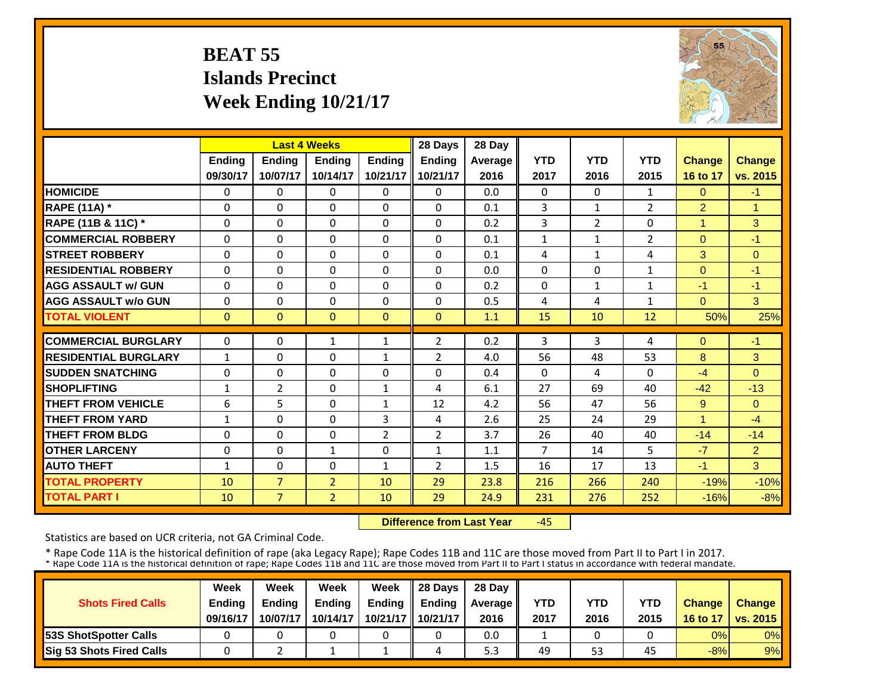### **BEAT 55 Islands Precinct Week Ending 10/21/17**

![](_page_36_Picture_1.jpeg)

|                             |               | <b>Last 4 Weeks</b> |                |                | 28 Days        | 28 Day         |                |                |                |                |                |
|-----------------------------|---------------|---------------------|----------------|----------------|----------------|----------------|----------------|----------------|----------------|----------------|----------------|
|                             | <b>Ending</b> | <b>Endina</b>       | <b>Endina</b>  | <b>Endina</b>  | <b>Ending</b>  | <b>Average</b> | <b>YTD</b>     | <b>YTD</b>     | <b>YTD</b>     | <b>Change</b>  | <b>Change</b>  |
|                             | 09/30/17      | 10/07/17            | 10/14/17       | 10/21/17       | 10/21/17       | 2016           | 2017           | 2016           | 2015           | 16 to 17       | vs. 2015       |
| <b>HOMICIDE</b>             | 0             | $\Omega$            | $\Omega$       | $\mathbf{0}$   | 0              | 0.0            | $\Omega$       | $\Omega$       | $\mathbf{1}$   | $\Omega$       | $-1$           |
| <b>RAPE (11A)</b> *         | $\Omega$      | $\Omega$            | $\Omega$       | $\Omega$       | $\Omega$       | 0.1            | 3              | $\mathbf{1}$   | $\overline{2}$ | $\overline{2}$ | $\overline{1}$ |
| RAPE (11B & 11C) *          | $\mathbf 0$   | $\Omega$            | $\mathbf{0}$   | $\Omega$       | $\Omega$       | 0.2            | 3              | $\overline{2}$ | 0              | 1              | 3              |
| <b>COMMERCIAL ROBBERY</b>   | $\Omega$      | $\Omega$            | $\Omega$       | $\Omega$       | 0              | 0.1            | $\mathbf{1}$   | $\mathbf{1}$   | $\overline{2}$ | $\Omega$       | $-1$           |
| <b>ISTREET ROBBERY</b>      | $\Omega$      | $\Omega$            | $\Omega$       | $\Omega$       | $\Omega$       | 0.1            | 4              | $\mathbf{1}$   | 4              | 3              | $\Omega$       |
| <b>RESIDENTIAL ROBBERY</b>  | $\Omega$      | $\Omega$            | $\Omega$       | $\Omega$       | $\Omega$       | 0.0            | $\Omega$       | $\Omega$       | 1              | $\Omega$       | $-1$           |
| <b>AGG ASSAULT w/ GUN</b>   | $\Omega$      | $\Omega$            | $\Omega$       | $\Omega$       | $\Omega$       | 0.2            | $\Omega$       | $\mathbf{1}$   | $\mathbf{1}$   | $-1$           | $-1$           |
| <b>AGG ASSAULT w/o GUN</b>  | $\Omega$      | $\Omega$            | $\Omega$       | $\Omega$       | $\Omega$       | 0.5            | 4              | 4              | $\mathbf{1}$   | $\Omega$       | 3              |
| <b>TOTAL VIOLENT</b>        | $\mathbf{0}$  | $\Omega$            | $\Omega$       | $\Omega$       | $\Omega$       | 1.1            | 15             | 10             | 12             | 50%            | 25%            |
| <b>COMMERCIAL BURGLARY</b>  | $\Omega$      | $\Omega$            | $\mathbf{1}$   | 1              | $\overline{2}$ | 0.2            | 3              | 3              | 4              | $\Omega$       | $-1$           |
| <b>RESIDENTIAL BURGLARY</b> | $\mathbf{1}$  | $\Omega$            | $\Omega$       | $\mathbf{1}$   | 2              | 4.0            | 56             | 48             | 53             | 8              | 3              |
| <b>SUDDEN SNATCHING</b>     | $\mathbf 0$   | 0                   | $\Omega$       | 0              | $\Omega$       | 0.4            | $\Omega$       | 4              | 0              | $-4$           | $\Omega$       |
| <b>SHOPLIFTING</b>          | $\mathbf{1}$  | 2                   | $\mathbf{0}$   | $\mathbf{1}$   | 4              | 6.1            | 27             | 69             | 40             | $-42$          | $-13$          |
| <b>THEFT FROM VEHICLE</b>   | 6             | 5                   | $\Omega$       | 1              | 12             | 4.2            | 56             | 47             | 56             | 9              | $\Omega$       |
| <b>THEFT FROM YARD</b>      | $\mathbf{1}$  | $\Omega$            | $\Omega$       | 3              | 4              | 2.6            | 25             | 24             | 29             | 1              | $-4$           |
| <b>THEFT FROM BLDG</b>      | $\Omega$      | 0                   | $\Omega$       | $\overline{2}$ | $\overline{2}$ | 3.7            | 26             | 40             | 40             | $-14$          | $-14$          |
| <b>OTHER LARCENY</b>        | $\Omega$      | $\Omega$            | $\mathbf{1}$   | 0              | $\mathbf{1}$   | 1.1            | $\overline{7}$ | 14             | 5.             | $-7$           | $\overline{2}$ |
| <b>AUTO THEFT</b>           | $\mathbf{1}$  | $\Omega$            | $\Omega$       | 1              | $\overline{2}$ | 1.5            | 16             | 17             | 13             | $-1$           | 3              |
| <b>TOTAL PROPERTY</b>       | 10            | $\overline{7}$      | $\overline{2}$ | 10             | 29             | 23.8           | 216            | 266            | 240            | $-19%$         | $-10%$         |
| <b>TOTAL PART I</b>         | 10            | $\overline{7}$      | $\overline{2}$ | 10             | 29             | 24.9           | 231            | 276            | 252            | $-16%$         | $-8%$          |

 **Difference from Last Year**‐45

Statistics are based on UCR criteria, not GA Criminal Code.

|                                 | Week          | Week          | Week     | Week          | 28 Davs             | 28 Day    |      |      |            |               |                     |
|---------------------------------|---------------|---------------|----------|---------------|---------------------|-----------|------|------|------------|---------------|---------------------|
| <b>Shots Fired Calls</b>        | <b>Endina</b> | <b>Endina</b> | Ending   | <b>Ending</b> | <b>Endina</b>       | Average I | YTD  | YTD  | <b>YTD</b> | <b>Change</b> | <b>Change</b>       |
|                                 | 09/16/17      | 10/07/17      | 10/14/17 |               | 10/21/17   10/21/17 | 2016      | 2017 | 2016 | 2015       |               | 16 to 17   vs. 2015 |
| <b>153S ShotSpotter Calls</b>   |               |               |          |               |                     | 0.0       |      |      |            | 0%            | $0\%$               |
| <b>Sig 53 Shots Fired Calls</b> |               |               |          |               |                     | ں ب       | 49   | 53   | 45         | $-8%$         | 9%                  |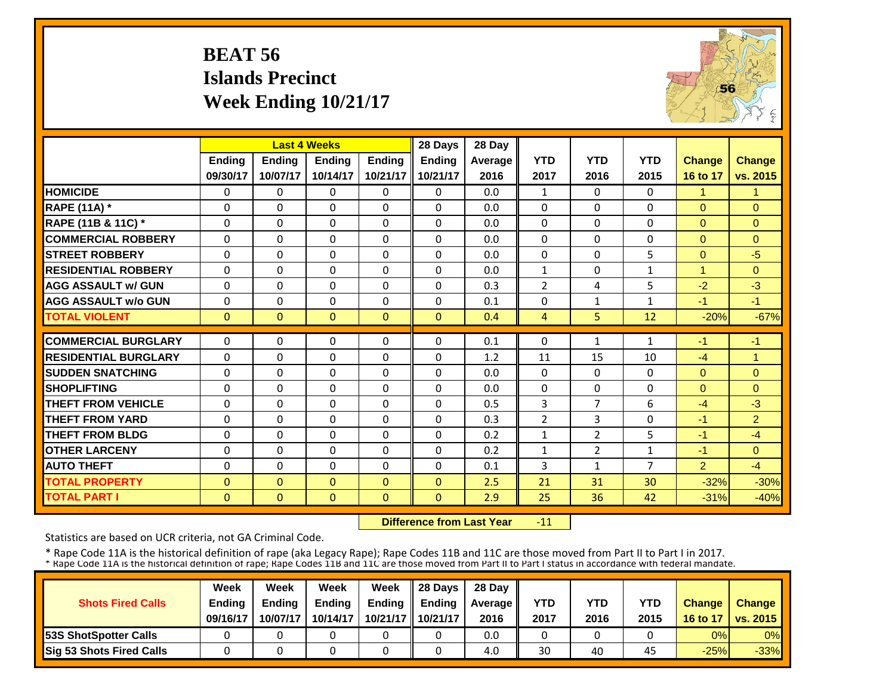### **BEAT 56 Islands Precinct Week Ending 10/21/17**

![](_page_37_Picture_1.jpeg)

|                             |               |               | <b>Last 4 Weeks</b> |               | 28 Days       | 28 Day  |                |                |              |                |                |
|-----------------------------|---------------|---------------|---------------------|---------------|---------------|---------|----------------|----------------|--------------|----------------|----------------|
|                             | <b>Ending</b> | <b>Ending</b> | <b>Endina</b>       | <b>Endina</b> | <b>Ending</b> | Average | <b>YTD</b>     | <b>YTD</b>     | <b>YTD</b>   | <b>Change</b>  | <b>Change</b>  |
|                             | 09/30/17      | 10/07/17      | 10/14/17            | 10/21/17      | 10/21/17      | 2016    | 2017           | 2016           | 2015         | 16 to 17       | vs. 2015       |
| <b>HOMICIDE</b>             | $\Omega$      | $\Omega$      | $\Omega$            | $\Omega$      | $\Omega$      | 0.0     | $\mathbf{1}$   | $\Omega$       | 0            | 1              | 1              |
| <b>RAPE (11A) *</b>         | $\Omega$      | $\Omega$      | $\Omega$            | $\Omega$      | $\Omega$      | 0.0     | $\Omega$       | $\Omega$       | $\Omega$     | $\Omega$       | $\Omega$       |
| RAPE (11B & 11C) *          | $\Omega$      | $\Omega$      | $\Omega$            | $\Omega$      | $\Omega$      | 0.0     | $\Omega$       | $\Omega$       | $\Omega$     | $\Omega$       | $\Omega$       |
| <b>COMMERCIAL ROBBERY</b>   | $\mathbf{0}$  | $\Omega$      | $\Omega$            | $\Omega$      | $\Omega$      | 0.0     | $\Omega$       | $\Omega$       | 0            | $\Omega$       | $\Omega$       |
| <b>STREET ROBBERY</b>       | $\mathbf 0$   | $\Omega$      | 0                   | $\Omega$      | 0             | 0.0     | $\mathbf 0$    | $\Omega$       | 5            | $\mathbf{0}$   | $-5$           |
| <b>RESIDENTIAL ROBBERY</b>  | $\Omega$      | $\Omega$      | $\Omega$            | $\Omega$      | 0             | 0.0     | $\mathbf{1}$   | $\Omega$       | $\mathbf{1}$ | 1              | $\Omega$       |
| <b>AGG ASSAULT w/ GUN</b>   | $\Omega$      | $\Omega$      | $\Omega$            | $\Omega$      | $\Omega$      | 0.3     | $\overline{2}$ | 4              | 5            | $-2$           | $-3$           |
| <b>AGG ASSAULT w/o GUN</b>  | $\Omega$      | $\Omega$      | $\Omega$            | $\Omega$      | $\Omega$      | 0.1     | $\Omega$       | $\mathbf{1}$   | $\mathbf{1}$ | $-1$           | $-1$           |
| <b>TOTAL VIOLENT</b>        | $\mathbf{0}$  | $\mathbf{0}$  | $\mathbf{0}$        | $\Omega$      | $\mathbf{0}$  | 0.4     | $\overline{4}$ | 5.             | 12           | $-20%$         | $-67%$         |
| <b>COMMERCIAL BURGLARY</b>  | $\Omega$      |               |                     |               |               |         |                |                |              |                |                |
|                             |               | $\Omega$      | 0                   | $\Omega$      | 0             | 0.1     | $\Omega$       | 1              | 1            | $-1$           | $-1$           |
| <b>RESIDENTIAL BURGLARY</b> | $\Omega$      | $\Omega$      | $\Omega$            | $\Omega$      | $\Omega$      | 1.2     | 11             | 15             | 10           | $-4$           | $\overline{1}$ |
| <b>SUDDEN SNATCHING</b>     | $\Omega$      | $\Omega$      | $\Omega$            | $\Omega$      | $\Omega$      | 0.0     | $\Omega$       | $\Omega$       | 0            | $\Omega$       | $\Omega$       |
| <b>SHOPLIFTING</b>          | $\Omega$      | $\Omega$      | $\Omega$            | $\Omega$      | $\Omega$      | 0.0     | $\Omega$       | $\Omega$       | 0            | $\Omega$       | $\Omega$       |
| <b>THEFT FROM VEHICLE</b>   | 0             | $\Omega$      | 0                   | $\Omega$      | 0             | 0.5     | $\overline{3}$ | 7              | 6            | $-4$           | $-3$           |
| <b>THEFT FROM YARD</b>      | 0             | $\Omega$      | $\Omega$            | $\Omega$      | 0             | 0.3     | $\overline{2}$ | 3              | 0            | $-1$           | 2 <sup>1</sup> |
| <b>THEFT FROM BLDG</b>      | $\Omega$      | $\Omega$      | $\Omega$            | $\Omega$      | 0             | 0.2     | $\mathbf{1}$   | $\overline{2}$ | 5            | $-1$           | $-4$           |
| <b>OTHER LARCENY</b>        | $\Omega$      | $\Omega$      | $\Omega$            | 0             | $\Omega$      | 0.2     | $\mathbf{1}$   | $\overline{2}$ | 1            | $-1$           | $\Omega$       |
| <b>AUTO THEFT</b>           | $\Omega$      | $\Omega$      | $\Omega$            | $\Omega$      | $\Omega$      | 0.1     | 3              | 1              | 7            | $\overline{2}$ | $-4$           |
| <b>TOTAL PROPERTY</b>       | $\Omega$      | $\Omega$      | $\Omega$            | $\Omega$      | $\Omega$      | 2.5     | 21             | 31             | 30           | $-32%$         | $-30%$         |
| <b>TOTAL PART I</b>         | $\mathbf{0}$  | $\mathbf{0}$  | $\Omega$            | $\Omega$      | $\mathbf{0}$  | 2.9     | 25             | 36             | 42           | $-31%$         | $-40%$         |

 **Difference from Last Year**‐11

Statistics are based on UCR criteria, not GA Criminal Code.

|                               | Week          | Week          | Week          | Week          | $\parallel$ 28 Davs | 28 Day    |      |      |      |               |                     |
|-------------------------------|---------------|---------------|---------------|---------------|---------------------|-----------|------|------|------|---------------|---------------------|
| <b>Shots Fired Calls</b>      | <b>Ending</b> | <b>Ending</b> | <b>Ending</b> | <b>Ending</b> | <b>Ending</b>       | Average I | YTD  | YTD  | YTD  | <b>Change</b> | <b>Change</b>       |
|                               | 09/16/17      | 10/07/17      | 10/14/17      |               | 10/21/17   10/21/17 | 2016      | 2017 | 2016 | 2015 |               | 16 to 17   vs. 2015 |
| <b>153S ShotSpotter Calls</b> |               |               |               |               |                     | 0.0       |      |      |      | 0%            | $0\%$               |
| Sig 53 Shots Fired Calls      |               |               |               |               |                     | 4.0       | 30   | 40   | 45   | $-25%$        | $-33%$              |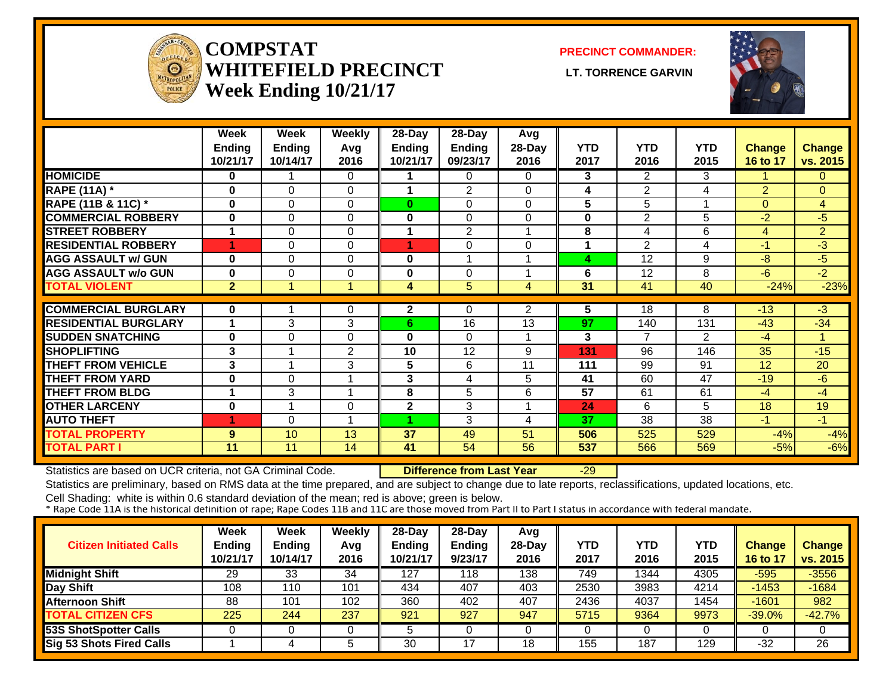![](_page_38_Picture_0.jpeg)

#### **COMPSTATWHITEFIELD PRECINCT** LT. TORRENCE GARVIN **Week Ending 10/21/17**

**PRECINCT COMMANDER:**

![](_page_38_Picture_4.jpeg)

|                             | Week<br><b>Ending</b><br>10/21/17 | Week<br><b>Ending</b><br>10/14/17 | <b>Weekly</b><br>Avg<br>2016 | 28-Day<br><b>Ending</b><br>10/21/17 | 28-Day<br><b>Ending</b><br>09/23/17 | Avg<br>28-Day<br>2016 | <b>YTD</b><br>2017 | <b>YTD</b><br>2016 | <b>YTD</b><br>2015 | <b>Change</b><br>16 to 17 | <b>Change</b><br>vs. 2015 |
|-----------------------------|-----------------------------------|-----------------------------------|------------------------------|-------------------------------------|-------------------------------------|-----------------------|--------------------|--------------------|--------------------|---------------------------|---------------------------|
| <b>HOMICIDE</b>             | 0                                 |                                   | $\Omega$                     |                                     | 0                                   | 0                     | 3                  | $\overline{2}$     | 3                  |                           | $\mathbf{0}$              |
| <b>RAPE (11A)</b> *         | 0                                 | $\Omega$                          | $\Omega$                     | 1                                   | $\overline{2}$                      | 0                     | 4                  | $\overline{2}$     | 4                  | 2                         | $\mathbf{0}$              |
| RAPE (11B & 11C) *          | $\bf{0}$                          | $\Omega$                          | $\Omega$                     | $\bf{0}$                            | 0                                   | 0                     | 5                  | 5                  |                    | $\Omega$                  | 4                         |
| <b>COMMERCIAL ROBBERY</b>   | 0                                 | $\Omega$                          | $\Omega$                     | 0                                   | 0                                   | 0                     | 0                  | 2                  | 5                  | $-2$                      | $-5$                      |
| <b>STREET ROBBERY</b>       | 1                                 | $\Omega$                          | $\Omega$                     | 1                                   | 2                                   |                       | 8                  | 4                  | 6                  | 4                         | $\overline{2}$            |
| <b>RESIDENTIAL ROBBERY</b>  | 1                                 | 0                                 | $\Omega$                     |                                     | 0                                   | 0                     |                    | 2                  | 4                  | $-1$                      | -3                        |
| <b>AGG ASSAULT w/ GUN</b>   | $\bf{0}$                          | 0                                 | $\Omega$                     | 0                                   | 4                                   |                       | 4                  | 12                 | 9                  | $-8$                      | -5                        |
| <b>AGG ASSAULT w/o GUN</b>  | 0                                 | $\Omega$                          | $\Omega$                     | 0                                   | $\mathbf 0$                         |                       | 6                  | 12                 | 8                  | -6                        | $-2$                      |
| <b>TOTAL VIOLENT</b>        | $\overline{2}$                    |                                   | -1                           | 4                                   | 5                                   | 4                     | 31                 | 41                 | 40                 | $-24%$                    | $-23%$                    |
|                             |                                   |                                   |                              |                                     |                                     |                       |                    |                    |                    |                           |                           |
| <b>COMMERCIAL BURGLARY</b>  | $\bf{0}$                          |                                   | 0                            | $\mathbf{2}$                        | 0                                   | $\overline{2}$        | 5                  | 18                 | 8                  | $-13$                     | -3                        |
| <b>RESIDENTIAL BURGLARY</b> |                                   | 3                                 | 3                            | 6                                   | 16                                  | 13                    | 97                 | 140                | 131                | $-43$                     | $-34$                     |
| <b>SUDDEN SNATCHING</b>     | 0                                 | $\Omega$                          | 0                            | 0                                   | 0                                   |                       | 3                  | 7                  | 2                  | -4                        | 1                         |
| <b>SHOPLIFTING</b>          | 3                                 |                                   | 2                            | 10                                  | 12                                  | 9                     | 131                | 96                 | 146                | 35                        | $-15$                     |
| <b>THEFT FROM VEHICLE</b>   | 3                                 |                                   | 3                            | 5                                   | 6                                   | 11                    | 111                | 99                 | 91                 | 12                        | 20                        |
| <b>THEFT FROM YARD</b>      | $\bf{0}$                          | $\Omega$                          | $\overline{\mathbf{A}}$      | 3                                   | 4                                   | 5                     | 41                 | 60                 | 47                 | $-19$                     | $-6$                      |
| <b>THEFT FROM BLDG</b>      | 1                                 | 3                                 | $\overline{\mathbf{A}}$      | 8                                   | 5                                   | 6                     | 57                 | 61                 | 61                 | -4                        | -4                        |
| <b>OTHER LARCENY</b>        | $\bf{0}$                          |                                   | $\Omega$                     | $\mathbf 2$                         | 3                                   |                       | 24                 | 6                  | 5                  | 18                        | 19                        |
| <b>AUTO THEFT</b>           | 1                                 | $\Omega$                          | $\overline{ }$               |                                     | 3                                   | 4                     | 37                 | 38                 | 38                 | $-1$                      | $-1$                      |
| <b>TOTAL PROPERTY</b>       | 9                                 | 10                                | 13                           | 37                                  | 49                                  | 51                    | 506                | 525                | 529                | $-4%$                     | $-4%$                     |
| <b>TOTAL PART I</b>         | 11                                | 11                                | 14                           | 41                                  | 54                                  | 56                    | 537                | 566                | 569                | $-5%$                     | $-6%$                     |

Statistics are based on UCR criteria, not GA Criminal Code. **Difference from Last Year** -29

Statistics are preliminary, based on RMS data at the time prepared, and are subject to change due to late reports, reclassifications, updated locations, etc.

| <b>Citizen Initiated Calls</b>  | <b>Week</b><br><b>Ending</b><br>10/21/17 | <b>Week</b><br><b>Ending</b><br>10/14/17 | Weekly<br>Avg<br>2016 | 28-Day<br><b>Ending</b><br>10/21/17 | 28-Day<br>Ending<br>9/23/17 | Avg<br>$28-Day$<br>2016 | <b>YTD</b><br>2017 | YTD<br>2016 | YTD<br>2015 | <b>Change</b><br>16 to 17 | <b>Change</b><br>vs. 2015 |
|---------------------------------|------------------------------------------|------------------------------------------|-----------------------|-------------------------------------|-----------------------------|-------------------------|--------------------|-------------|-------------|---------------------------|---------------------------|
| <b>Midnight Shift</b>           | 29                                       | 33                                       | 34                    | 127                                 | 118                         | 138                     | 749                | 1344        | 4305        | $-595$                    | $-3556$                   |
| Day Shift                       | 108                                      | 110                                      | 101                   | 434                                 | 407                         | 403                     | 2530               | 3983        | 4214        | $-1453$                   | $-1684$                   |
| <b>Afternoon Shift</b>          | 88                                       | 101                                      | 102                   | 360                                 | 402                         | 407                     | 2436               | 4037        | 1454        | $-1601$                   | 982                       |
| <b>TOTAL CITIZEN CFS</b>        | 225                                      | 244                                      | 237                   | 921                                 | 927                         | 947                     | 5715               | 9364        | 9973        | $-39.0\%$                 | $-42.7%$                  |
| <b>53S ShotSpotter Calls</b>    |                                          |                                          |                       |                                     |                             |                         |                    |             |             |                           |                           |
| <b>Sig 53 Shots Fired Calls</b> |                                          |                                          |                       | 30                                  | 17                          | 18                      | 155                | 187         | 129         | $-32$                     | 26                        |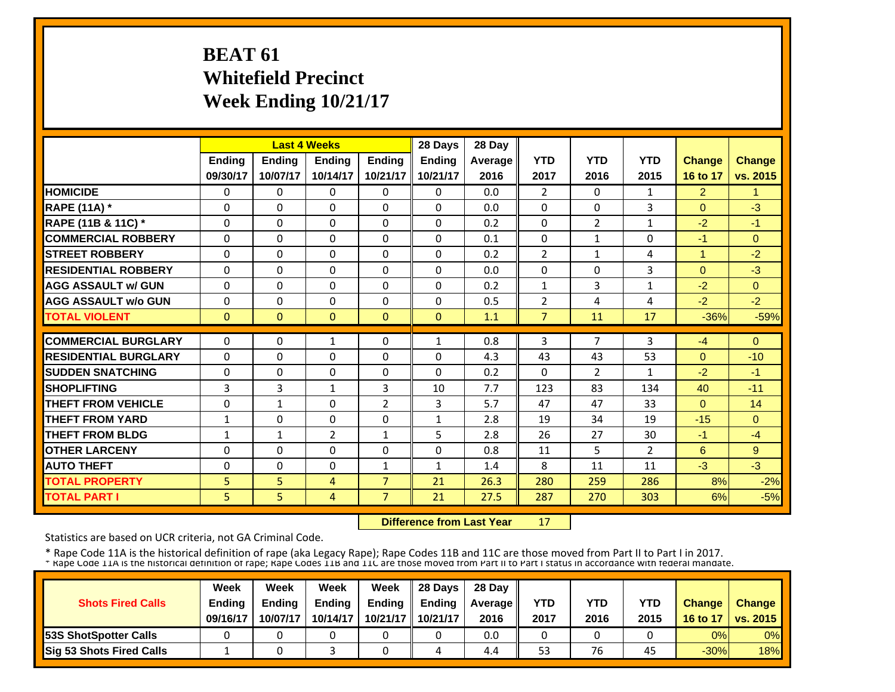### **BEAT 61 Whitefield Precinct Week Ending 10/21/17**

|                             |               |               | <b>Last 4 Weeks</b> |                | 28 Days       | 28 Day  |                |                |                |                |               |
|-----------------------------|---------------|---------------|---------------------|----------------|---------------|---------|----------------|----------------|----------------|----------------|---------------|
|                             | <b>Ending</b> | <b>Ending</b> | <b>Ending</b>       | <b>Ending</b>  | <b>Ending</b> | Average | <b>YTD</b>     | <b>YTD</b>     | <b>YTD</b>     | <b>Change</b>  | <b>Change</b> |
|                             | 09/30/17      | 10/07/17      | 10/14/17            | 10/21/17       | 10/21/17      | 2016    | 2017           | 2016           | 2015           | 16 to 17       | vs. 2015      |
| <b>HOMICIDE</b>             | $\Omega$      | $\Omega$      | $\Omega$            | $\Omega$       | $\Omega$      | 0.0     | $\overline{2}$ | $\Omega$       | $\mathbf{1}$   | $\overline{2}$ | 1             |
| <b>RAPE (11A) *</b>         | $\Omega$      | $\Omega$      | $\Omega$            | $\mathbf{0}$   | $\Omega$      | 0.0     | $\Omega$       | $\Omega$       | 3              | $\Omega$       | $-3$          |
| RAPE (11B & 11C) *          | $\Omega$      | $\Omega$      | $\Omega$            | $\Omega$       | $\Omega$      | 0.2     | $\Omega$       | $\overline{2}$ | $\mathbf{1}$   | $-2$           | $-1$          |
| <b>COMMERCIAL ROBBERY</b>   | $\Omega$      | 0             | $\Omega$            | $\Omega$       | $\Omega$      | 0.1     | $\Omega$       | $\mathbf{1}$   | 0              | $-1$           | $\Omega$      |
| <b>STREET ROBBERY</b>       | $\Omega$      | $\Omega$      | $\Omega$            | $\Omega$       | 0             | 0.2     | $\overline{2}$ | $\mathbf{1}$   | 4              | $\mathbf{1}$   | $-2$          |
| <b>IRESIDENTIAL ROBBERY</b> | $\Omega$      | $\Omega$      | $\Omega$            | $\Omega$       | $\Omega$      | 0.0     | $\Omega$       | $\Omega$       | 3              | $\Omega$       | $-3$          |
| <b>AGG ASSAULT w/ GUN</b>   | $\Omega$      | $\Omega$      | $\Omega$            | $\Omega$       | 0             | 0.2     | $\mathbf{1}$   | 3              | $\mathbf{1}$   | $-2$           | $\Omega$      |
| <b>AGG ASSAULT w/o GUN</b>  | $\Omega$      | $\Omega$      | $\Omega$            | $\mathbf{0}$   | 0             | 0.5     | $\overline{2}$ | 4              | 4              | $-2$           | $-2$          |
| <b>TOTAL VIOLENT</b>        | $\mathbf{0}$  | $\Omega$      | $\mathbf{0}$        | $\mathbf{0}$   | $\Omega$      | 1.1     | $\overline{7}$ | 11             | 17             | $-36%$         | $-59%$        |
| <b>COMMERCIAL BURGLARY</b>  | $\Omega$      | $\Omega$      | $\mathbf{1}$        | $\mathbf{0}$   | 1             | 0.8     | 3              | 7              | 3              | $-4$           | $\Omega$      |
|                             |               |               |                     |                |               |         |                |                |                |                |               |
| <b>RESIDENTIAL BURGLARY</b> | $\Omega$      | 0             | 0                   | $\mathbf{0}$   | $\Omega$      | 4.3     | 43             | 43             | 53             | $\Omega$       | $-10$         |
| <b>SUDDEN SNATCHING</b>     | 0             | $\Omega$      | $\Omega$            | $\Omega$       | $\Omega$      | 0.2     | $\Omega$       | $\overline{2}$ | $\mathbf{1}$   | $-2$           | $-1$          |
| <b>SHOPLIFTING</b>          | 3             | 3             | $\mathbf{1}$        | 3              | 10            | 7.7     | 123            | 83             | 134            | 40             | $-11$         |
| <b>THEFT FROM VEHICLE</b>   | $\Omega$      | $\mathbf{1}$  | $\Omega$            | $\overline{2}$ | 3             | 5.7     | 47             | 47             | 33             | $\Omega$       | 14            |
| <b>THEFT FROM YARD</b>      | 1             | $\Omega$      | $\Omega$            | $\mathbf{0}$   | $\mathbf{1}$  | 2.8     | 19             | 34             | 19             | $-15$          | $\Omega$      |
| <b>THEFT FROM BLDG</b>      | $\mathbf{1}$  | $\mathbf{1}$  | $\overline{2}$      | $\mathbf{1}$   | 5.            | 2.8     | 26             | 27             | 30             | $-1$           | $-4$          |
| <b>OTHER LARCENY</b>        | $\Omega$      | $\Omega$      | $\Omega$            | $\Omega$       | $\Omega$      | 0.8     | 11             | 5              | $\overline{2}$ | 6              | 9             |
| <b>AUTO THEFT</b>           | $\Omega$      | $\Omega$      | $\Omega$            | 1              | $\mathbf{1}$  | 1.4     | 8              | 11             | 11             | $-3$           | $-3$          |
| <b>TOTAL PROPERTY</b>       | 5             | 5             | $\overline{4}$      | $\overline{7}$ | 21            | 26.3    | 280            | 259            | 286            | 8%             | $-2%$         |
| <b>TOTAL PART I</b>         | 5             | 5             | $\overline{4}$      | 7              | 21            | 27.5    | 287            | 270            | 303            | 6%             | $-5%$         |

 **Difference from Last Year**17

Statistics are based on UCR criteria, not GA Criminal Code.

| <b>Shots Fired Calls</b>        | Week<br><b>Ending</b><br>09/16/17 | Week<br><b>Ending</b><br>10/07/17 | Week<br><b>Ending</b><br>10/14/17 | Week<br><b>Ending</b><br>10/21/17 | 28 Days<br><b>Endina</b><br>10/21/17 | 28 Day<br>Average   <br>2016 | <b>YTD</b><br>2017 | YTD<br>2016 | <b>YTD</b><br>2015 | <b>Change</b><br>16 to 17 | <b>Change</b><br><b>U</b> vs. 2015 |
|---------------------------------|-----------------------------------|-----------------------------------|-----------------------------------|-----------------------------------|--------------------------------------|------------------------------|--------------------|-------------|--------------------|---------------------------|------------------------------------|
| <b>153S ShotSpotter Calls</b>   |                                   |                                   |                                   |                                   |                                      | 0.0                          |                    |             |                    | 0%                        | $0\%$                              |
| <b>Sig 53 Shots Fired Calls</b> |                                   |                                   |                                   |                                   |                                      | 4.4                          | 53                 | 76          | 45                 | $-30%$                    | 18%                                |